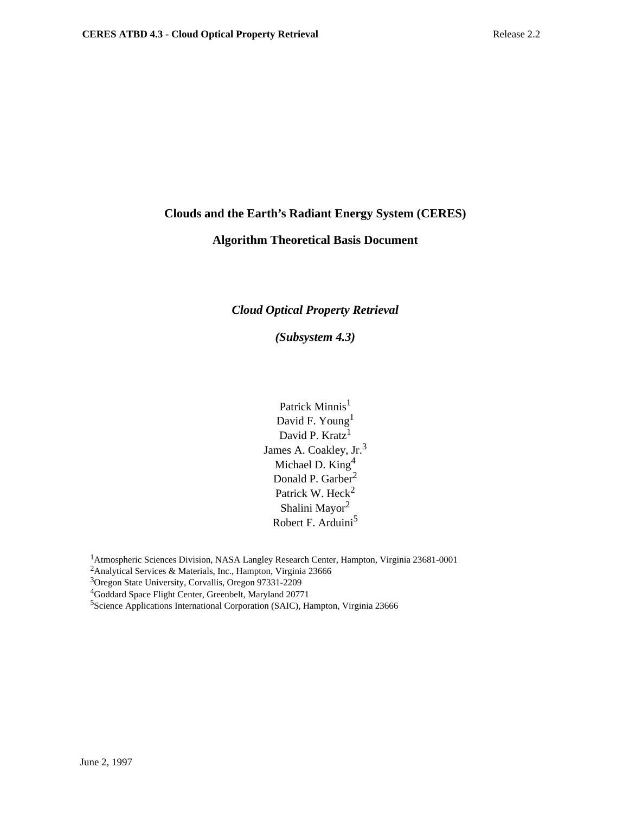# **Clouds and the Earth's Radiant Energy System (CERES)**

# **Algorithm Theoretical Basis Document**

# *Cloud Optical Property Retrieval*

*(Subsystem 4.3)*

Patrick Minnis<sup>1</sup> David F. Young<sup>1</sup> David P. Kratz<sup>1</sup> James A. Coakley, Jr.<sup>3</sup> Michael D. King<sup>4</sup> Donald P. Garber<sup>2</sup> Patrick W. Heck<sup>2</sup> Shalini Mayor2 Robert F. Arduini<sup>5</sup>

1Atmospheric Sciences Division, NASA Langley Research Center, Hampton, Virginia 23681-0001

<sup>2</sup>Analytical Services & Materials, Inc., Hampton, Virginia 23666

3Oregon State University, Corvallis, Oregon 97331-2209

4Goddard Space Flight Center, Greenbelt, Maryland 20771

<sup>5</sup>Science Applications International Corporation (SAIC), Hampton, Virginia 23666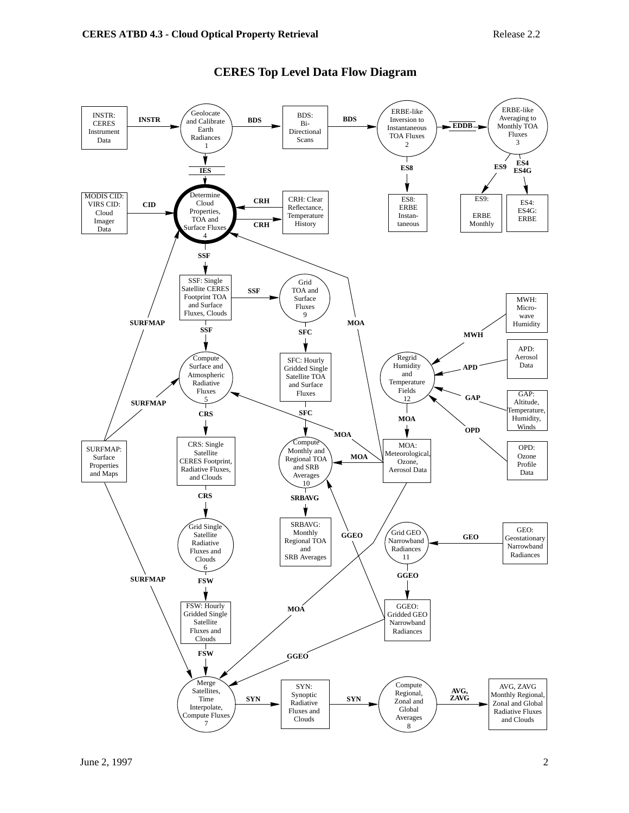

# **CERES Top Level Data Flow Diagram**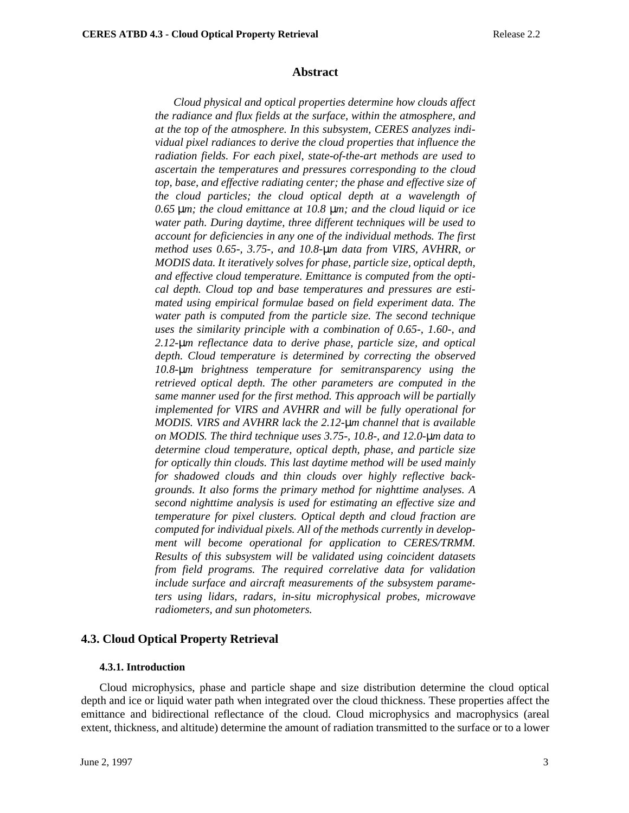#### **Abstract**

*Cloud physical and optical properties determine how clouds affect the radiance and flux fields at the surface, within the atmosphere, and at the top of the atmosphere. In this subsystem, CERES analyzes individual pixel radiances to derive the cloud properties that influence the radiation fields. For each pixel, state-of-the-art methods are used to ascertain the temperatures and pressures corresponding to the cloud top, base, and effective radiating center; the phase and effective size of the cloud particles; the cloud optical depth at a wavelength of 0.65* µ*m; the cloud emittance at 10.8* µ*m; and the cloud liquid or ice water path. During daytime, three different techniques will be used to account for deficiencies in any one of the individual methods. The first method uses 0.65-, 3.75-, and 10.8-*µ*m data from VIRS, AVHRR, or MODIS data. It iteratively solves for phase, particle size, optical depth, and effective cloud temperature. Emittance is computed from the optical depth. Cloud top and base temperatures and pressures are estimated using empirical formulae based on field experiment data. The water path is computed from the particle size. The second technique uses the similarity principle with a combination of 0.65-, 1.60-, and 2.12-*µ*m reflectance data to derive phase, particle size, and optical depth. Cloud temperature is determined by correcting the observed 10.8-*µ*m brightness temperature for semitransparency using the retrieved optical depth. The other parameters are computed in the same manner used for the first method. This approach will be partially implemented for VIRS and AVHRR and will be fully operational for MODIS. VIRS and AVHRR lack the 2.12-*µ*m channel that is available on MODIS. The third technique uses 3.75-, 10.8-, and 12.0-*µ*m data to determine cloud temperature, optical depth, phase, and particle size for optically thin clouds. This last daytime method will be used mainly for shadowed clouds and thin clouds over highly reflective backgrounds. It also forms the primary method for nighttime analyses. A second nighttime analysis is used for estimating an effective size and temperature for pixel clusters. Optical depth and cloud fraction are computed for individual pixels. All of the methods currently in development will become operational for application to CERES/TRMM. Results of this subsystem will be validated using coincident datasets from field programs. The required correlative data for validation include surface and aircraft measurements of the subsystem parameters using lidars, radars, in-situ microphysical probes, microwave radiometers, and sun photometers.*

## **4.3. Cloud Optical Property Retrieval**

#### **4.3.1. Introduction**

Cloud microphysics, phase and particle shape and size distribution determine the cloud optical depth and ice or liquid water path when integrated over the cloud thickness. These properties affect the emittance and bidirectional reflectance of the cloud. Cloud microphysics and macrophysics (areal extent, thickness, and altitude) determine the amount of radiation transmitted to the surface or to a lower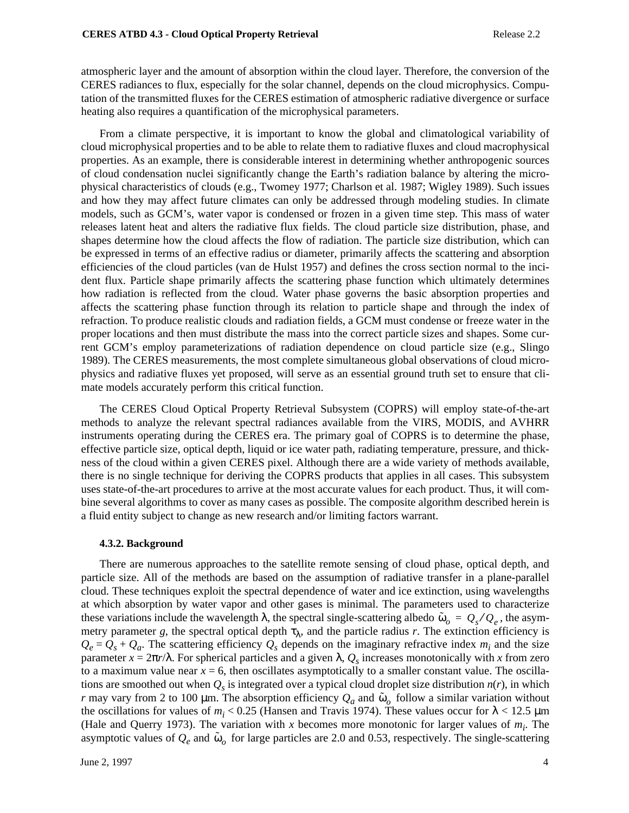atmospheric layer and the amount of absorption within the cloud layer. Therefore, the conversion of the CERES radiances to flux, especially for the solar channel, depends on the cloud microphysics. Computation of the transmitted fluxes for the CERES estimation of atmospheric radiative divergence or surface heating also requires a quantification of the microphysical parameters.

From a climate perspective, it is important to know the global and climatological variability of cloud microphysical properties and to be able to relate them to radiative fluxes and cloud macrophysical properties. As an example, there is considerable interest in determining whether anthropogenic sources of cloud condensation nuclei significantly change the Earth's radiation balance by altering the microphysical characteristics of clouds (e.g., Twomey 1977; Charlson et al. 1987; Wigley 1989). Such issues and how they may affect future climates can only be addressed through modeling studies. In climate models, such as GCM's, water vapor is condensed or frozen in a given time step. This mass of water releases latent heat and alters the radiative flux fields. The cloud particle size distribution, phase, and shapes determine how the cloud affects the flow of radiation. The particle size distribution, which can be expressed in terms of an effective radius or diameter, primarily affects the scattering and absorption efficiencies of the cloud particles (van de Hulst 1957) and defines the cross section normal to the incident flux. Particle shape primarily affects the scattering phase function which ultimately determines how radiation is reflected from the cloud. Water phase governs the basic absorption properties and affects the scattering phase function through its relation to particle shape and through the index of refraction. To produce realistic clouds and radiation fields, a GCM must condense or freeze water in the proper locations and then must distribute the mass into the correct particle sizes and shapes. Some current GCM's employ parameterizations of radiation dependence on cloud particle size (e.g., Slingo 1989). The CERES measurements, the most complete simultaneous global observations of cloud microphysics and radiative fluxes yet proposed, will serve as an essential ground truth set to ensure that climate models accurately perform this critical function.

The CERES Cloud Optical Property Retrieval Subsystem (COPRS) will employ state-of-the-art methods to analyze the relevant spectral radiances available from the VIRS, MODIS, and AVHRR instruments operating during the CERES era. The primary goal of COPRS is to determine the phase, effective particle size, optical depth, liquid or ice water path, radiating temperature, pressure, and thickness of the cloud within a given CERES pixel. Although there are a wide variety of methods available, there is no single technique for deriving the COPRS products that applies in all cases. This subsystem uses state-of-the-art procedures to arrive at the most accurate values for each product. Thus, it will combine several algorithms to cover as many cases as possible. The composite algorithm described herein is a fluid entity subject to change as new research and/or limiting factors warrant.

#### **4.3.2. Background**

There are numerous approaches to the satellite remote sensing of cloud phase, optical depth, and particle size. All of the methods are based on the assumption of radiative transfer in a plane-parallel cloud. These techniques exploit the spectral dependence of water and ice extinction, using wavelengths at which absorption by water vapor and other gases is minimal. The parameters used to characterize these variations include the wavelength  $\lambda$ , the spectral single-scattering albedo  $\tilde{\omega}_o = Q_s/Q_e$ , the asymmetry parameter *g*, the spectral optical depth  $\tau_{\lambda}$ , and the particle radius *r*. The extinction efficiency is  $Q_e = Q_s + Q_a$ . The scattering efficiency  $Q_s$  depends on the imaginary refractive index  $m_i$  and the size parameter  $x = 2\pi r/\lambda$ . For spherical particles and a given  $\lambda$ ,  $Q_s$  increases monotonically with *x* from zero to a maximum value near  $x = 6$ , then oscillates asymptotically to a smaller constant value. The oscillations are smoothed out when  $Q_s$  is integrated over a typical cloud droplet size distribution  $n(r)$ , in which *r* may vary from 2 to 100  $\mu$ m. The absorption efficiency  $Q_a$  and  $\tilde{\omega}_o$  follow a similar variation without the oscillations for values of  $m_i < 0.25$  (Hansen and Travis 1974). These values occur for  $\lambda < 12.5$  µm (Hale and Querry 1973). The variation with *x* becomes more monotonic for larger values of  $m_i$ . The asymptotic values of  $Q_e$  and  $\tilde{\omega}_o$  for large particles are 2.0 and 0.53, respectively. The single-scattering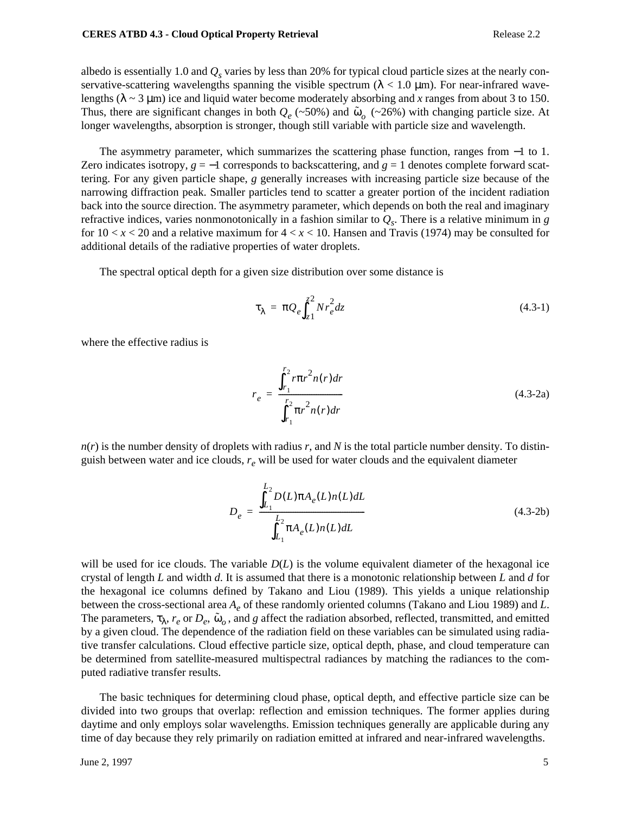albedo is essentially 1.0 and  $Q_s$  varies by less than 20% for typical cloud particle sizes at the nearly conservative-scattering wavelengths spanning the visible spectrum ( $\lambda$  < 1.0 µm). For near-infrared wavelengths ( $\lambda \sim 3 \mu$ m) ice and liquid water become moderately absorbing and *x* ranges from about 3 to 150. Thus, there are significant changes in both  $Q_e$  (~50%) and  $\tilde{\omega}_o$  (~26%) with changing particle size. At longer wavelengths, absorption is stronger, though still variable with particle size and wavelength.

The asymmetry parameter, which summarizes the scattering phase function, ranges from −1 to 1. Zero indicates isotropy,  $g = -1$  corresponds to backscattering, and  $g = 1$  denotes complete forward scattering. For any given particle shape, *g* generally increases with increasing particle size because of the narrowing diffraction peak. Smaller particles tend to scatter a greater portion of the incident radiation back into the source direction. The asymmetry parameter, which depends on both the real and imaginary refractive indices, varies nonmonotonically in a fashion similar to *Qs*. There is a relative minimum in *g* for  $10 < x < 20$  and a relative maximum for  $4 < x < 10$ . Hansen and Travis (1974) may be consulted for additional details of the radiative properties of water droplets.

The spectral optical depth for a given size distribution over some distance is

$$
\tau_{\lambda} = \pi Q_e \int_{z1}^{z2} N r_e^2 dz \tag{4.3-1}
$$

where the effective radius is

$$
r_e = \frac{\int_{r_1}^{r_2} r \pi r^2 n(r) dr}{\int_{r_1}^{r_2} \pi r^2 n(r) dr}
$$
 (4.3-2a)

 $n(r)$  is the number density of droplets with radius *r*, and *N* is the total particle number density. To distinguish between water and ice clouds,  $r_e$  will be used for water clouds and the equivalent diameter

$$
D_e = \frac{\int_{L_1}^{L_2} D(L)\pi A_e(L)n(L) dL}{\int_{L_1}^{L_2} \pi A_e(L)n(L) dL}
$$
\n(4.3-2b)

will be used for ice clouds. The variable  $D(L)$  is the volume equivalent diameter of the hexagonal ice crystal of length *L* and width *d*. It is assumed that there is a monotonic relationship between *L* and *d* for the hexagonal ice columns defined by Takano and Liou (1989). This yields a unique relationship between the cross-sectional area  $A_e$  of these randomly oriented columns (Takano and Liou 1989) and *L*. The parameters,  $\tau_{\lambda}$ ,  $r_e$  or  $D_e$ ,  $\tilde{\omega}_o$ , and *g* affect the radiation absorbed, reflected, transmitted, and emitted by a given cloud. The dependence of the radiation field on these variables can be simulated using radiative transfer calculations. Cloud effective particle size, optical depth, phase, and cloud temperature can be determined from satellite-measured multispectral radiances by matching the radiances to the computed radiative transfer results.

The basic techniques for determining cloud phase, optical depth, and effective particle size can be divided into two groups that overlap: reflection and emission techniques. The former applies during daytime and only employs solar wavelengths. Emission techniques generally are applicable during any time of day because they rely primarily on radiation emitted at infrared and near-infrared wavelengths.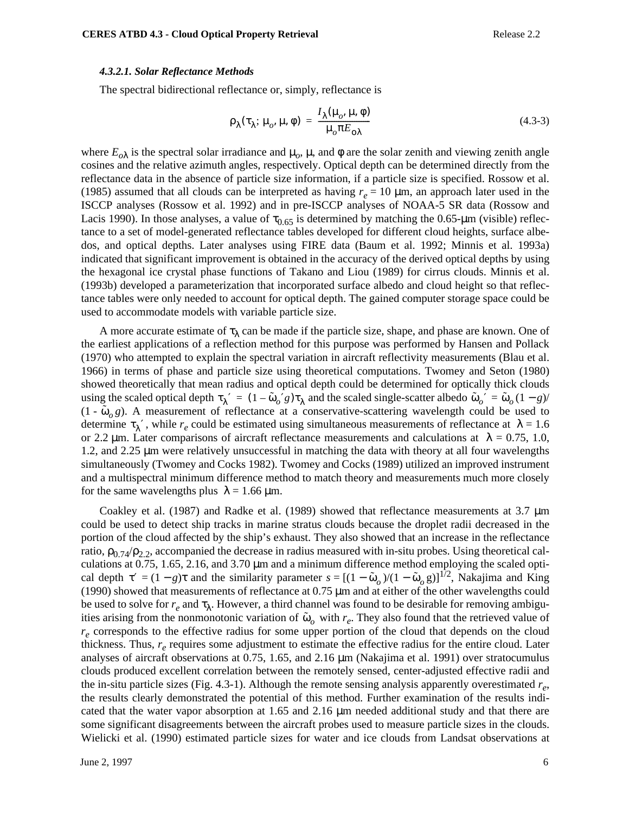#### *4.3.2.1. Solar Reflectance Methods*

The spectral bidirectional reflectance or, simply, reflectance is

$$
\rho_{\lambda}(\tau_{\lambda}; \mu_{o}, \mu, \phi) = \frac{I_{\lambda}(\mu_{o}, \mu, \phi)}{\mu_{o} \pi E_{o \lambda}}
$$
(4.3-3)

where  $E_{\rho \lambda}$  is the spectral solar irradiance and  $\mu_{\rho}$ ,  $\mu$ , and  $\phi$  are the solar zenith and viewing zenith angle cosines and the relative azimuth angles, respectively. Optical depth can be determined directly from the reflectance data in the absence of particle size information, if a particle size is specified. Rossow et al. (1985) assumed that all clouds can be interpreted as having  $r_e = 10 \mu m$ , an approach later used in the ISCCP analyses (Rossow et al. 1992) and in pre-ISCCP analyses of NOAA-5 SR data (Rossow and Lacis 1990). In those analyses, a value of  $\tau_{0.65}$  is determined by matching the 0.65-µm (visible) reflectance to a set of model-generated reflectance tables developed for different cloud heights, surface albedos, and optical depths. Later analyses using FIRE data (Baum et al. 1992; Minnis et al. 1993a) indicated that significant improvement is obtained in the accuracy of the derived optical depths by using the hexagonal ice crystal phase functions of Takano and Liou (1989) for cirrus clouds. Minnis et al. (1993b) developed a parameterization that incorporated surface albedo and cloud height so that reflectance tables were only needed to account for optical depth. The gained computer storage space could be used to accommodate models with variable particle size.

A more accurate estimate of  $\tau_{\lambda}$  can be made if the particle size, shape, and phase are known. One of the earliest applications of a reflection method for this purpose was performed by Hansen and Pollack (1970) who attempted to explain the spectral variation in aircraft reflectivity measurements (Blau et al. 1966) in terms of phase and particle size using theoretical computations. Twomey and Seton (1980) showed theoretically that mean radius and optical depth could be determined for optically thick clouds using the scaled optical depth  $\tau_{\lambda}' = (1 - \tilde{\omega}_o' g) \tau_{\lambda}$  and the scaled single-scatter albedo  $\tilde{\omega}_o' = \tilde{\omega}_o (1 - g)$  $(1 - \tilde{\omega}_o g)$ . A measurement of reflectance at a conservative-scattering wavelength could be used to determine  $\tau_{\lambda}$ ', while  $r_e$  could be estimated using simultaneous measurements of reflectance at  $\lambda = 1.6$ or 2.2  $\mu$ m. Later comparisons of aircraft reflectance measurements and calculations at  $\lambda = 0.75, 1.0$ , 1.2, and 2.25 µm were relatively unsuccessful in matching the data with theory at all four wavelengths simultaneously (Twomey and Cocks 1982). Twomey and Cocks (1989) utilized an improved instrument and a multispectral minimum difference method to match theory and measurements much more closely for the same wavelengths plus  $\lambda = 1.66 \,\mu \text{m}$ .

Coakley et al. (1987) and Radke et al. (1989) showed that reflectance measurements at 3.7 µm could be used to detect ship tracks in marine stratus clouds because the droplet radii decreased in the portion of the cloud affected by the ship's exhaust. They also showed that an increase in the reflectance ratio,  $ρ_0$ <sub>74</sub>/ $ρ_2$ <sub>2</sub>, accompanied the decrease in radius measured with in-situ probes. Using theoretical calculations at 0.75, 1.65, 2.16, and 3.70 µm and a minimum difference method employing the scaled optical depth  $\tau' = (1 - g)\tau$  and the similarity parameter  $s = [(1 - \tilde{\omega}_o)/((1 - \tilde{\omega}_o g)]^{1/2})$ . Nakajima and King (1990) showed that measurements of reflectance at 0.75 µm and at either of the other wavelengths could be used to solve for  $r_e$  and  $\tau_\lambda$ . However, a third channel was found to be desirable for removing ambiguities arising from the nonmonotonic variation of  $\tilde{\omega}_o$  with  $r_e$ . They also found that the retrieved value of *re* corresponds to the effective radius for some upper portion of the cloud that depends on the cloud thickness. Thus,  $r_e$  requires some adjustment to estimate the effective radius for the entire cloud. Later analyses of aircraft observations at 0.75, 1.65, and 2.16 µm (Nakajima et al. 1991) over stratocumulus clouds produced excellent correlation between the remotely sensed, center-adjusted effective radii and the in-situ particle sizes (Fig. 4.3-1). Although the remote sensing analysis apparently overestimated  $r_e$ , the results clearly demonstrated the potential of this method. Further examination of the results indicated that the water vapor absorption at 1.65 and 2.16 µm needed additional study and that there are some significant disagreements between the aircraft probes used to measure particle sizes in the clouds. Wielicki et al. (1990) estimated particle sizes for water and ice clouds from Landsat observations at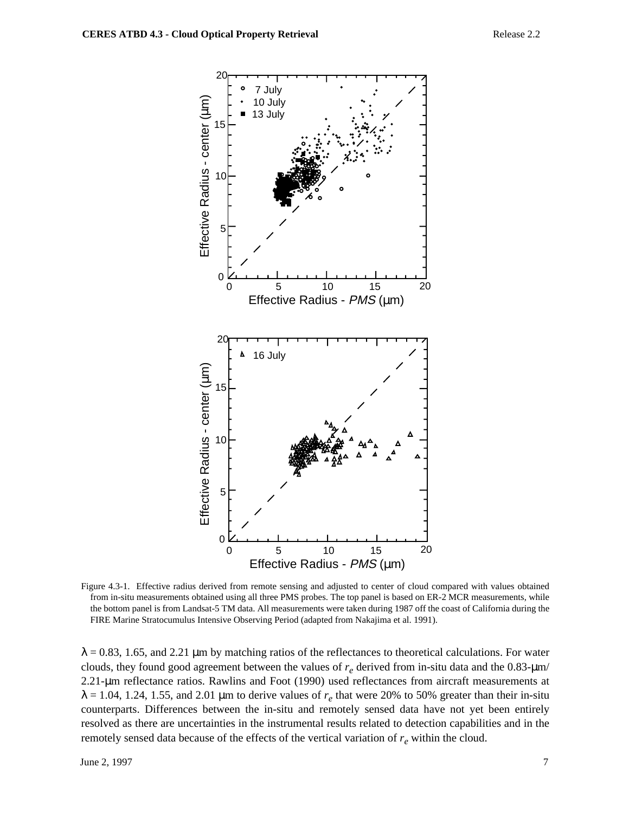

Figure 4.3-1. Effective radius derived from remote sensing and adjusted to center of cloud compared with values obtained from in-situ measurements obtained using all three PMS probes. The top panel is based on ER-2 MCR measurements, while the bottom panel is from Landsat-5 TM data. All measurements were taken during 1987 off the coast of California during the FIRE Marine Stratocumulus Intensive Observing Period (adapted from Nakajima et al. 1991).

 $\lambda$  = 0.83, 1.65, and 2.21 µm by matching ratios of the reflectances to theoretical calculations. For water clouds, they found good agreement between the values of *re* derived from in-situ data and the 0.83-µm/ 2.21-µm reflectance ratios. Rawlins and Foot (1990) used reflectances from aircraft measurements at  $\lambda$  = 1.04, 1.24, 1.55, and 2.01 µm to derive values of  $r_e$  that were 20% to 50% greater than their in-situ counterparts. Differences between the in-situ and remotely sensed data have not yet been entirely resolved as there are uncertainties in the instrumental results related to detection capabilities and in the remotely sensed data because of the effects of the vertical variation of *re* within the cloud.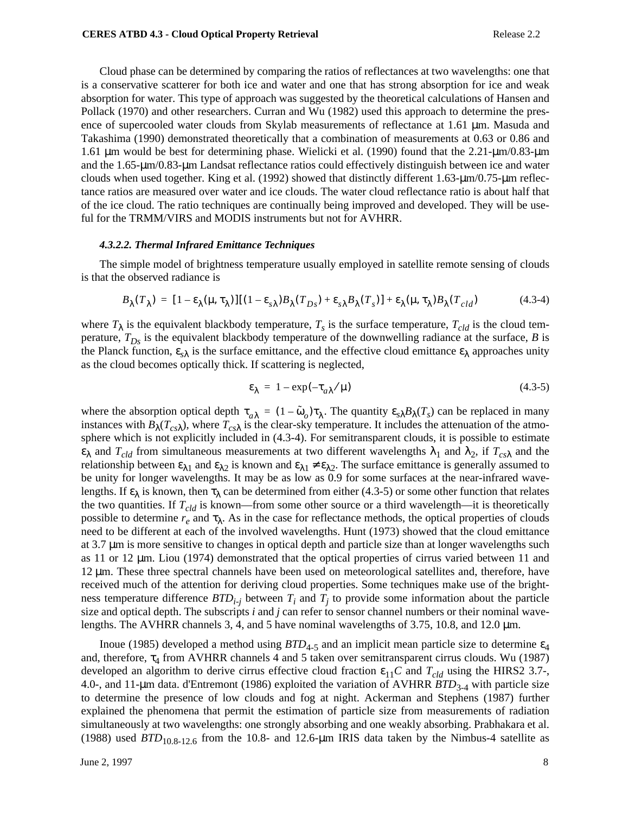Cloud phase can be determined by comparing the ratios of reflectances at two wavelengths: one that is a conservative scatterer for both ice and water and one that has strong absorption for ice and weak absorption for water. This type of approach was suggested by the theoretical calculations of Hansen and Pollack (1970) and other researchers. Curran and Wu (1982) used this approach to determine the presence of supercooled water clouds from Skylab measurements of reflectance at 1.61 µm. Masuda and Takashima (1990) demonstrated theoretically that a combination of measurements at 0.63 or 0.86 and 1.61 µm would be best for determining phase. Wielicki et al. (1990) found that the 2.21-µm/0.83-µm and the 1.65-µm/0.83-µm Landsat reflectance ratios could effectively distinguish between ice and water clouds when used together. King et al. (1992) showed that distinctly different 1.63-µm/0.75-µm reflectance ratios are measured over water and ice clouds. The water cloud reflectance ratio is about half that of the ice cloud. The ratio techniques are continually being improved and developed. They will be useful for the TRMM/VIRS and MODIS instruments but not for AVHRR.

#### *4.3.2.2. Thermal Infrared Emittance Techniques*

The simple model of brightness temperature usually employed in satellite remote sensing of clouds is that the observed radiance is

$$
B_{\lambda}(T_{\lambda}) = [1 - \varepsilon_{\lambda}(\mu, \tau_{\lambda})][(1 - \varepsilon_{s\lambda})B_{\lambda}(T_{Ds}) + \varepsilon_{s\lambda}B_{\lambda}(T_{s})] + \varepsilon_{\lambda}(\mu, \tau_{\lambda})B_{\lambda}(T_{cld})
$$
(4.3-4)

where  $T_{\lambda}$  is the equivalent blackbody temperature,  $T_s$  is the surface temperature,  $T_{cld}$  is the cloud temperature,  $T_{Ds}$  is the equivalent blackbody temperature of the downwelling radiance at the surface, *B* is the Planck function,  $\varepsilon_{s\lambda}$  is the surface emittance, and the effective cloud emittance  $\varepsilon_{\lambda}$  approaches unity as the cloud becomes optically thick. If scattering is neglected,

$$
\varepsilon_{\lambda} = 1 - \exp(-\tau_{a\lambda}/\mu) \tag{4.3-5}
$$

where the absorption optical depth  $\tau_{a\lambda} = (1 - \tilde{\omega}_o)\tau_{\lambda}$ . The quantity  $\varepsilon_{s\lambda}B_{\lambda}(T_s)$  can be replaced in many instances with  $B_\lambda(T_{cs\lambda})$ , where  $T_{cs\lambda}$  is the clear-sky temperature. It includes the attenuation of the atmosphere which is not explicitly included in (4.3-4). For semitransparent clouds, it is possible to estimate  $\varepsilon_{\lambda}$  and  $T_{cld}$  from simultaneous measurements at two different wavelengths  $\lambda_1$  and  $\lambda_2$ , if  $T_{cs\lambda}$  and the relationship between  $\epsilon_{\lambda 1}$  and  $\epsilon_{\lambda 2}$  is known and  $\epsilon_{\lambda 1} \neq \epsilon_{\lambda 2}$ . The surface emittance is generally assumed to be unity for longer wavelengths. It may be as low as 0.9 for some surfaces at the near-infrared wavelengths. If  $\varepsilon_{\lambda}$  is known, then  $\tau_{\lambda}$  can be determined from either (4.3-5) or some other function that relates the two quantities. If *Tcld* is known—from some other source or a third wavelength—it is theoretically possible to determine  $r_e$  and  $\tau_\lambda$ . As in the case for reflectance methods, the optical properties of clouds need to be different at each of the involved wavelengths. Hunt (1973) showed that the cloud emittance at 3.7 µm is more sensitive to changes in optical depth and particle size than at longer wavelengths such as 11 or 12 µm. Liou (1974) demonstrated that the optical properties of cirrus varied between 11 and 12 µm. These three spectral channels have been used on meteorological satellites and, therefore, have received much of the attention for deriving cloud properties. Some techniques make use of the brightness temperature difference  $BTD_{i-j}$  between  $T_i$  and  $T_j$  to provide some information about the particle size and optical depth. The subscripts *i* and *j* can refer to sensor channel numbers or their nominal wavelengths. The AVHRR channels 3, 4, and 5 have nominal wavelengths of 3.75, 10.8, and 12.0  $\mu$ m.

Inoue (1985) developed a method using  $BTD_{4-5}$  and an implicit mean particle size to determine  $\varepsilon_4$ and, therefore,  $\tau_4$  from AVHRR channels 4 and 5 taken over semitransparent cirrus clouds. Wu (1987) developed an algorithm to derive cirrus effective cloud fraction  $\varepsilon_{11}C$  and  $T_{cld}$  using the HIRS2 3.7-, 4.0-, and 11-µm data. d'Entremont (1986) exploited the variation of AVHRR *BTD*<sub>3-4</sub> with particle size to determine the presence of low clouds and fog at night. Ackerman and Stephens (1987) further explained the phenomena that permit the estimation of particle size from measurements of radiation simultaneously at two wavelengths: one strongly absorbing and one weakly absorbing. Prabhakara et al. (1988) used  $BTD_{10.8-12.6}$  from the 10.8- and 12.6- $\mu$ m IRIS data taken by the Nimbus-4 satellite as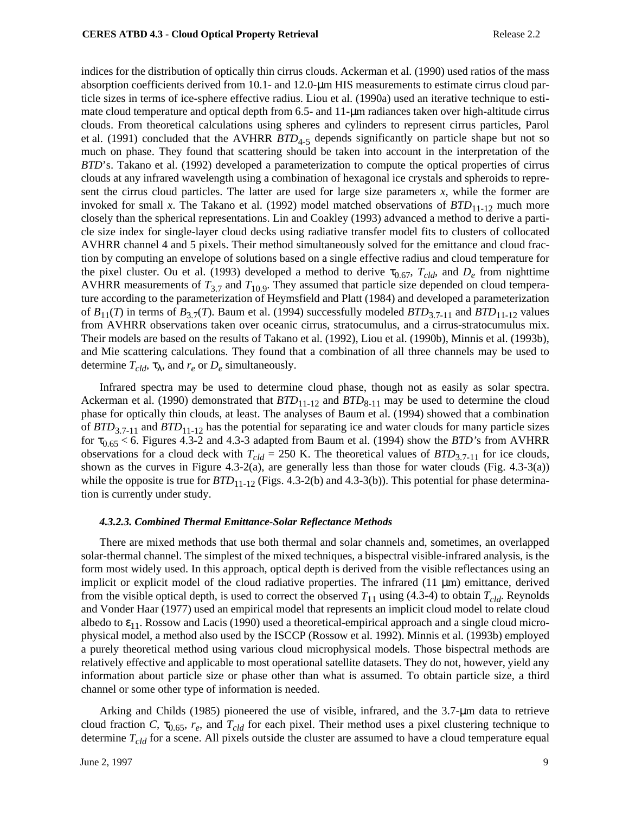indices for the distribution of optically thin cirrus clouds. Ackerman et al. (1990) used ratios of the mass absorption coefficients derived from 10.1- and 12.0-µm HIS measurements to estimate cirrus cloud particle sizes in terms of ice-sphere effective radius. Liou et al. (1990a) used an iterative technique to estimate cloud temperature and optical depth from 6.5- and 11-µm radiances taken over high-altitude cirrus clouds. From theoretical calculations using spheres and cylinders to represent cirrus particles, Parol et al. (1991) concluded that the AVHRR *BTD*4-5 depends significantly on particle shape but not so much on phase. They found that scattering should be taken into account in the interpretation of the *BTD*'s. Takano et al. (1992) developed a parameterization to compute the optical properties of cirrus clouds at any infrared wavelength using a combination of hexagonal ice crystals and spheroids to represent the cirrus cloud particles. The latter are used for large size parameters *x*, while the former are invoked for small *x*. The Takano et al. (1992) model matched observations of  $BTD_{11-12}$  much more closely than the spherical representations. Lin and Coakley (1993) advanced a method to derive a particle size index for single-layer cloud decks using radiative transfer model fits to clusters of collocated AVHRR channel 4 and 5 pixels. Their method simultaneously solved for the emittance and cloud fraction by computing an envelope of solutions based on a single effective radius and cloud temperature for the pixel cluster. Ou et al. (1993) developed a method to derive  $\tau_{0.67}$ ,  $T_{cld}$ , and  $D_e$  from nighttime AVHRR measurements of  $T_{3.7}$  and  $T_{10.9}$ . They assumed that particle size depended on cloud temperature according to the parameterization of Heymsfield and Platt (1984) and developed a parameterization of  $B_{11}(T)$  in terms of  $B_{3.7}(T)$ . Baum et al. (1994) successfully modeled  $BTD_{3.7-11}$  and  $BTD_{11-12}$  values from AVHRR observations taken over oceanic cirrus, stratocumulus, and a cirrus-stratocumulus mix. Their models are based on the results of Takano et al. (1992), Liou et al. (1990b), Minnis et al. (1993b), and Mie scattering calculations. They found that a combination of all three channels may be used to determine  $T_{cld}$ ,  $\tau_{\lambda}$ , and  $r_e$  or  $D_e$  simultaneously.

Infrared spectra may be used to determine cloud phase, though not as easily as solar spectra. Ackerman et al. (1990) demonstrated that  $BTD_{11-12}$  and  $BTD_{8-11}$  may be used to determine the cloud phase for optically thin clouds, at least. The analyses of Baum et al. (1994) showed that a combination of *BTD*<sub>3.7-11</sub> and *BTD*<sub>11-12</sub> has the potential for separating ice and water clouds for many particle sizes for  $\tau_{0.65}$  < 6. Figures 4.3-2 and 4.3-3 adapted from Baum et al. (1994) show the *BTD*'s from AVHRR observations for a cloud deck with  $T_{cld} = 250$  K. The theoretical values of  $BTD_{3.7-11}$  for ice clouds, shown as the curves in Figure 4.3-2(a), are generally less than those for water clouds (Fig. 4.3-3(a)) while the opposite is true for  $BTD_{11-12}$  (Figs. 4.3-2(b) and 4.3-3(b)). This potential for phase determination is currently under study.

#### *4.3.2.3. Combined Thermal Emittance-Solar Reflectance Methods*

There are mixed methods that use both thermal and solar channels and, sometimes, an overlapped solar-thermal channel. The simplest of the mixed techniques, a bispectral visible-infrared analysis, is the form most widely used. In this approach, optical depth is derived from the visible reflectances using an implicit or explicit model of the cloud radiative properties. The infrared  $(11 \mu m)$  emittance, derived from the visible optical depth, is used to correct the observed  $T_{11}$  using (4.3-4) to obtain  $T_{cld}$ . Reynolds and Vonder Haar (1977) used an empirical model that represents an implicit cloud model to relate cloud albedo to  $\varepsilon_{11}$ . Rossow and Lacis (1990) used a theoretical-empirical approach and a single cloud microphysical model, a method also used by the ISCCP (Rossow et al. 1992). Minnis et al. (1993b) employed a purely theoretical method using various cloud microphysical models. Those bispectral methods are relatively effective and applicable to most operational satellite datasets. They do not, however, yield any information about particle size or phase other than what is assumed. To obtain particle size, a third channel or some other type of information is needed.

Arking and Childs (1985) pioneered the use of visible, infrared, and the 3.7-µm data to retrieve cloud fraction *C*,  $\tau_{0.65}$ ,  $r_e$ , and  $T_{cld}$  for each pixel. Their method uses a pixel clustering technique to determine  $T_{cld}$  for a scene. All pixels outside the cluster are assumed to have a cloud temperature equal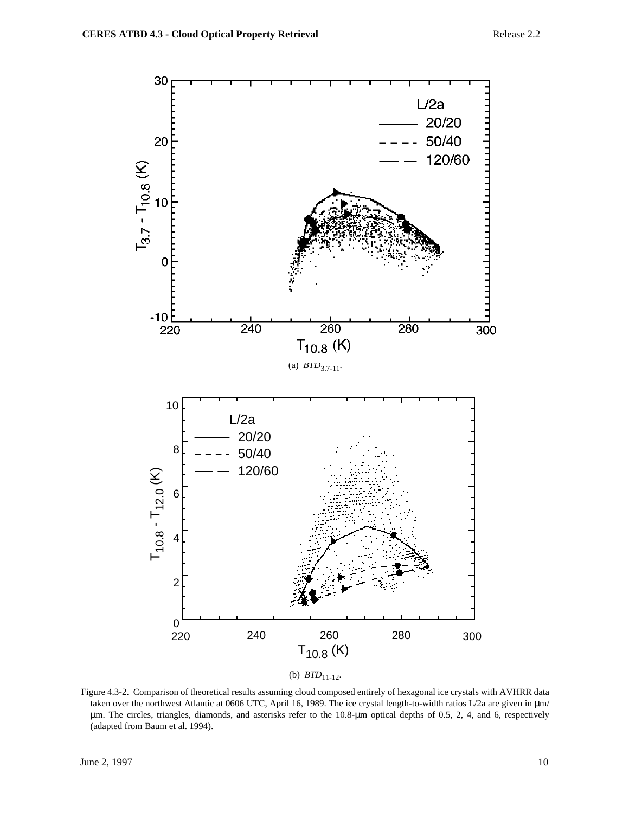

Figure 4.3-2. Comparison of theoretical results assuming cloud composed entirely of hexagonal ice crystals with AVHRR data taken over the northwest Atlantic at 0606 UTC, April 16, 1989. The ice crystal length-to-width ratios L/2a are given in µm/ µm. The circles, triangles, diamonds, and asterisks refer to the 10.8-µm optical depths of 0.5, 2, 4, and 6, respectively (adapted from Baum et al. 1994).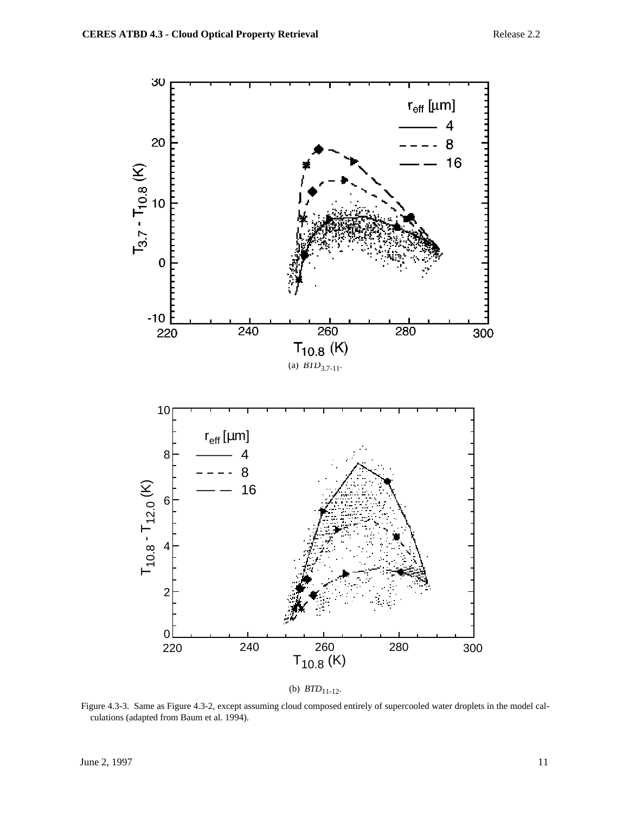

(b)  $\mathit{BTD}_{11-12}$ .

Figure 4.3-3. Same as Figure 4.3-2, except assuming cloud composed entirely of supercooled water droplets in the model calculations (adapted from Baum et al. 1994).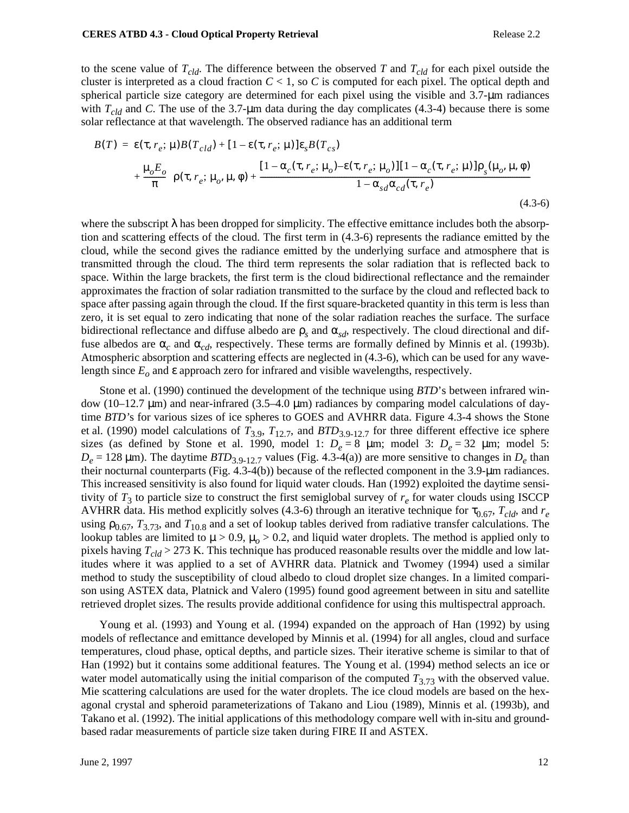#### **CERES ATBD 4.3 - Cloud Optical Property Retrieval Access 2.2 Access 2.2 Access 2.2**

to the scene value of  $T_{cld}$ . The difference between the observed *T* and  $T_{cld}$  for each pixel outside the cluster is interpreted as a cloud fraction  $C < 1$ , so  $C$  is computed for each pixel. The optical depth and spherical particle size category are determined for each pixel using the visible and 3.7-um radiances with  $T_{cld}$  and *C*. The use of the 3.7-µm data during the day complicates (4.3-4) because there is some solar reflectance at that wavelength. The observed radiance has an additional term

$$
B(T) = \varepsilon(\tau, r_e; \mu) B(T_{cld}) + [1 - \varepsilon(\tau, r_e; \mu)] \varepsilon_s B(T_{cs})
$$
  
+ 
$$
\frac{\mu_o E_o}{\pi} \Biggl\{ \rho(\tau, r_e; \mu_o, \mu, \phi) + \frac{[1 - \alpha_c(\tau, r_e; \mu_o) - \varepsilon(\tau, r_e; \mu_o)][1 - \alpha_c(\tau, r_e; \mu)] \rho_s(\mu_o, \mu, \phi)}{1 - \alpha_{sd} \alpha_{cd}(\tau, r_e)} \Biggr\}
$$
(4.3-6)

where the subscript  $\lambda$  has been dropped for simplicity. The effective emittance includes both the absorption and scattering effects of the cloud. The first term in (4.3-6) represents the radiance emitted by the cloud, while the second gives the radiance emitted by the underlying surface and atmosphere that is transmitted through the cloud. The third term represents the solar radiation that is reflected back to space. Within the large brackets, the first term is the cloud bidirectional reflectance and the remainder approximates the fraction of solar radiation transmitted to the surface by the cloud and reflected back to space after passing again through the cloud. If the first square-bracketed quantity in this term is less than zero, it is set equal to zero indicating that none of the solar radiation reaches the surface. The surface bidirectional reflectance and diffuse albedo are  $\rho_s$  and  $\alpha_{sd}$ , respectively. The cloud directional and diffuse albedos are  $\alpha_c$  and  $\alpha_{cd}$ , respectively. These terms are formally defined by Minnis et al. (1993b). Atmospheric absorption and scattering effects are neglected in (4.3-6), which can be used for any wavelength since *Eo* and ε approach zero for infrared and visible wavelengths, respectively.

Stone et al. (1990) continued the development of the technique using *BTD*'s between infrared window (10–12.7  $\mu$ m) and near-infrared (3.5–4.0  $\mu$ m) radiances by comparing model calculations of daytime *BTD'*s for various sizes of ice spheres to GOES and AVHRR data. Figure 4.3-4 shows the Stone et al. (1990) model calculations of  $T_{3,9}$ ,  $T_{12,7}$ , and  $BTD_{3,9-12,7}$  for three different effective ice sphere sizes (as defined by Stone et al. 1990, model 1:  $D_e = 8 \mu m$ ; model 3:  $D_e = 32 \mu m$ ; model 5:  $D_e = 128 \text{ }\mu\text{m}$ ). The daytime  $BTD_{3.9-12.7}$  values (Fig. 4.3-4(a)) are more sensitive to changes in  $D_e$  than their nocturnal counterparts (Fig. 4.3-4(b)) because of the reflected component in the  $3.9$ - $\mu$ m radiances. This increased sensitivity is also found for liquid water clouds. Han (1992) exploited the daytime sensitivity of  $T_3$  to particle size to construct the first semiglobal survey of  $r_e$  for water clouds using ISCCP AVHRR data. His method explicitly solves (4.3-6) through an iterative technique for  $\tau_{0.67}$ ,  $T_{cld}$ , and  $r_e$ using  $\rho_{0.67}$ ,  $T_{3.73}$ , and  $T_{10.8}$  and a set of lookup tables derived from radiative transfer calculations. The lookup tables are limited to  $\mu > 0.9$ ,  $\mu_o > 0.2$ , and liquid water droplets. The method is applied only to pixels having  $T_{cld}$  > 273 K. This technique has produced reasonable results over the middle and low latitudes where it was applied to a set of AVHRR data. Platnick and Twomey (1994) used a similar method to study the susceptibility of cloud albedo to cloud droplet size changes. In a limited comparison using ASTEX data, Platnick and Valero (1995) found good agreement between in situ and satellite retrieved droplet sizes. The results provide additional confidence for using this multispectral approach.

Young et al. (1993) and Young et al. (1994) expanded on the approach of Han (1992) by using models of reflectance and emittance developed by Minnis et al. (1994) for all angles, cloud and surface temperatures, cloud phase, optical depths, and particle sizes. Their iterative scheme is similar to that of Han (1992) but it contains some additional features. The Young et al. (1994) method selects an ice or water model automatically using the initial comparison of the computed  $T_{3.73}$  with the observed value. Mie scattering calculations are used for the water droplets. The ice cloud models are based on the hexagonal crystal and spheroid parameterizations of Takano and Liou (1989), Minnis et al. (1993b), and Takano et al. (1992). The initial applications of this methodology compare well with in-situ and groundbased radar measurements of particle size taken during FIRE II and ASTEX.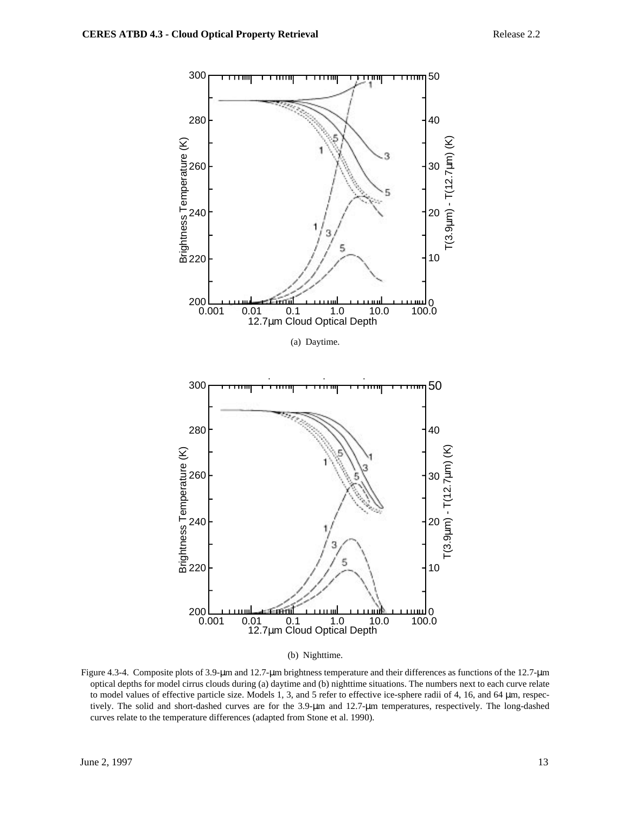

(b) Nighttime.

Figure 4.3-4. Composite plots of 3.9-µm and 12.7-µm brightness temperature and their differences as functions of the 12.7-µm optical depths for model cirrus clouds during (a) daytime and (b) nighttime situations. The numbers next to each curve relate to model values of effective particle size. Models 1, 3, and 5 refer to effective ice-sphere radii of 4, 16, and 64 µm, respectively. The solid and short-dashed curves are for the 3.9-µm and 12.7-µm temperatures, respectively. The long-dashed curves relate to the temperature differences (adapted from Stone et al. 1990).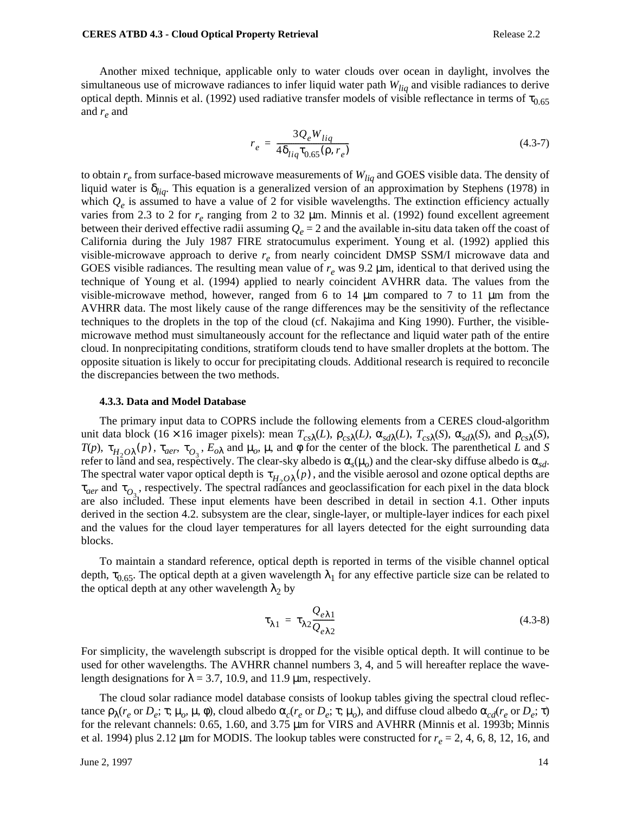Another mixed technique, applicable only to water clouds over ocean in daylight, involves the simultaneous use of microwave radiances to infer liquid water path  $W_{liq}$  and visible radiances to derive optical depth. Minnis et al. (1992) used radiative transfer models of visible reflectance in terms of  $\tau_{0.65}$ and *re* and

$$
r_e = \frac{3Q_e W_{liq}}{4\delta_{liq}\tau_{0.65}(\rho, r_e)}
$$
(4.3-7)

to obtain *re* from surface-based microwave measurements of *Wliq* and GOES visible data. The density of liquid water is  $\delta_{liq}$ . This equation is a generalized version of an approximation by Stephens (1978) in which  $Q_e$  is assumed to have a value of 2 for visible wavelengths. The extinction efficiency actually varies from 2.3 to 2 for  $r_e$  ranging from 2 to 32  $\mu$ m. Minnis et al. (1992) found excellent agreement between their derived effective radii assuming  $Q_e = 2$  and the available in-situ data taken off the coast of California during the July 1987 FIRE stratocumulus experiment. Young et al. (1992) applied this visible-microwave approach to derive *re* from nearly coincident DMSP SSM/I microwave data and GOES visible radiances. The resulting mean value of  $r_e$  was 9.2  $\mu$ m, identical to that derived using the technique of Young et al. (1994) applied to nearly coincident AVHRR data. The values from the visible-microwave method, however, ranged from 6 to 14  $\mu$ m compared to 7 to 11  $\mu$ m from the AVHRR data. The most likely cause of the range differences may be the sensitivity of the reflectance techniques to the droplets in the top of the cloud (cf. Nakajima and King 1990). Further, the visiblemicrowave method must simultaneously account for the reflectance and liquid water path of the entire cloud. In nonprecipitating conditions, stratiform clouds tend to have smaller droplets at the bottom. The opposite situation is likely to occur for precipitating clouds. Additional research is required to reconcile the discrepancies between the two methods.

#### **4.3.3. Data and Model Database**

The primary input data to COPRS include the following elements from a CERES cloud-algorithm unit data block (16 × 16 imager pixels): mean  $T_{cs\lambda}(L)$ ,  $\rho_{cs\lambda}(L)$ ,  $\alpha_{sd\lambda}(L)$ ,  $T_{cs\lambda}(S)$ ,  $\alpha_{sd\lambda}(S)$ , and  $\rho_{cs\lambda}(S)$ , *T*(*p*),  $\tau_{H_2O\lambda}(p)$ ,  $\tau_{aer}$ ,  $\tau_{O_3}$ ,  $E_{o\lambda}$  and  $\mu_o$ ,  $\mu$ , and φ for the center of the block. The parenthetical *L* and *S* refer to land and sea, respectively. The clear-sky albedo is  $\alpha_s(\mu_o)$  and the clear-sky diffuse albedo is  $\alpha_{sd}$ . The spectral water vapor optical depth is  $\tau_{H_2O\lambda}(p)$ , and the visible aerosol and ozone optical depths are  $\tau_{aer}$  and  $\tau_{O_3}$ , respectively. The spectral radiances and geoclassification for each pixel in the data block are also included. These input elements have been described in detail in section 4.1. Other inputs derived in the section 4.2. subsystem are the clear, single-layer, or multiple-layer indices for each pixel and the values for the cloud layer temperatures for all layers detected for the eight surrounding data blocks.

To maintain a standard reference, optical depth is reported in terms of the visible channel optical depth,  $\tau_{0.65}$ . The optical depth at a given wavelength  $\lambda_1$  for any effective particle size can be related to the optical depth at any other wavelength  $\lambda_2$  by

$$
\tau_{\lambda 1} = \tau_{\lambda 2} \frac{Q_{e\lambda 1}}{Q_{e\lambda 2}}
$$
 (4.3-8)

For simplicity, the wavelength subscript is dropped for the visible optical depth. It will continue to be used for other wavelengths. The AVHRR channel numbers 3, 4, and 5 will hereafter replace the wavelength designations for  $\lambda = 3.7$ , 10.9, and 11.9 µm, respectively.

The cloud solar radiance model database consists of lookup tables giving the spectral cloud reflectance  $ρ<sub>λ</sub>(r<sub>e</sub>$  or  $D<sub>e</sub>$ ; τ; μ<sub>*o*</sub>, μ, φ), cloud albedo  $α<sub>c</sub>(r<sub>e</sub>$  or  $D<sub>e</sub>$ ; τ; μ<sub>*o*</sub>), and diffuse cloud albedo  $α<sub>c</sub>(r<sub>e</sub>$  or  $D<sub>e</sub>$ ; τ) for the relevant channels: 0.65, 1.60, and 3.75 µm for VIRS and AVHRR (Minnis et al. 1993b; Minnis et al. 1994) plus 2.12  $\mu$ m for MODIS. The lookup tables were constructed for  $r_e = 2, 4, 6, 8, 12, 16,$  and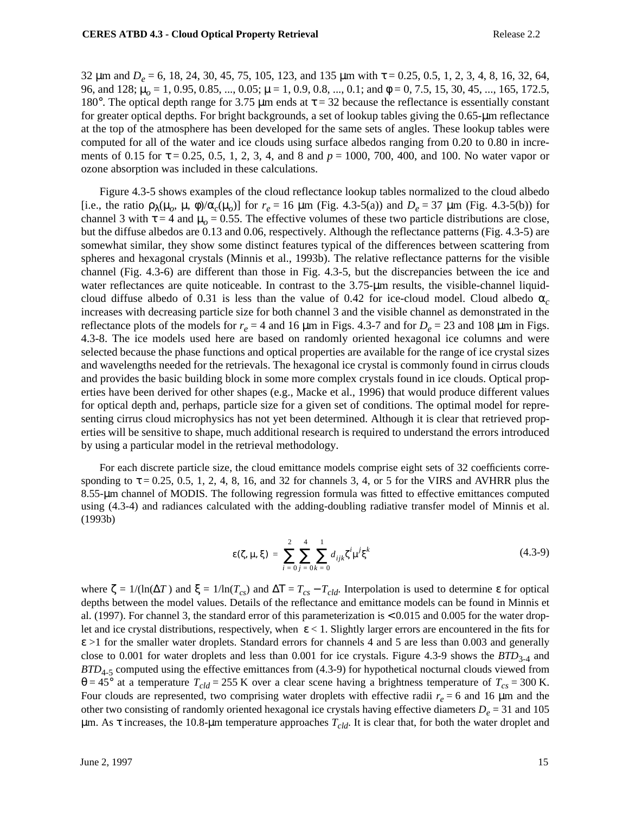32 µm and *De* = 6, 18, 24, 30, 45, 75, 105, 123, and 135 µm with τ = 0.25, 0.5, 1, 2, 3, 4, 8, 16, 32, 64, 96, and 128;  $\mu_0 = 1, 0.95, 0.85, ..., 0.05; \mu = 1, 0.9, 0.8, ..., 0.1;$  and  $\phi = 0, 7.5, 15, 30, 45, ..., 165, 172.5,$ 180°. The optical depth range for 3.75 µm ends at  $\tau = 32$  because the reflectance is essentially constant for greater optical depths. For bright backgrounds, a set of lookup tables giving the 0.65-µm reflectance at the top of the atmosphere has been developed for the same sets of angles. These lookup tables were computed for all of the water and ice clouds using surface albedos ranging from 0.20 to 0.80 in increments of 0.15 for  $\tau = 0.25, 0.5, 1, 2, 3, 4$ , and 8 and  $p = 1000, 700, 400$ , and 100. No water vapor or ozone absorption was included in these calculations.

Figure 4.3-5 shows examples of the cloud reflectance lookup tables normalized to the cloud albedo [i.e., the ratio  $\rho_{\lambda}(\mu_o, \mu, \phi)/\alpha_c(\mu_o)$ ] for  $r_e = 16 \mu m$  (Fig. 4.3-5(a)) and  $D_e = 37 \mu m$  (Fig. 4.3-5(b)) for channel 3 with  $\tau = 4$  and  $\mu_0 = 0.55$ . The effective volumes of these two particle distributions are close, but the diffuse albedos are 0.13 and 0.06, respectively. Although the reflectance patterns (Fig. 4.3-5) are somewhat similar, they show some distinct features typical of the differences between scattering from spheres and hexagonal crystals (Minnis et al., 1993b). The relative reflectance patterns for the visible channel (Fig. 4.3-6) are different than those in Fig. 4.3-5, but the discrepancies between the ice and water reflectances are quite noticeable. In contrast to the 3.75-µm results, the visible-channel liquidcloud diffuse albedo of 0.31 is less than the value of 0.42 for ice-cloud model. Cloud albedo α*<sup>c</sup>* increases with decreasing particle size for both channel 3 and the visible channel as demonstrated in the reflectance plots of the models for  $r_e = 4$  and 16  $\mu$ m in Figs. 4.3-7 and for  $D_e = 23$  and 108  $\mu$ m in Figs. 4.3-8. The ice models used here are based on randomly oriented hexagonal ice columns and were selected because the phase functions and optical properties are available for the range of ice crystal sizes and wavelengths needed for the retrievals. The hexagonal ice crystal is commonly found in cirrus clouds and provides the basic building block in some more complex crystals found in ice clouds. Optical properties have been derived for other shapes (e.g., Macke et al., 1996) that would produce different values for optical depth and, perhaps, particle size for a given set of conditions. The optimal model for representing cirrus cloud microphysics has not yet been determined. Although it is clear that retrieved properties will be sensitive to shape, much additional research is required to understand the errors introduced by using a particular model in the retrieval methodology.

For each discrete particle size, the cloud emittance models comprise eight sets of 32 coefficients corresponding to  $\tau = 0.25, 0.5, 1, 2, 4, 8, 16$ , and 32 for channels 3, 4, or 5 for the VIRS and AVHRR plus the 8.55-µm channel of MODIS. The following regression formula was fitted to effective emittances computed using (4.3-4) and radiances calculated with the adding-doubling radiative transfer model of Minnis et al. (1993b)

$$
\varepsilon(\zeta, \mu, \xi) = \sum_{i=0}^{2} \sum_{j=0}^{4} \sum_{k=0}^{1} d_{ijk} \zeta^{i} \mu^{j} \xi^{k}
$$
(4.3-9)

where  $\zeta = 1/(ln(\Delta T))$  and  $\xi = 1/ln(T_{cs})$  and  $\Delta T = T_{cs} - T_{cld}$ . Interpolation is used to determine ε for optical depths between the model values. Details of the reflectance and emittance models can be found in Minnis et al. (1997). For channel 3, the standard error of this parameterization is < 0.015 and 0.005 for the water droplet and ice crystal distributions, respectively, when  $\varepsilon < 1$ . Slightly larger errors are encountered in the fits for ε >1 for the smaller water droplets. Standard errors for channels 4 and 5 are less than 0.003 and generally close to 0.001 for water droplets and less than 0.001 for ice crystals. Figure 4.3-9 shows the  $BTD_{3-4}$  and *BTD*<sub>4-5</sub> computed using the effective emittances from (4.3-9) for hypothetical nocturnal clouds viewed from  $\theta = 45^{\circ}$  at a temperature  $T_{cld} = 255$  K over a clear scene having a brightness temperature of  $T_{cs} = 300$  K. Four clouds are represented, two comprising water droplets with effective radii  $r_e = 6$  and 16  $\mu$ m and the other two consisting of randomly oriented hexagonal ice crystals having effective diameters  $D_e = 31$  and 105 μm. As τ increases, the 10.8-μm temperature approaches  $T_{cld}$ . It is clear that, for both the water droplet and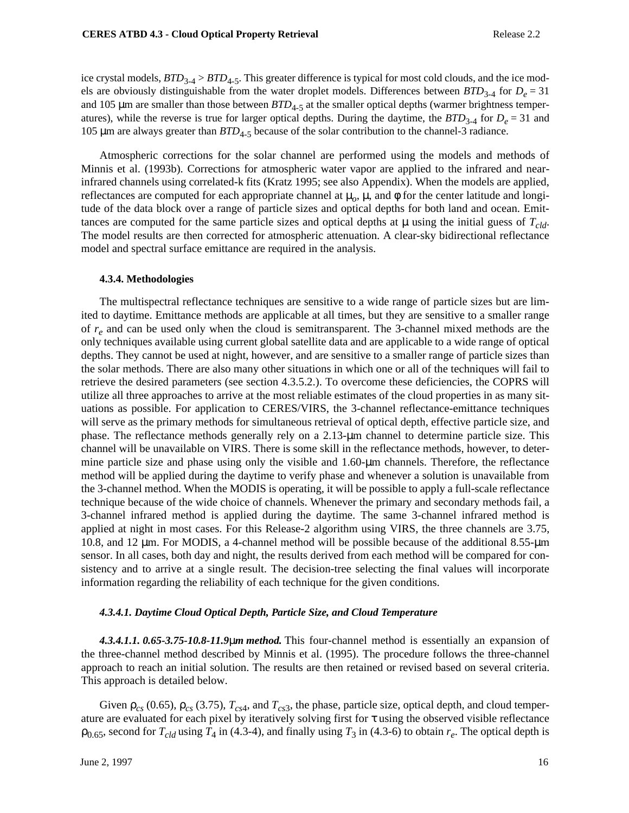ice crystal models,  $BTD_{3-4} > BTD_{4-5}$ . This greater difference is typical for most cold clouds, and the ice models are obviously distinguishable from the water droplet models. Differences between  $BTD_{3-4}$  for  $D_e = 31$ and 105  $\mu$ m are smaller than those between  $BTD_{4-5}$  at the smaller optical depths (warmer brightness temperatures), while the reverse is true for larger optical depths. During the daytime, the  $BTD_{3-4}$  for  $D_e = 31$  and 105 µm are always greater than *BTD*4-5 because of the solar contribution to the channel-3 radiance.

Atmospheric corrections for the solar channel are performed using the models and methods of Minnis et al. (1993b). Corrections for atmospheric water vapor are applied to the infrared and nearinfrared channels using correlated-k fits (Kratz 1995; see also Appendix). When the models are applied, reflectances are computed for each appropriate channel at  $\mu$ <sub>*o*</sub>,  $\mu$ , and φ for the center latitude and longitude of the data block over a range of particle sizes and optical depths for both land and ocean. Emittances are computed for the same particle sizes and optical depths at  $\mu$  using the initial guess of  $T_{cld}$ . The model results are then corrected for atmospheric attenuation. A clear-sky bidirectional reflectance model and spectral surface emittance are required in the analysis.

#### **4.3.4. Methodologies**

The multispectral reflectance techniques are sensitive to a wide range of particle sizes but are limited to daytime. Emittance methods are applicable at all times, but they are sensitive to a smaller range of  $r_e$  and can be used only when the cloud is semitransparent. The 3-channel mixed methods are the only techniques available using current global satellite data and are applicable to a wide range of optical depths. They cannot be used at night, however, and are sensitive to a smaller range of particle sizes than the solar methods. There are also many other situations in which one or all of the techniques will fail to retrieve the desired parameters (see section 4.3.5.2.). To overcome these deficiencies, the COPRS will utilize all three approaches to arrive at the most reliable estimates of the cloud properties in as many situations as possible. For application to CERES/VIRS, the 3-channel reflectance-emittance techniques will serve as the primary methods for simultaneous retrieval of optical depth, effective particle size, and phase. The reflectance methods generally rely on a 2.13-µm channel to determine particle size. This channel will be unavailable on VIRS. There is some skill in the reflectance methods, however, to determine particle size and phase using only the visible and 1.60-µm channels. Therefore, the reflectance method will be applied during the daytime to verify phase and whenever a solution is unavailable from the 3-channel method. When the MODIS is operating, it will be possible to apply a full-scale reflectance technique because of the wide choice of channels. Whenever the primary and secondary methods fail, a 3-channel infrared method is applied during the daytime. The same 3-channel infrared method is applied at night in most cases. For this Release-2 algorithm using VIRS, the three channels are 3.75, 10.8, and 12 µm. For MODIS, a 4-channel method will be possible because of the additional 8.55-µm sensor. In all cases, both day and night, the results derived from each method will be compared for consistency and to arrive at a single result. The decision-tree selecting the final values will incorporate information regarding the reliability of each technique for the given conditions.

#### *4.3.4.1. Daytime Cloud Optical Depth, Particle Size, and Cloud Temperature*

*4.3.4.1.1. 0.65-3.75-10.8-11.9*µ*m method.* This four-channel method is essentially an expansion of the three-channel method described by Minnis et al. (1995). The procedure follows the three-channel approach to reach an initial solution. The results are then retained or revised based on several criteria. This approach is detailed below.

Given  $\rho_{cs}$  (0.65),  $\rho_{cs}$  (3.75),  $T_{cs4}$ , and  $T_{cs3}$ , the phase, particle size, optical depth, and cloud temperature are evaluated for each pixel by iteratively solving first for τ using the observed visible reflectance  $\rho_{0.65}$ , second for  $T_{cld}$  using  $T_4$  in (4.3-4), and finally using  $T_3$  in (4.3-6) to obtain  $r_e$ . The optical depth is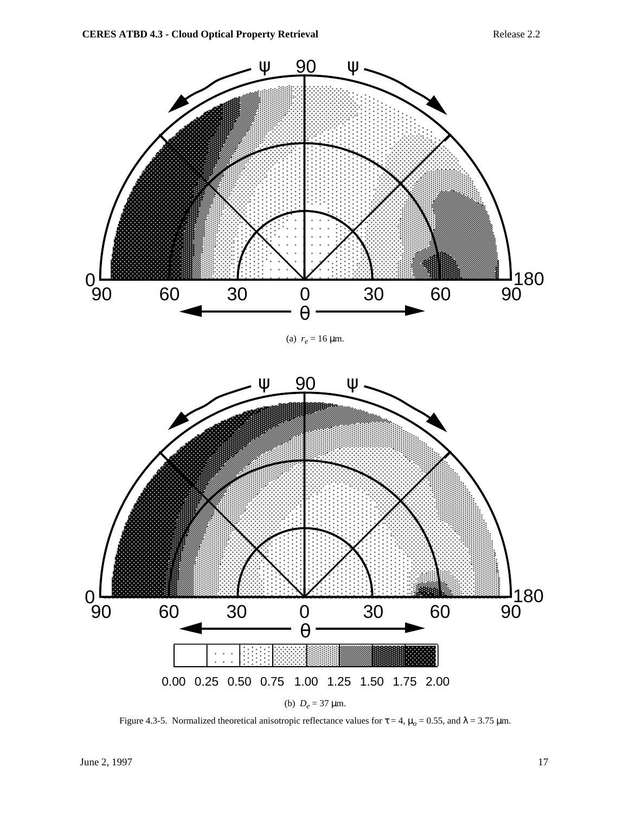



Figure 4.3-5. Normalized theoretical anisotropic reflectance values for  $\tau = 4$ ,  $\mu_0 = 0.55$ , and  $\lambda = 3.75$   $\mu$ m.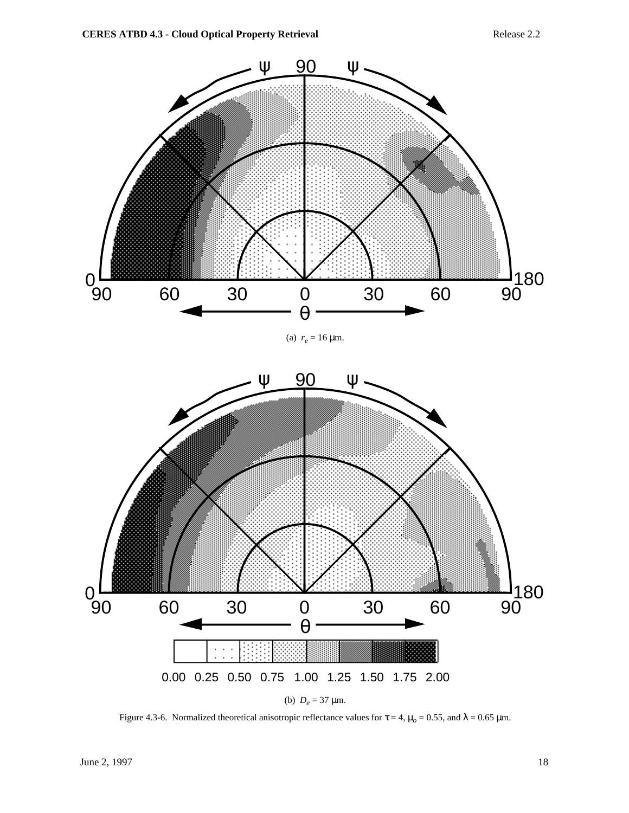

Figure 4.3-6. Normalized theoretical anisotropic reflectance values for  $\tau = 4$ ,  $\mu_0 = 0.55$ , and  $\lambda = 0.65$   $\mu$ m.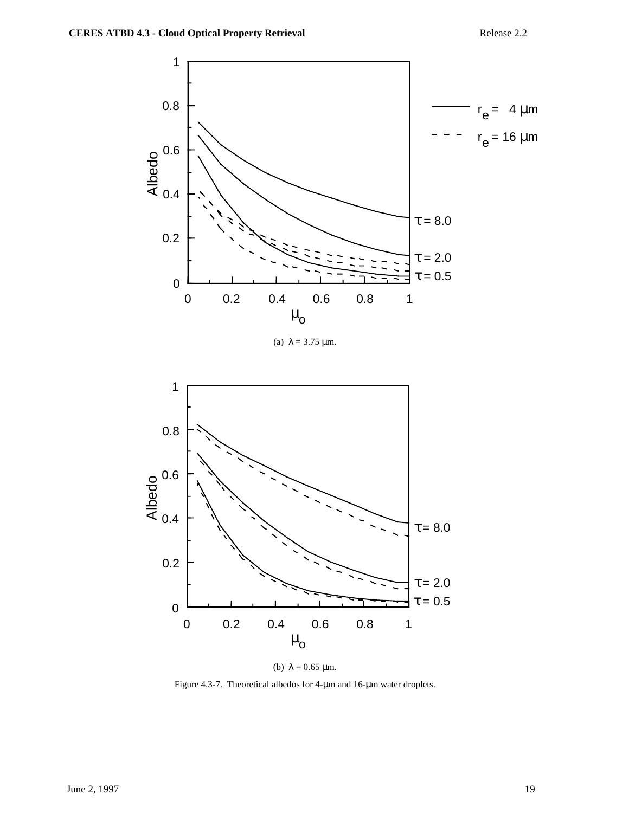

(a)  $\lambda = 3.75 \text{ }\mu\text{m}$ .



(b)  $\lambda = 0.65 \,\mu \text{m}$ .

Figure 4.3-7. Theoretical albedos for 4-µm and 16-µm water droplets.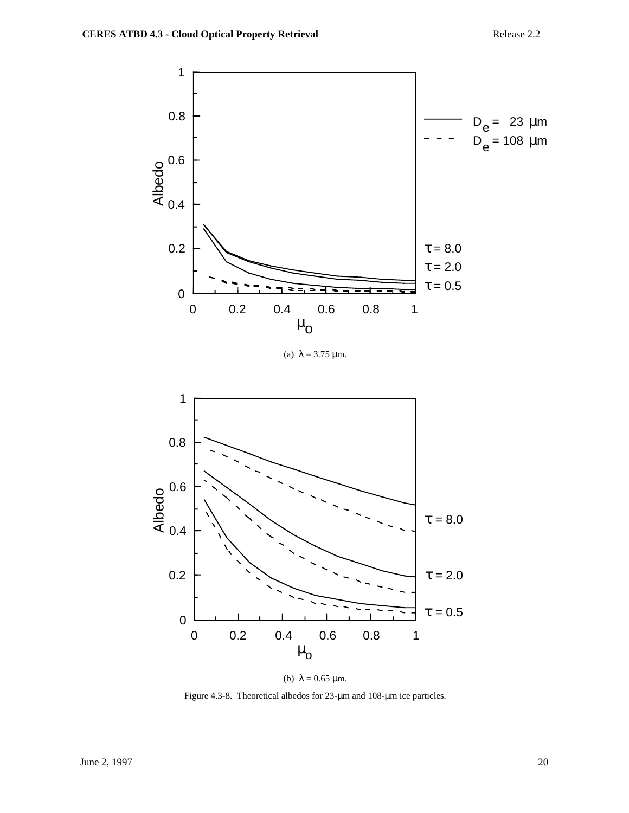

(a)  $\lambda = 3.75 \,\mu \text{m}$ .



(b)  $\lambda = 0.65$  μm.

Figure 4.3-8. Theoretical albedos for 23-µm and 108-µm ice particles.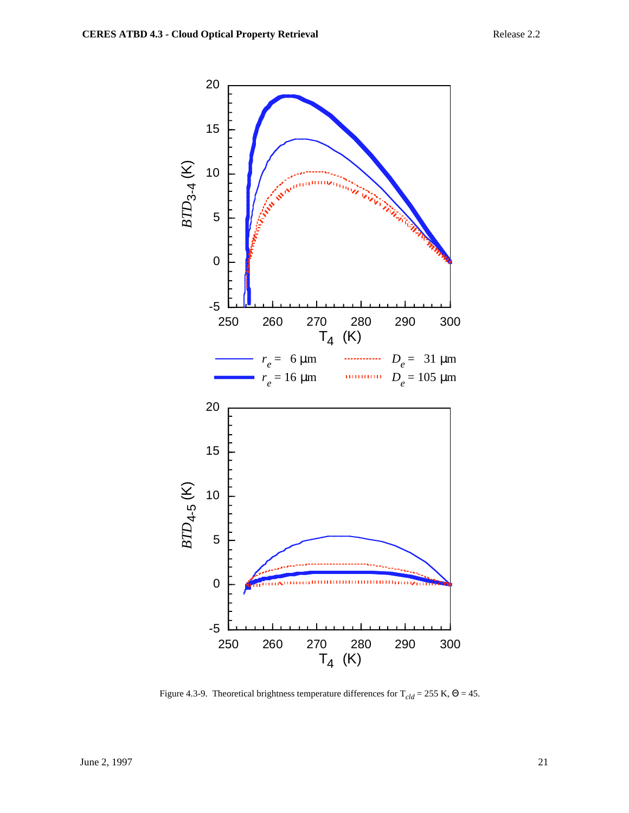

Figure 4.3-9. Theoretical brightness temperature differences for T*cld* = 255 K, Θ = 45 .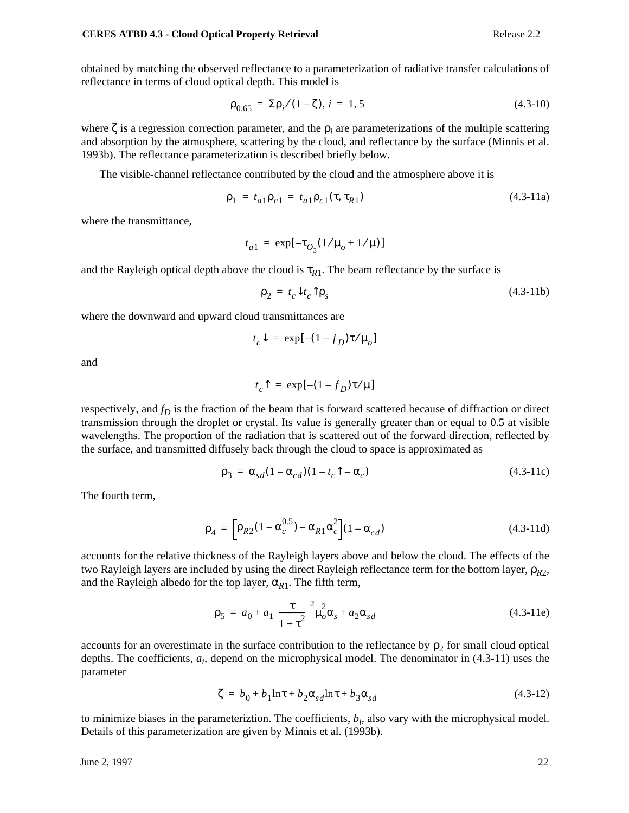obtained by matching the observed reflectance to a parameterization of radiative transfer calculations of reflectance in terms of cloud optical depth. This model is

$$
\rho_{0.65} = \Sigma \rho_i / (1 - \zeta), \, i = 1, 5 \tag{4.3-10}
$$

where  $\zeta$  is a regression correction parameter, and the  $\rho_i$  are parameterizations of the multiple scattering and absorption by the atmosphere, scattering by the cloud, and reflectance by the surface (Minnis et al. 1993b). The reflectance parameterization is described briefly below.

The visible-channel reflectance contributed by the cloud and the atmosphere above it is

$$
\rho_1 = t_{a1}\rho_{c1} = t_{a1}\rho_{c1}(\tau, \tau_{R1})
$$
\n(4.3-11a)

where the transmittance,

$$
t_{a1} = \exp[-\tau_{O_3}(1/\mu_o + 1/\mu)]
$$

and the Rayleigh optical depth above the cloud is  $\tau_{R1}$ . The beam reflectance by the surface is

$$
\rho_2 = t_c \psi t_c \hat{\mathsf{p}}_s \tag{4.3-11b}
$$

where the downward and upward cloud transmittances are

$$
t_c \mathbf{v} = \exp[-(1 - f_D)\tau/\mu_o]
$$

and

$$
t_c \uparrow = \exp[-(1 - f_D)\tau/\mu]
$$

respectively, and  $f<sub>D</sub>$  is the fraction of the beam that is forward scattered because of diffraction or direct transmission through the droplet or crystal. Its value is generally greater than or equal to 0.5 at visible wavelengths. The proportion of the radiation that is scattered out of the forward direction, reflected by the surface, and transmitted diffusely back through the cloud to space is approximated as

$$
\rho_3 = \alpha_{sd} (1 - \alpha_{cd}) (1 - t_c \mathsf{T} - \alpha_c) \tag{4.3-11c}
$$

The fourth term,

$$
\rho_4 = \left[ \rho_{R2} (1 - \alpha_c^{0.5}) - \alpha_{R1} \alpha_c^2 \right] (1 - \alpha_{cd}) \tag{4.3-11d}
$$

accounts for the relative thickness of the Rayleigh layers above and below the cloud. The effects of the two Rayleigh layers are included by using the direct Rayleigh reflectance term for the bottom layer, ρ<sub>*R*2</sub>, and the Rayleigh albedo for the top layer,  $\alpha_{R1}$ . The fifth term,

$$
\rho_5 = a_0 + a_1 \left(\frac{\tau}{1+\tau^2}\right)^2 \mu_o^2 \alpha_s + a_2 \alpha_{sd}
$$
\n(4.3-11e)

accounts for an overestimate in the surface contribution to the reflectance by  $\rho_2$  for small cloud optical depths. The coefficients,  $a_i$ , depend on the microphysical model. The denominator in (4.3-11) uses the parameter

$$
\zeta = b_0 + b_1 \ln \tau + b_2 \alpha_{sd} \ln \tau + b_3 \alpha_{sd} \tag{4.3-12}
$$

to minimize biases in the parameteriztion. The coefficients,  $b_i$ , also vary with the microphysical model. Details of this parameterization are given by Minnis et al. (1993b).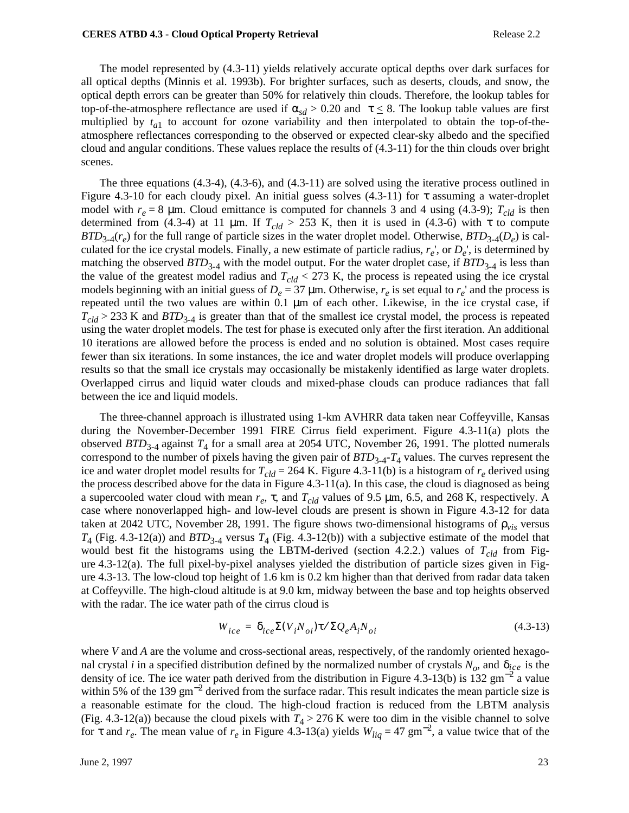The model represented by (4.3-11) yields relatively accurate optical depths over dark surfaces for all optical depths (Minnis et al. 1993b). For brighter surfaces, such as deserts, clouds, and snow, the optical depth errors can be greater than 50% for relatively thin clouds. Therefore, the lookup tables for top-of-the-atmosphere reflectance are used if  $\alpha_{sd} > 0.20$  and  $\tau \leq 8$ . The lookup table values are first multiplied by  $t_{a1}$  to account for ozone variability and then interpolated to obtain the top-of-theatmosphere reflectances corresponding to the observed or expected clear-sky albedo and the specified cloud and angular conditions. These values replace the results of (4.3-11) for the thin clouds over bright scenes.

The three equations (4.3-4), (4.3-6), and (4.3-11) are solved using the iterative process outlined in Figure 4.3-10 for each cloudy pixel. An initial guess solves (4.3-11) for τ assuming a water-droplet model with  $r_e = 8$  µm. Cloud emittance is computed for channels 3 and 4 using (4.3-9);  $T_{cld}$  is then determined from (4.3-4) at 11 µm. If  $T_{cld} > 253$  K, then it is used in (4.3-6) with  $\tau$  to compute  $BTD_{3-4}(r_e)$  for the full range of particle sizes in the water droplet model. Otherwise,  $BTD_{3-4}(D_e)$  is calculated for the ice crystal models. Finally, a new estimate of particle radius,  $r_e$ , or  $D_e$ , is determined by matching the observed  $BTD_{3-4}$  with the model output. For the water droplet case, if  $BTD_{3-4}$  is less than the value of the greatest model radius and  $T_{cld}$  < 273 K, the process is repeated using the ice crystal models beginning with an initial guess of  $D_e = 37 \,\mu$ m. Otherwise,  $r_e$  is set equal to  $r_e$ ' and the process is repeated until the two values are within 0.1 µm of each other. Likewise, in the ice crystal case, if  $T_{cld}$  > 233 K and  $BTD_{3-4}$  is greater than that of the smallest ice crystal model, the process is repeated using the water droplet models. The test for phase is executed only after the first iteration. An additional 10 iterations are allowed before the process is ended and no solution is obtained. Most cases require fewer than six iterations. In some instances, the ice and water droplet models will produce overlapping results so that the small ice crystals may occasionally be mistakenly identified as large water droplets. Overlapped cirrus and liquid water clouds and mixed-phase clouds can produce radiances that fall between the ice and liquid models.

The three-channel approach is illustrated using 1-km AVHRR data taken near Coffeyville, Kansas during the November-December 1991 FIRE Cirrus field experiment. Figure 4.3-11(a) plots the observed *BTD*3-4 against *T*4 for a small area at 2054 UTC, November 26, 1991. The plotted numerals correspond to the number of pixels having the given pair of  $BTD_{3-4}-T_4$  values. The curves represent the ice and water droplet model results for  $T_{cld} = 264$  K. Figure 4.3-11(b) is a histogram of  $r_e$  derived using the process described above for the data in Figure 4.3-11(a). In this case, the cloud is diagnosed as being a supercooled water cloud with mean *r<sub>e</sub>*, τ, and *T<sub>cld</sub>* values of 9.5 μm, 6.5, and 268 K, respectively. A case where nonoverlapped high- and low-level clouds are present is shown in Figure 4.3-12 for data taken at 2042 UTC, November 28, 1991. The figure shows two-dimensional histograms of  $\rho_{vis}$  versus  $T_4$  (Fig. 4.3-12(a)) and *BTD*<sub>3-4</sub> versus  $T_4$  (Fig. 4.3-12(b)) with a subjective estimate of the model that would best fit the histograms using the LBTM-derived (section 4.2.2.) values of  $T_{cld}$  from Figure 4.3-12(a). The full pixel-by-pixel analyses yielded the distribution of particle sizes given in Figure 4.3-13. The low-cloud top height of 1.6 km is 0.2 km higher than that derived from radar data taken at Coffeyville. The high-cloud altitude is at 9.0 km, midway between the base and top heights observed with the radar. The ice water path of the cirrus cloud is

$$
W_{ice} = \delta_{ice} \Sigma (V_i N_{oi}) \tau / \Sigma Q_e A_i N_{oi}
$$
\n(4.3-13)

where *V* and *A* are the volume and cross-sectional areas, respectively, of the randomly oriented hexagonal crystal *i* in a specified distribution defined by the normalized number of crystals  $N_o$ , and  $\delta_{\text{ice}}$  is the density of ice. The ice water path derived from the distribution in Figure 4.3-13(b) is 132 gm<sup>-2</sup> a value within 5% of the 139 gm<sup>-2</sup> derived from the surface radar. This result indicates the mean particle size is a reasonable estimate for the cloud. The high-cloud fraction is reduced from the LBTM analysis (Fig. 4.3-12(a)) because the cloud pixels with  $T_4 > 276$  K were too dim in the visible channel to solve for  $\tau$  and  $r_e$ . The mean value of  $r_e$  in Figure 4.3-13(a) yields  $W_{liq} = 47 \text{ gm}^{-2}$ , a value twice that of the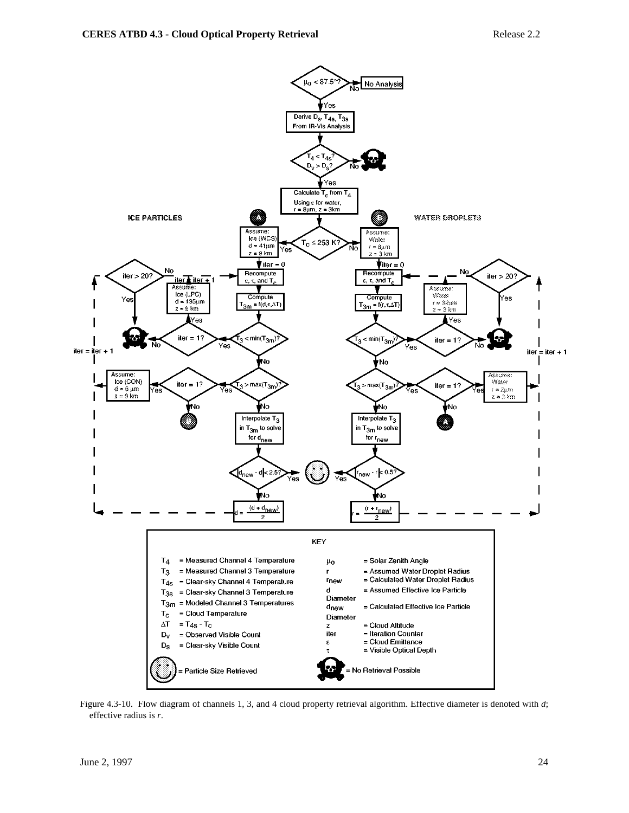

Figure 4.3-10. Flow diagram of channels 1, 3, and 4 cloud property retrieval algorithm. Effective diameter is denoted with *d*; effective radius is *r*.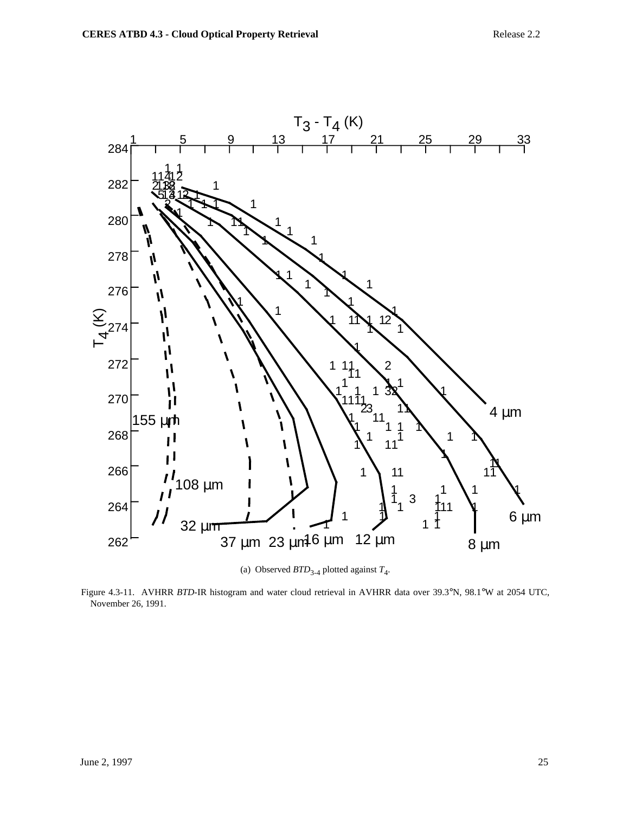

(a) Observed  $BTD_{3-4}$  plotted against  $T_4$ .

Figure 4.3-11. AVHRR *BTD*-IR histogram and water cloud retrieval in AVHRR data over 39.3°N, 98.1°W at 2054 UTC, November 26, 1991.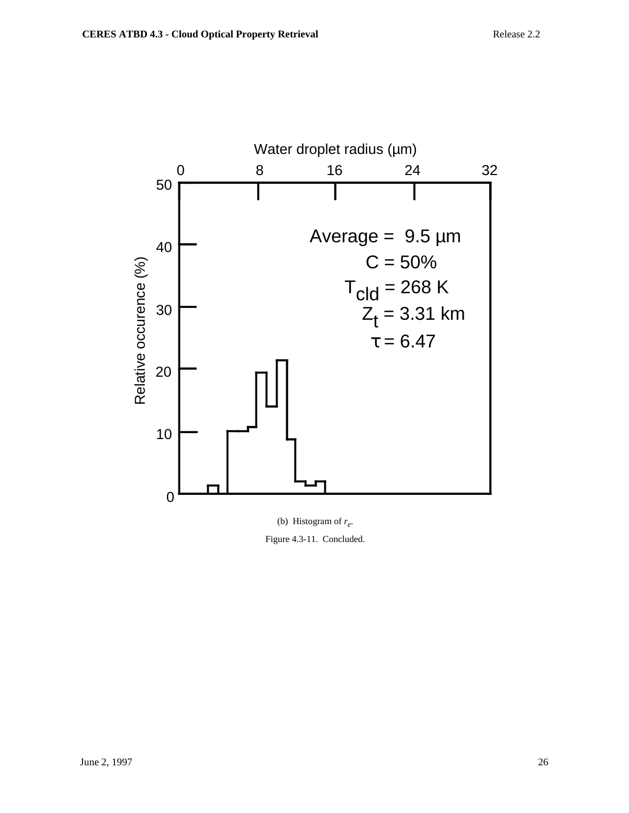

(b) Histogram of *re*. Figure 4.3-11. Concluded.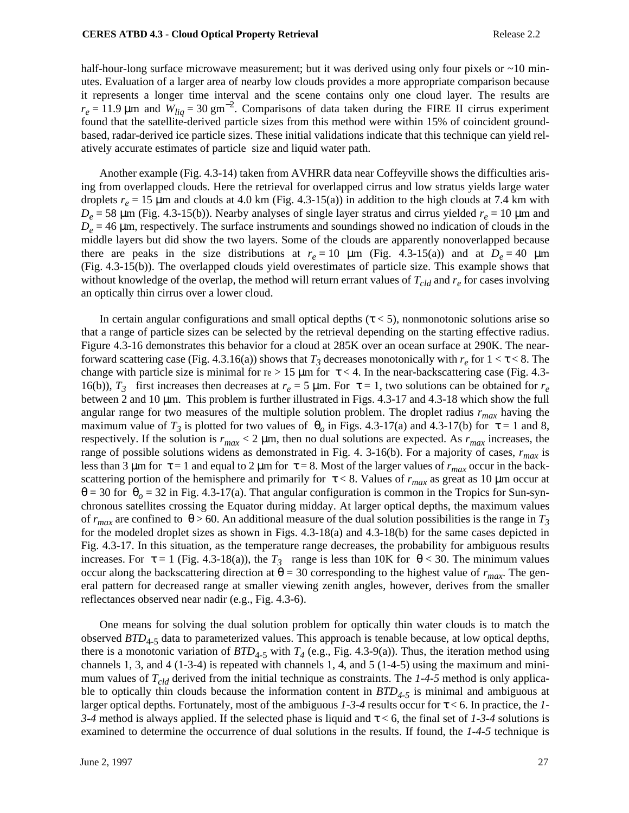half-hour-long surface microwave measurement; but it was derived using only four pixels or  $\sim$ 10 minutes. Evaluation of a larger area of nearby low clouds provides a more appropriate comparison because it represents a longer time interval and the scene contains only one cloud layer. The results are  $r_e = 11.9 \text{ }\mu\text{m}$  and  $W_{liq} = 30 \text{ gm}^{-2}$ . Comparisons of data taken during the FIRE II cirrus experiment found that the satellite-derived particle sizes from this method were within 15% of coincident groundbased, radar-derived ice particle sizes. These initial validations indicate that this technique can yield relatively accurate estimates of particle size and liquid water path.

Another example (Fig. 4.3-14) taken from AVHRR data near Coffeyville shows the difficulties arising from overlapped clouds. Here the retrieval for overlapped cirrus and low stratus yields large water droplets  $r_e = 15$  µm and clouds at 4.0 km (Fig. 4.3-15(a)) in addition to the high clouds at 7.4 km with  $D_e$  = 58 µm (Fig. 4.3-15(b)). Nearby analyses of single layer stratus and cirrus yielded  $r_e$  = 10 µm and  $D_e$  = 46  $\mu$ m, respectively. The surface instruments and soundings showed no indication of clouds in the middle layers but did show the two layers. Some of the clouds are apparently nonoverlapped because there are peaks in the size distributions at  $r_e = 10 \mu m$  (Fig. 4.3-15(a)) and at  $D_e = 40 \mu m$ (Fig. 4.3-15(b)). The overlapped clouds yield overestimates of particle size. This example shows that without knowledge of the overlap, the method will return errant values of  $T_{cld}$  and  $r_e$  for cases involving an optically thin cirrus over a lower cloud.

In certain angular configurations and small optical depths ( $\tau$  < 5), nonmonotonic solutions arise so that a range of particle sizes can be selected by the retrieval depending on the starting effective radius. Figure 4.3-16 demonstrates this behavior for a cloud at 285K over an ocean surface at 290K. The nearforward scattering case (Fig. 4.3.16(a)) shows that  $T_3$  decreases monotonically with  $r_e$  for  $1 < \tau < 8$ . The change with particle size is minimal for  $r = 15 \mu m$  for  $\tau < 4$ . In the near-backscattering case (Fig. 4.3-16(b)),  $T_3$  first increases then decreases at  $r_e = 5 \mu m$ . For  $\tau = 1$ , two solutions can be obtained for  $r_e$ between 2 and 10 µm. This problem is further illustrated in Figs. 4.3-17 and 4.3-18 which show the full angular range for two measures of the multiple solution problem. The droplet radius  $r_{max}$  having the maximum value of  $T_3$  is plotted for two values of  $\theta_0$  in Figs. 4.3-17(a) and 4.3-17(b) for  $\tau = 1$  and 8, respectively. If the solution is  $r_{max}$  < 2  $\mu$ m, then no dual solutions are expected. As  $r_{max}$  increases, the range of possible solutions widens as demonstrated in Fig. 4. 3-16(b). For a majority of cases,  $r_{max}$  is less than 3  $\mu$ m for  $\tau = 1$  and equal to 2  $\mu$ m for  $\tau = 8$ . Most of the larger values of  $r_{max}$  occur in the backscattering portion of the hemisphere and primarily for  $\tau < 8$ . Values of  $r_{max}$  as great as 10  $\mu$ m occur at  $\theta$  = 30 for  $\theta$ <sub>o</sub> = 32 in Fig. 4.3-17(a). That angular configuration is common in the Tropics for Sun-synchronous satellites crossing the Equator during midday. At larger optical depths, the maximum values of  $r_{max}$  are confined to  $\theta > 60$ . An additional measure of the dual solution possibilities is the range in $T_3$ for the modeled droplet sizes as shown in Figs. 4.3-18(a) and 4.3-18(b) for the same cases depicted in Fig. 4.3-17. In this situation, as the temperature range decreases, the probability for ambiguous results increases. For  $\tau = 1$  (Fig. 4.3-18(a)), the  $T_3$  range is less than 10K for  $\theta < 30$ . The minimum values occur along the backscattering direction at  $θ = 30$  corresponding to the highest value of  $r_{max}$ . The general pattern for decreased range at smaller viewing zenith angles, however, derives from the smaller reflectances observed near nadir (e.g., Fig. 4.3-6).

One means for solving the dual solution problem for optically thin water clouds is to match the observed *BTD*4-5 data to parameterized values. This approach is tenable because, at low optical depths, there is a monotonic variation of  $BTD_{4-5}$  with  $T_4$  (e.g., Fig. 4.3-9(a)). Thus, the iteration method using channels 1, 3, and 4 (1-3-4) is repeated with channels 1, 4, and 5 (1-4-5) using the maximum and minimum values of  $T_{cld}$  derived from the initial technique as constraints. The  $1-4-5$  method is only applicable to optically thin clouds because the information content in  $BTD_{4-5}$  is minimal and ambiguous at larger optical depths. Fortunately, most of the ambiguous *1-3-4* results occur for τ < 6. In practice, the *1- 3-4* method is always applied. If the selected phase is liquid and  $\tau < 6$ , the final set of 1-3-4 solutions is examined to determine the occurrence of dual solutions in the results. If found, the *1-4-5* technique is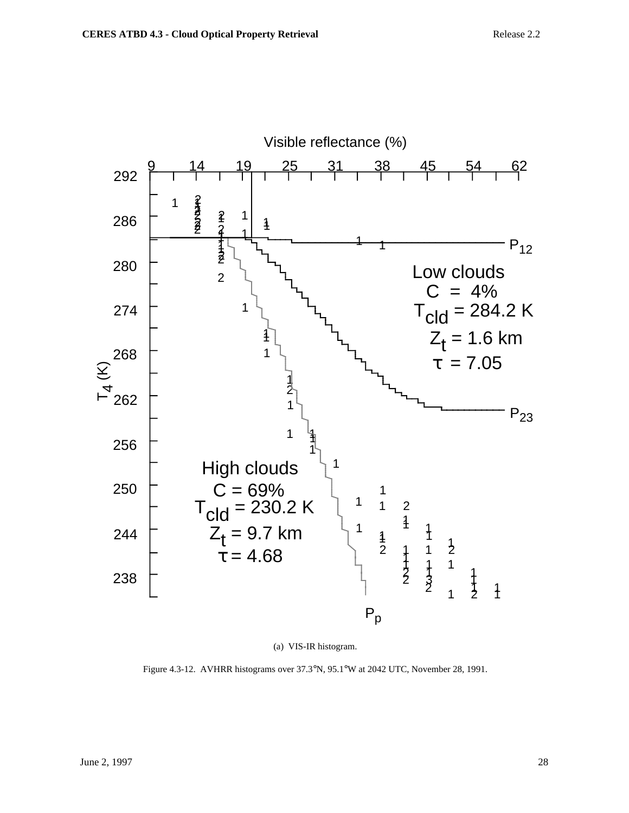

(a) VIS-IR histogram.

Figure 4.3-12. AVHRR histograms over 37.3°N, 95.1°W at 2042 UTC, November 28, 1991.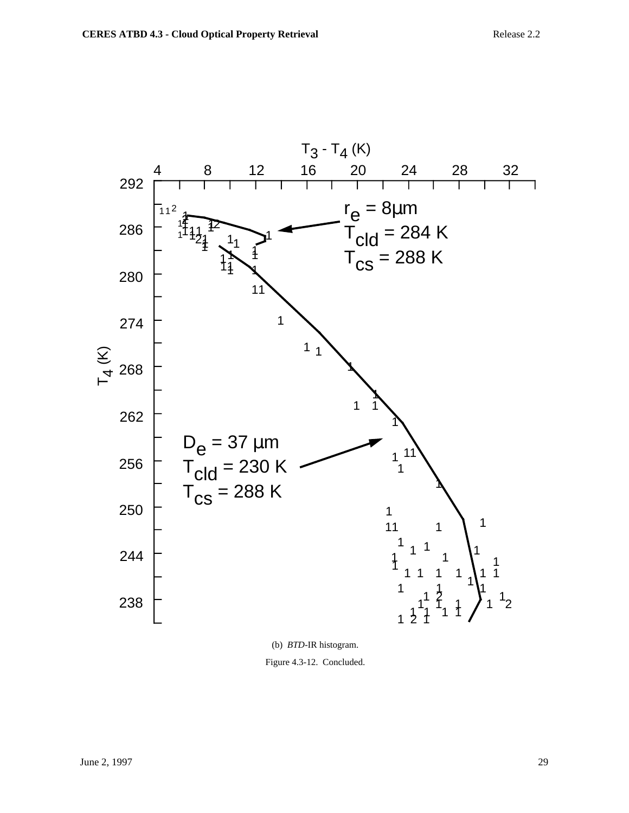

(b) *BTD*-IR histogram.

Figure 4.3-12. Concluded.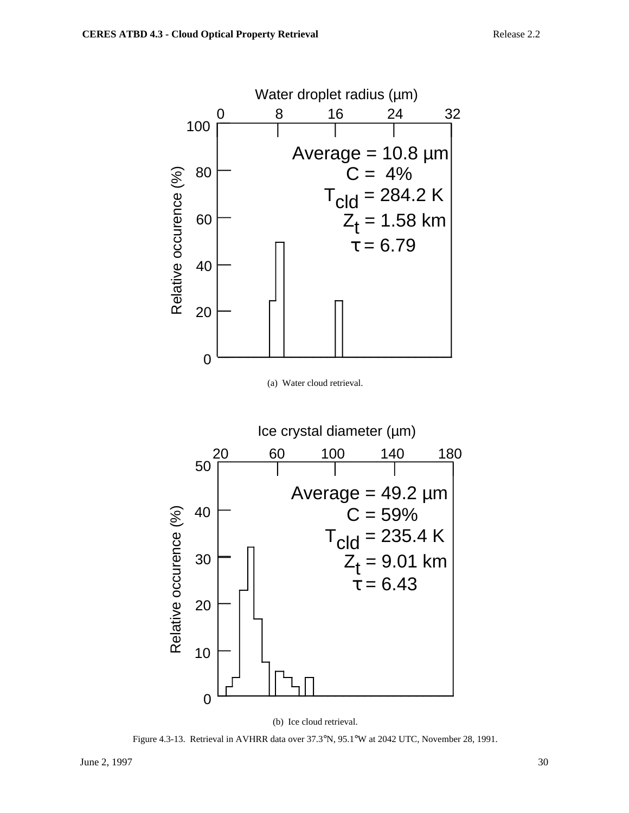





(b) Ice cloud retrieval.

Figure 4.3-13. Retrieval in AVHRR data over 37.3°N, 95.1°W at 2042 UTC, November 28, 1991.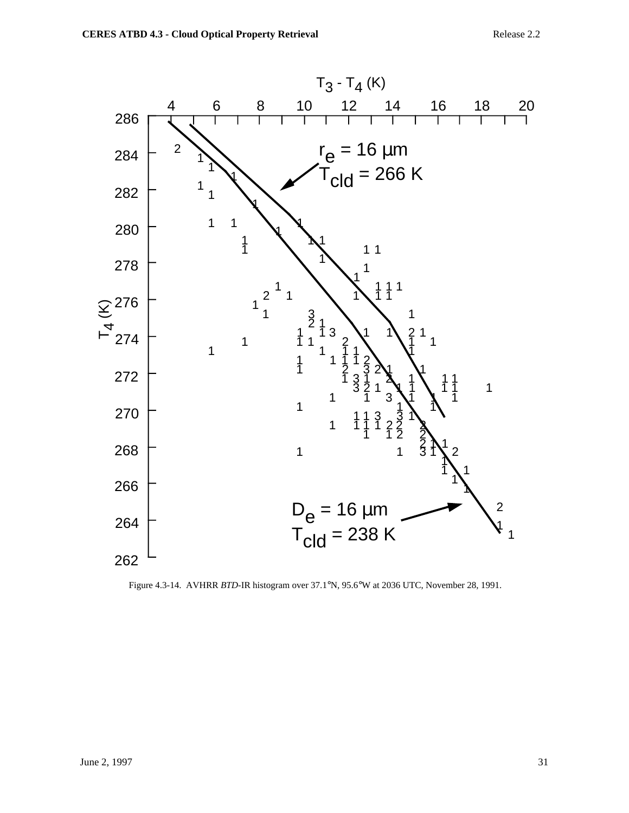

Figure 4.3-14. AVHRR *BTD*-IR histogram over 37.1°N, 95.6°W at 2036 UTC, November 28, 1991.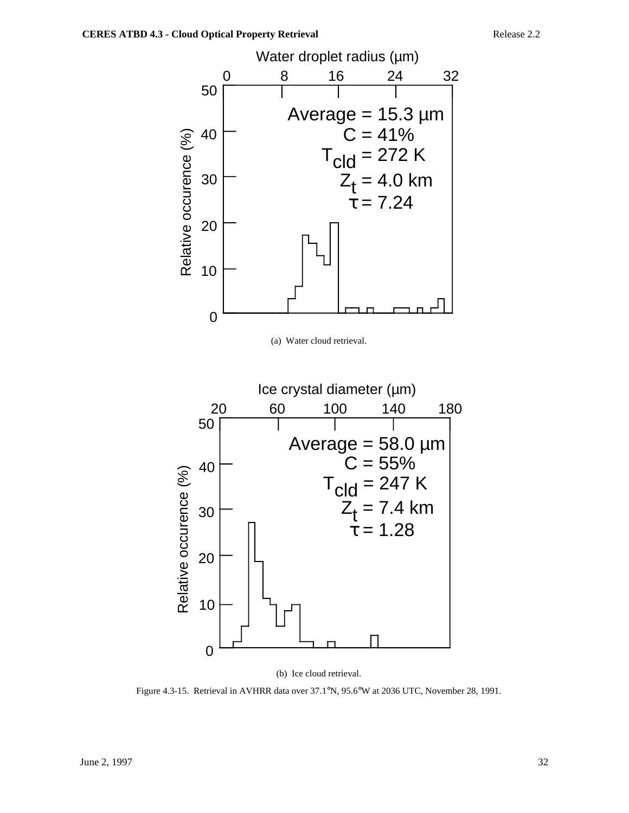

(a) Water cloud retrieval.



(b) Ice cloud retrieval.

Figure 4.3-15. Retrieval in AVHRR data over 37.1°N, 95.6°W at 2036 UTC, November 28, 1991.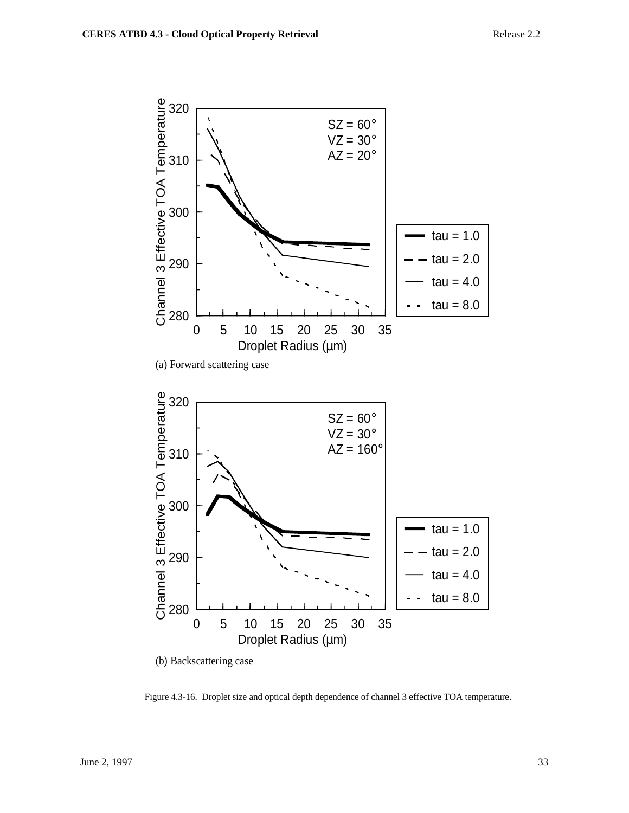

(b) Backscattering case

Figure 4.3-16. Droplet size and optical depth dependence of channel 3 effective TOA temperature.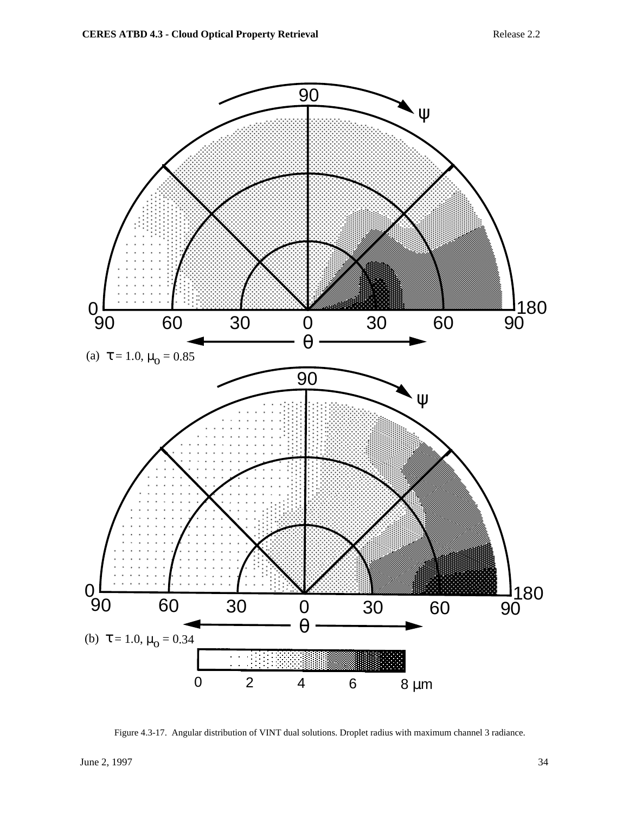

Figure 4.3-17. Angular distribution of VINT dual solutions. Droplet radius with maximum channel 3 radiance.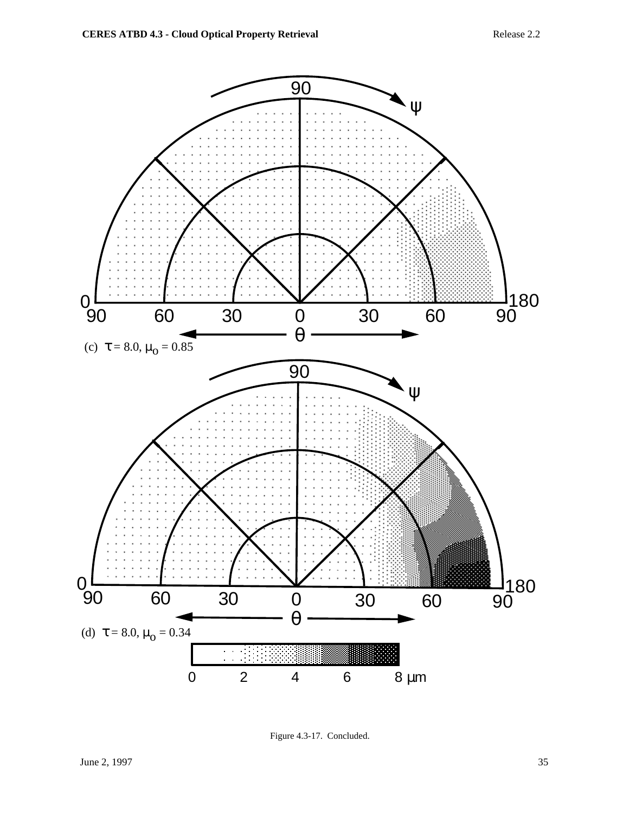

Figure 4.3-17. Concluded.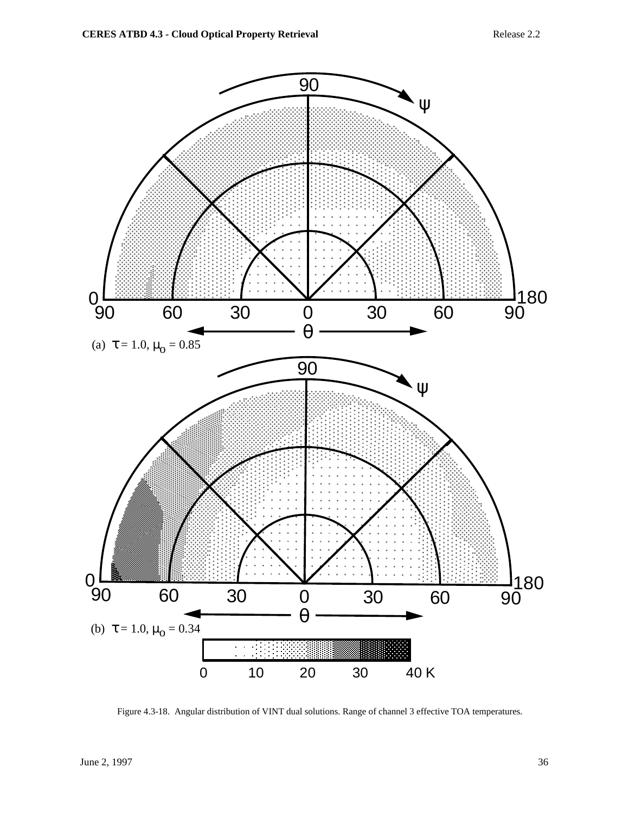

Figure 4.3-18. Angular distribution of VINT dual solutions. Range of channel 3 effective TOA temperatures.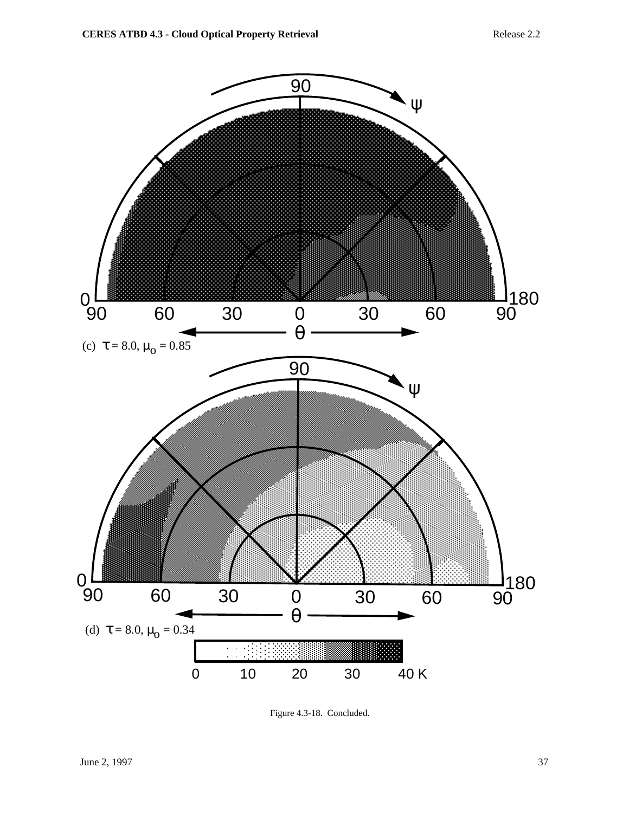

Figure 4.3-18. Concluded.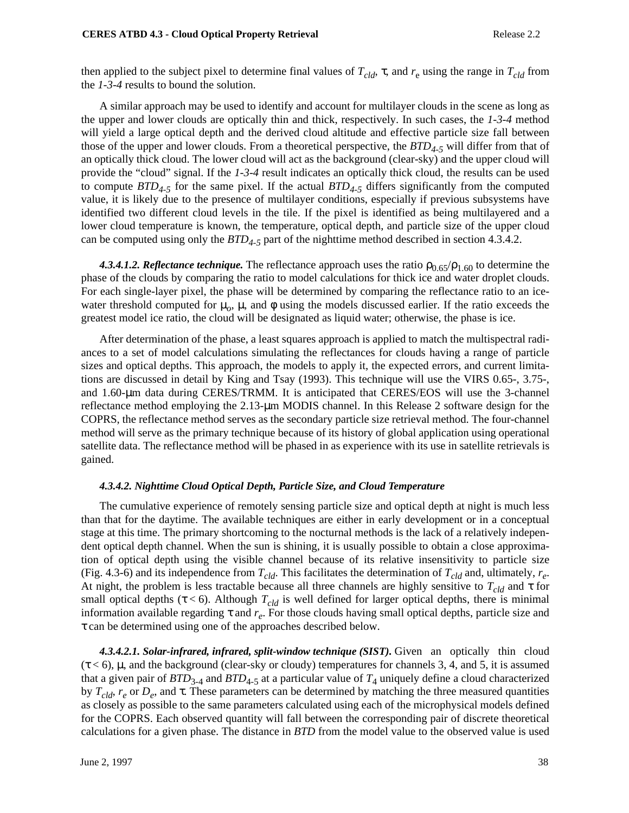then applied to the subject pixel to determine final values of  $T_{cld}$ ,  $\tau$ , and  $r_e$  using the range in  $T_{cld}$  from the *1-3-4* results to bound the solution.

A similar approach may be used to identify and account for multilayer clouds in the scene as long as the upper and lower clouds are optically thin and thick, respectively. In such cases, the *1-3-4* method will yield a large optical depth and the derived cloud altitude and effective particle size fall between those of the upper and lower clouds. From a theoretical perspective, the *BTD4-5* will differ from that of an optically thick cloud. The lower cloud will act as the background (clear-sky) and the upper cloud will provide the "cloud" signal. If the *1-3-4* result indicates an optically thick cloud, the results can be used to compute *BTD4-5* for the same pixel. If the actual *BTD4-5* differs significantly from the computed value, it is likely due to the presence of multilayer conditions, especially if previous subsystems have identified two different cloud levels in the tile. If the pixel is identified as being multilayered and a lower cloud temperature is known, the temperature, optical depth, and particle size of the upper cloud can be computed using only the  $BTD_{4-5}$  part of the nighttime method described in section 4.3.4.2.

4.3.4.1.2. Reflectance technique. The reflectance approach uses the ratio  $\rho_{0.65}/\rho_{1.60}$  to determine the phase of the clouds by comparing the ratio to model calculations for thick ice and water droplet clouds. For each single-layer pixel, the phase will be determined by comparing the reflectance ratio to an icewater threshold computed for  $\mu_o$ ,  $\mu$ , and  $\phi$  using the models discussed earlier. If the ratio exceeds the greatest model ice ratio, the cloud will be designated as liquid water; otherwise, the phase is ice.

After determination of the phase, a least squares approach is applied to match the multispectral radiances to a set of model calculations simulating the reflectances for clouds having a range of particle sizes and optical depths. This approach, the models to apply it, the expected errors, and current limitations are discussed in detail by King and Tsay (1993). This technique will use the VIRS 0.65-, 3.75-, and 1.60-µm data during CERES/TRMM. It is anticipated that CERES/EOS will use the 3-channel reflectance method employing the 2.13-µm MODIS channel. In this Release 2 software design for the COPRS, the reflectance method serves as the secondary particle size retrieval method. The four-channel method will serve as the primary technique because of its history of global application using operational satellite data. The reflectance method will be phased in as experience with its use in satellite retrievals is gained.

#### *4.3.4.2. Nighttime Cloud Optical Depth, Particle Size, and Cloud Temperature*

The cumulative experience of remotely sensing particle size and optical depth at night is much less than that for the daytime. The available techniques are either in early development or in a conceptual stage at this time. The primary shortcoming to the nocturnal methods is the lack of a relatively independent optical depth channel. When the sun is shining, it is usually possible to obtain a close approximation of optical depth using the visible channel because of its relative insensitivity to particle size (Fig. 4.3-6) and its independence from  $T_{cld}$ . This facilitates the determination of  $T_{cld}$  and, ultimately,  $r_e$ . At night, the problem is less tractable because all three channels are highly sensitive to  $T_{cld}$  and  $\tau$  for small optical depths ( $\tau$  < 6). Although  $T_{cld}$  is well defined for larger optical depths, there is minimal information available regarding τ and *re*. For those clouds having small optical depths, particle size and τ can be determined using one of the approaches described below.

*4.3.4.2.1. Solar-infrared, infrared, split-window technique (SIST).* Given an optically thin cloud  $(\tau < 6)$ ,  $\mu$ , and the background (clear-sky or cloudy) temperatures for channels 3, 4, and 5, it is assumed that a given pair of  $BTD_{3-4}$  and  $BTD_{4-5}$  at a particular value of  $T_4$  uniquely define a cloud characterized by  $T_{cld}$ ,  $r_e$  or  $D_e$ , and τ. These parameters can be determined by matching the three measured quantities as closely as possible to the same parameters calculated using each of the microphysical models defined for the COPRS. Each observed quantity will fall between the corresponding pair of discrete theoretical calculations for a given phase. The distance in *BTD* from the model value to the observed value is used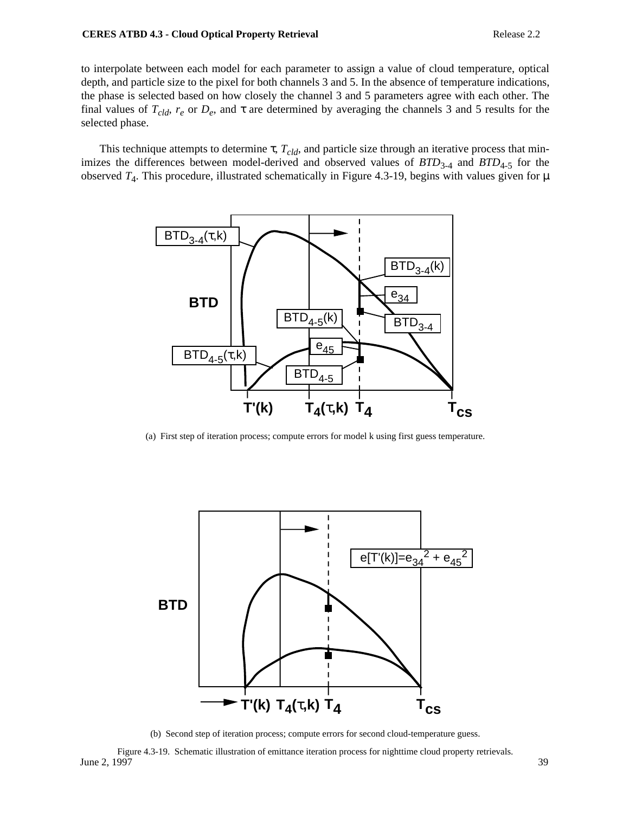to interpolate between each model for each parameter to assign a value of cloud temperature, optical depth, and particle size to the pixel for both channels 3 and 5. In the absence of temperature indications, the phase is selected based on how closely the channel 3 and 5 parameters agree with each other. The final values of  $T_{cld}$ ,  $r_e$  or  $D_e$ , and  $\tau$  are determined by averaging the channels 3 and 5 results for the selected phase.

This technique attempts to determine  $\tau$ ,  $T_{cld}$ , and particle size through an iterative process that minimizes the differences between model-derived and observed values of  $BTD_{3-4}$  and  $BTD_{4-5}$  for the observed  $T_4$ . This procedure, illustrated schematically in Figure 4.3-19, begins with values given for  $\mu$ 



(a) First step of iteration process; compute errors for model k using first guess temperature.



(b) Second step of iteration process; compute errors for second cloud-temperature guess.

 $J$ Une 2, 1997  $39$ Figure 4.3-19. Schematic illustration of emittance iteration process for nighttime cloud property retrievals.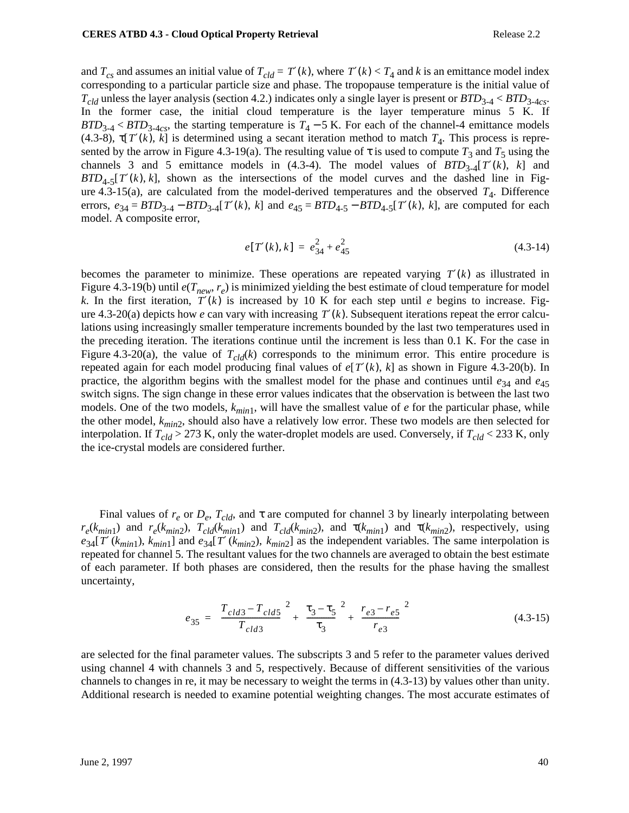and  $T_{cs}$  and assumes an initial value of  $T_{cld} = T'(k)$ , where  $T'(k) < T_4$  and k is an emittance model index corresponding to a particular particle size and phase. The tropopause temperature is the initial value of  $T_{cld}$  unless the layer analysis (section 4.2.) indicates only a single layer is present or  $BTD_{3.4} < BTD_{3.4csc}$ . In the former case, the initial cloud temperature is the layer temperature minus 5 K. If  $BTD_{3-4}$  <  $BTD_{3-4c}$ , the starting temperature is  $T_4$  − 5 K. For each of the channel-4 emittance models (4.3-8),  $\tau[T'(k), k]$  is determined using a secant iteration method to match  $T_4$ . This process is represented by the arrow in Figure 4.3-19(a). The resulting value of  $\tau$  is used to compute  $T_3$  and  $T_5$  using the channels 3 and 5 emittance models in (4.3-4). The model values of  $BTD_{3-4}[T'(k), k]$  and  $BTD_{4-5}[T'(k), k]$ , shown as the intersections of the model curves and the dashed line in Figure 4.3-15(a), are calculated from the model-derived temperatures and the observed  $T<sub>4</sub>$ . Difference  $\text{errors}, e_{34} = BTD_{3-4} - BTD_{3-4}[T'(k), k]$  and  $e_{45} = BTD_{4-5} - BTD_{4-5}[T'(k), k]$ , are computed for each model. A composite error,

$$
e[T'(k), k] = e_{34}^2 + e_{45}^2 \tag{4.3-14}
$$

becomes the parameter to minimize. These operations are repeated varying  $T'(k)$  as illustrated in Figure 4.3-19(b) until  $e(T_{new}, r_e)$  is minimized yielding the best estimate of cloud temperature for model *k*. In the first iteration,  $T'(k)$  is increased by 10 K for each step until *e* begins to increase. Figure 4.3-20(a) depicts how *e* can vary with increasing  $T'(k)$ . Subsequent iterations repeat the error calculations using increasingly smaller temperature increments bounded by the last two temperatures used in the preceding iteration. The iterations continue until the increment is less than 0.1 K. For the case in Figure 4.3-20(a), the value of  $T_{cld}(k)$  corresponds to the minimum error. This entire procedure is repeated again for each model producing final values of  $e[T'(k), k]$  as shown in Figure 4.3-20(b). In practice, the algorithm begins with the smallest model for the phase and continues until  $e_{34}$  and  $e_{45}$ switch signs. The sign change in these error values indicates that the observation is between the last two models. One of the two models,  $k_{min1}$ , will have the smallest value of  $e$  for the particular phase, while the other model, *kmin*2, should also have a relatively low error. These two models are then selected for interpolation. If  $T_{cld} > 273$  K, only the water-droplet models are used. Conversely, if  $T_{cld} < 233$  K, only the ice-crystal models are considered further.

Final values of  $r_e$  or  $D_e$ ,  $T_{cld}$ , and  $\tau$  are computed for channel 3 by linearly interpolating between  $r_e(k_{min1})$  and  $r_e(k_{min2})$ ,  $T_{cld}(k_{min1})$  and  $T_{cld}(k_{min2})$ , and  $\tau(k_{min1})$  and  $\tau(k_{min2})$ , respectively, using  $e_{34}[T'(k_{min}), k_{min}]$  and  $e_{34}[T'(k_{min2}), k_{min2}]$  as the independent variables. The same interpolation is repeated for channel 5. The resultant values for the two channels are averaged to obtain the best estimate of each parameter. If both phases are considered, then the results for the phase having the smallest uncertainty,

$$
e_{35} = \left(\frac{T_{cld3} - T_{cld5}}{T_{cld3}}\right)^2 + \left(\frac{\tau_3 - \tau_5}{\tau_3}\right)^2 + \left(\frac{r_{e3} - r_{e5}}{r_{e3}}\right)^2 \tag{4.3-15}
$$

are selected for the final parameter values. The subscripts 3 and 5 refer to the parameter values derived using channel 4 with channels 3 and 5, respectively. Because of different sensitivities of the various channels to changes in re, it may be necessary to weight the terms in (4.3-13) by values other than unity. Additional research is needed to examine potential weighting changes. The most accurate estimates of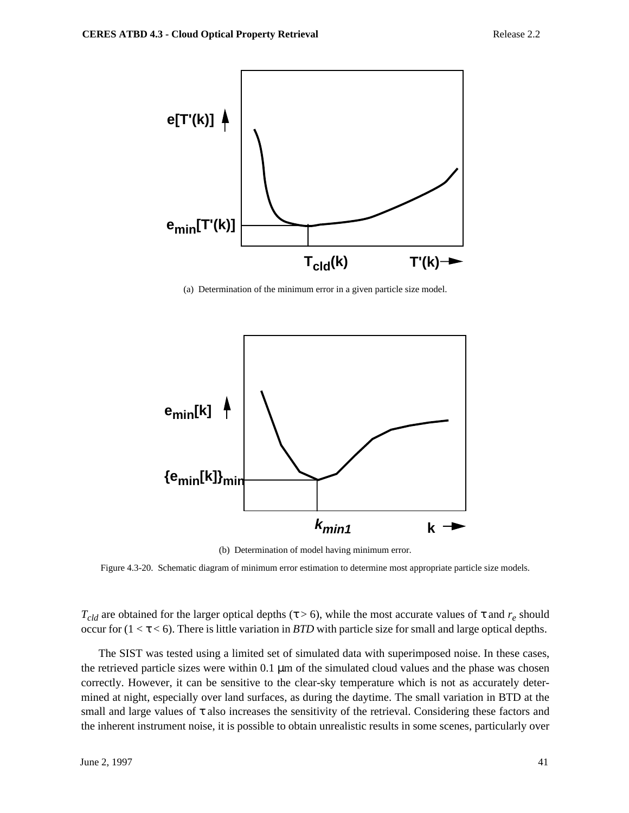

(a) Determination of the minimum error in a given particle size model.



<sup>(</sup>b) Determination of model having minimum error.

Figure 4.3-20. Schematic diagram of minimum error estimation to determine most appropriate particle size models.

 $T_{cld}$  are obtained for the larger optical depths ( $\tau > 6$ ), while the most accurate values of  $\tau$  and  $r_e$  should occur for  $(1 < \tau < 6)$ . There is little variation in *BTD* with particle size for small and large optical depths.

The SIST was tested using a limited set of simulated data with superimposed noise. In these cases, the retrieved particle sizes were within  $0.1 \mu m$  of the simulated cloud values and the phase was chosen correctly. However, it can be sensitive to the clear-sky temperature which is not as accurately determined at night, especially over land surfaces, as during the daytime. The small variation in BTD at the small and large values of  $\tau$  also increases the sensitivity of the retrieval. Considering these factors and the inherent instrument noise, it is possible to obtain unrealistic results in some scenes, particularly over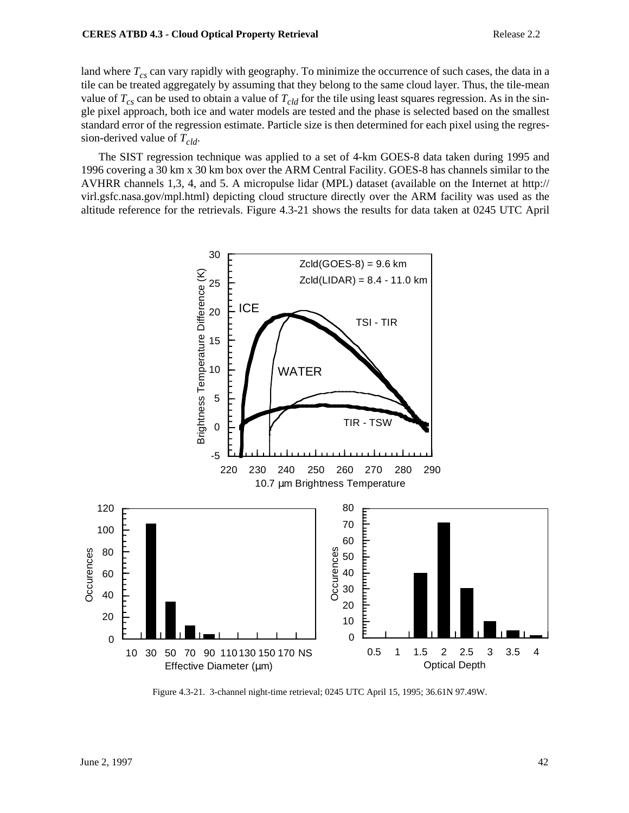land where  $T_{cs}$  can vary rapidly with geography. To minimize the occurrence of such cases, the data in a tile can be treated aggregately by assuming that they belong to the same cloud layer. Thus, the tile-mean value of  $T_{cs}$  can be used to obtain a value of  $T_{cld}$  for the tile using least squares regression. As in the single pixel approach, both ice and water models are tested and the phase is selected based on the smallest standard error of the regression estimate. Particle size is then determined for each pixel using the regression-derived value of  $T_{cld}$ .

The SIST regression technique was applied to a set of 4-km GOES-8 data taken during 1995 and 1996 covering a 30 km x 30 km box over the ARM Central Facility. GOES-8 has channels similar to the AVHRR channels 1,3, 4, and 5. A micropulse lidar (MPL) dataset (available on the Internet at http:// virl.gsfc.nasa.gov/mpl.html) depicting cloud structure directly over the ARM facility was used as the altitude reference for the retrievals. Figure 4.3-21 shows the results for data taken at 0245 UTC April



Figure 4.3-21. 3-channel night-time retrieval; 0245 UTC April 15, 1995; 36.61N 97.49W.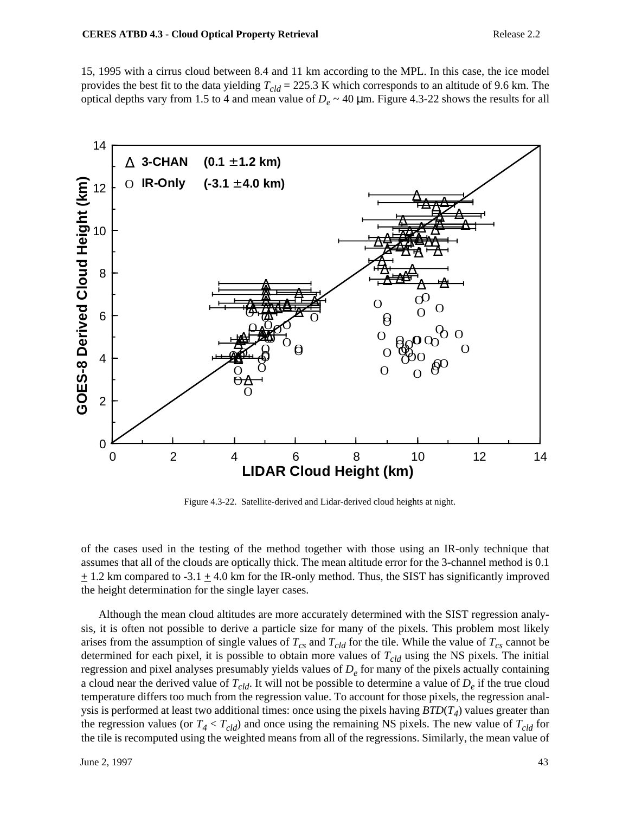15, 1995 with a cirrus cloud between 8.4 and 11 km according to the MPL. In this case, the ice model provides the best fit to the data yielding  $T_{cld} = 225.3$  K which corresponds to an altitude of 9.6 km. The optical depths vary from 1.5 to 4 and mean value of  $D_e \sim 40 \,\mu m$ . Figure 4.3-22 shows the results for all



Figure 4.3-22. Satellite-derived and Lidar-derived cloud heights at night.

of the cases used in the testing of the method together with those using an IR-only technique that assumes that all of the clouds are optically thick. The mean altitude error for the 3-channel method is 0.1  $\pm$  1.2 km compared to -3.1  $\pm$  4.0 km for the IR-only method. Thus, the SIST has significantly improved the height determination for the single layer cases.

Although the mean cloud altitudes are more accurately determined with the SIST regression analysis, it is often not possible to derive a particle size for many of the pixels. This problem most likely arises from the assumption of single values of  $T_{cs}$  and  $T_{cld}$  for the tile. While the value of  $T_{cs}$  cannot be determined for each pixel, it is possible to obtain more values of  $T_{cld}$  using the NS pixels. The initial regression and pixel analyses presumably yields values of  $D_e$  for many of the pixels actually containing a cloud near the derived value of  $T_{cld}$ . It will not be possible to determine a value of  $D_e$  if the true cloud temperature differs too much from the regression value. To account for those pixels, the regression analysis is performed at least two additional times: once using the pixels having *BTD*(*T4*) values greater than the regression values (or  $T_4 < T_{cld}$ ) and once using the remaining NS pixels. The new value of  $T_{cld}$  for the tile is recomputed using the weighted means from all of the regressions. Similarly, the mean value of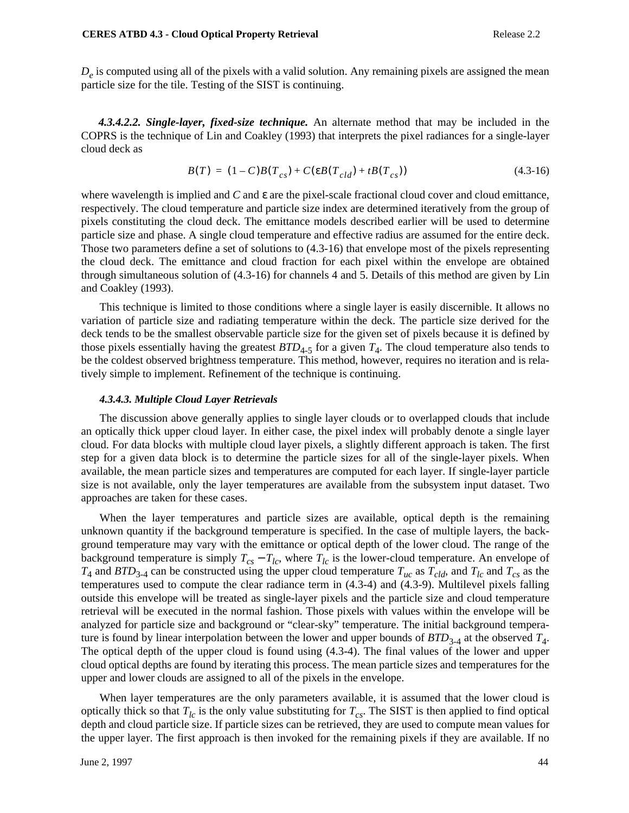$D<sub>e</sub>$  is computed using all of the pixels with a valid solution. Any remaining pixels are assigned the mean particle size for the tile. Testing of the SIST is continuing.

*4.3.4.2.2. Single-layer, fixed-size technique.* An alternate method that may be included in the COPRS is the technique of Lin and Coakley (1993) that interprets the pixel radiances for a single-layer cloud deck as

$$
B(T) = (1 - C)B(T_{cs}) + C(\varepsilon B(T_{cld}) + tB(T_{cs}))
$$
\n(4.3-16)

where wavelength is implied and *C* and ε are the pixel-scale fractional cloud cover and cloud emittance, respectively. The cloud temperature and particle size index are determined iteratively from the group of pixels constituting the cloud deck. The emittance models described earlier will be used to determine particle size and phase. A single cloud temperature and effective radius are assumed for the entire deck. Those two parameters define a set of solutions to (4.3-16) that envelope most of the pixels representing the cloud deck. The emittance and cloud fraction for each pixel within the envelope are obtained through simultaneous solution of (4.3-16) for channels 4 and 5. Details of this method are given by Lin and Coakley (1993).

This technique is limited to those conditions where a single layer is easily discernible. It allows no variation of particle size and radiating temperature within the deck. The particle size derived for the deck tends to be the smallest observable particle size for the given set of pixels because it is defined by those pixels essentially having the greatest  $BTD_{4-5}$  for a given  $T_4$ . The cloud temperature also tends to be the coldest observed brightness temperature. This method, however, requires no iteration and is relatively simple to implement. Refinement of the technique is continuing.

#### *4.3.4.3. Multiple Cloud Layer Retrievals*

The discussion above generally applies to single layer clouds or to overlapped clouds that include an optically thick upper cloud layer. In either case, the pixel index will probably denote a single layer cloud. For data blocks with multiple cloud layer pixels, a slightly different approach is taken. The first step for a given data block is to determine the particle sizes for all of the single-layer pixels. When available, the mean particle sizes and temperatures are computed for each layer. If single-layer particle size is not available, only the layer temperatures are available from the subsystem input dataset. Two approaches are taken for these cases.

When the layer temperatures and particle sizes are available, optical depth is the remaining unknown quantity if the background temperature is specified. In the case of multiple layers, the background temperature may vary with the emittance or optical depth of the lower cloud. The range of the background temperature is simply  $T_{cs} - T_{lc}$ , where  $T_{lc}$  is the lower-cloud temperature. An envelope of  $T_4$  and  $BTD_{3-4}$  can be constructed using the upper cloud temperature  $T_{uc}$  as  $T_{cld}$ , and  $T_{lc}$  and  $T_{cs}$  as the temperatures used to compute the clear radiance term in (4.3-4) and (4.3-9). Multilevel pixels falling outside this envelope will be treated as single-layer pixels and the particle size and cloud temperature retrieval will be executed in the normal fashion. Those pixels with values within the envelope will be analyzed for particle size and background or "clear-sky" temperature. The initial background temperature is found by linear interpolation between the lower and upper bounds of  $BTD_{3-4}$  at the observed  $T_4$ . The optical depth of the upper cloud is found using (4.3-4). The final values of the lower and upper cloud optical depths are found by iterating this process. The mean particle sizes and temperatures for the upper and lower clouds are assigned to all of the pixels in the envelope.

When layer temperatures are the only parameters available, it is assumed that the lower cloud is optically thick so that  $T_{lc}$  is the only value substituting for  $T_{cs}$ . The SIST is then applied to find optical depth and cloud particle size. If particle sizes can be retrieved, they are used to compute mean values for the upper layer. The first approach is then invoked for the remaining pixels if they are available. If no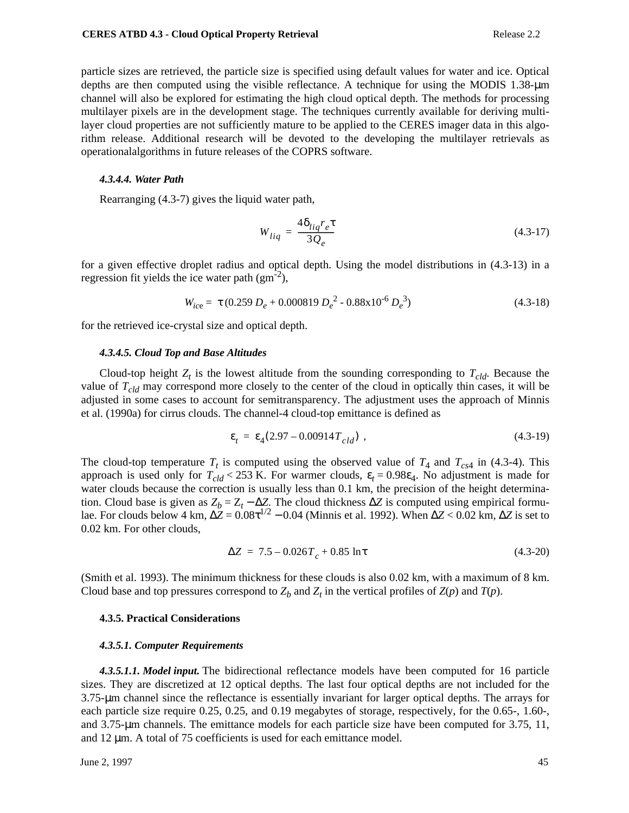particle sizes are retrieved, the particle size is specified using default values for water and ice. Optical depths are then computed using the visible reflectance. A technique for using the MODIS 1.38-µm channel will also be explored for estimating the high cloud optical depth. The methods for processing multilayer pixels are in the development stage. The techniques currently available for deriving multilayer cloud properties are not sufficiently mature to be applied to the CERES imager data in this algorithm release. Additional research will be devoted to the developing the multilayer retrievals as operationalalgorithms in future releases of the COPRS software.

#### *4.3.4.4. Water Path*

Rearranging (4.3-7) gives the liquid water path,

$$
W_{liq} = \frac{4\delta_{liq}r_e\tau}{3Q_e}
$$
\n(4.3-17)

for a given effective droplet radius and optical depth. Using the model distributions in (4.3-13) in a regression fit yields the ice water path  $(gm^{-2})$ ,

$$
W_{ice} = \tau (0.259 D_e + 0.000819 D_e^2 - 0.88 \times 10^{-6} D_e^3)
$$
\n(4.3-18)

for the retrieved ice-crystal size and optical depth.

#### *4.3.4.5. Cloud Top and Base Altitudes*

Cloud-top height  $Z_t$  is the lowest altitude from the sounding corresponding to  $T_{cld}$ . Because the value of *Tcld* may correspond more closely to the center of the cloud in optically thin cases, it will be adjusted in some cases to account for semitransparency. The adjustment uses the approach of Minnis et al. (1990a) for cirrus clouds. The channel-4 cloud-top emittance is defined as

$$
\varepsilon_t = \varepsilon_4 (2.97 - 0.00914 T_{cld}) \tag{4.3-19}
$$

The cloud-top temperature  $T_t$  is computed using the observed value of  $T_4$  and  $T_{cs4}$  in (4.3-4). This approach is used only for  $T_{cld}$  < 253 K. For warmer clouds,  $\varepsilon_t = 0.98\varepsilon_4$ . No adjustment is made for water clouds because the correction is usually less than 0.1 km, the precision of the height determination. Cloud base is given as  $Z_b = Z_t - \Delta Z$ . The cloud thickness  $\Delta Z$  is computed using empirical formulae. For clouds below 4 km,  $\Delta Z = 0.08\tau^{1/2} - 0.04$  (Minnis et al. 1992). When  $\Delta Z < 0.02$  km,  $\Delta Z$  is set to 0.02 km. For other clouds,

$$
\Delta Z = 7.5 - 0.026T_c + 0.85 \ln \tau \tag{4.3-20}
$$

(Smith et al. 1993). The minimum thickness for these clouds is also 0.02 km, with a maximum of 8 km. Cloud base and top pressures correspond to  $Z_b$  and  $Z_t$  in the vertical profiles of  $Z(p)$  and  $T(p)$ .

#### **4.3.5. Practical Considerations**

#### *4.3.5.1. Computer Requirements*

*4.3.5.1.1. Model input.* The bidirectional reflectance models have been computed for 16 particle sizes. They are discretized at 12 optical depths. The last four optical depths are not included for the 3.75-µm channel since the reflectance is essentially invariant for larger optical depths. The arrays for each particle size require 0.25, 0.25, and 0.19 megabytes of storage, respectively, for the 0.65-, 1.60-, and 3.75-µm channels. The emittance models for each particle size have been computed for 3.75, 11, and 12 µm. A total of 75 coefficients is used for each emittance model.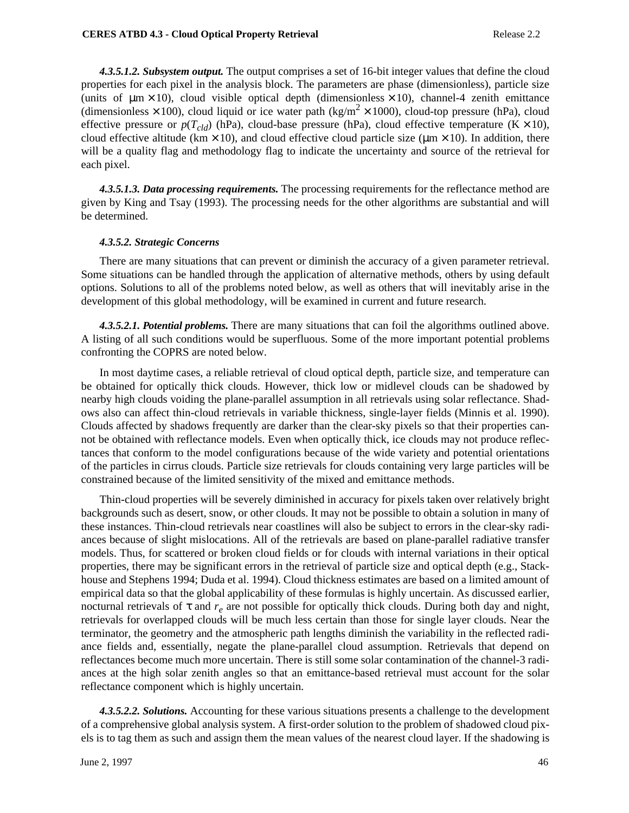*4.3.5.1.2. Subsystem output.* The output comprises a set of 16-bit integer values that define the cloud properties for each pixel in the analysis block. The parameters are phase (dimensionless), particle size (units of  $\mu$ m × 10), cloud visible optical depth (dimensionless × 10), channel-4 zenith emittance (dimensionless  $\times$  100), cloud liquid or ice water path (kg/m<sup>2</sup>  $\times$  1000), cloud-top pressure (hPa), cloud effective pressure or  $p(T_{cld})$  (hPa), cloud-base pressure (hPa), cloud effective temperature (K  $\times$  10), cloud effective altitude (km  $\times$  10), and cloud effective cloud particle size ( $\mu$ m  $\times$  10). In addition, there will be a quality flag and methodology flag to indicate the uncertainty and source of the retrieval for each pixel.

*4.3.5.1.3. Data processing requirements.* The processing requirements for the reflectance method are given by King and Tsay (1993). The processing needs for the other algorithms are substantial and will be determined.

#### *4.3.5.2. Strategic Concerns*

There are many situations that can prevent or diminish the accuracy of a given parameter retrieval. Some situations can be handled through the application of alternative methods, others by using default options. Solutions to all of the problems noted below, as well as others that will inevitably arise in the development of this global methodology, will be examined in current and future research.

*4.3.5.2.1. Potential problems.* There are many situations that can foil the algorithms outlined above. A listing of all such conditions would be superfluous. Some of the more important potential problems confronting the COPRS are noted below.

In most daytime cases, a reliable retrieval of cloud optical depth, particle size, and temperature can be obtained for optically thick clouds. However, thick low or midlevel clouds can be shadowed by nearby high clouds voiding the plane-parallel assumption in all retrievals using solar reflectance. Shadows also can affect thin-cloud retrievals in variable thickness, single-layer fields (Minnis et al. 1990). Clouds affected by shadows frequently are darker than the clear-sky pixels so that their properties cannot be obtained with reflectance models. Even when optically thick, ice clouds may not produce reflectances that conform to the model configurations because of the wide variety and potential orientations of the particles in cirrus clouds. Particle size retrievals for clouds containing very large particles will be constrained because of the limited sensitivity of the mixed and emittance methods.

Thin-cloud properties will be severely diminished in accuracy for pixels taken over relatively bright backgrounds such as desert, snow, or other clouds. It may not be possible to obtain a solution in many of these instances. Thin-cloud retrievals near coastlines will also be subject to errors in the clear-sky radiances because of slight mislocations. All of the retrievals are based on plane-parallel radiative transfer models. Thus, for scattered or broken cloud fields or for clouds with internal variations in their optical properties, there may be significant errors in the retrieval of particle size and optical depth (e.g., Stackhouse and Stephens 1994; Duda et al. 1994). Cloud thickness estimates are based on a limited amount of empirical data so that the global applicability of these formulas is highly uncertain. As discussed earlier, nocturnal retrievals of τ and  $r_e$  are not possible for optically thick clouds. During both day and night, retrievals for overlapped clouds will be much less certain than those for single layer clouds. Near the terminator, the geometry and the atmospheric path lengths diminish the variability in the reflected radiance fields and, essentially, negate the plane-parallel cloud assumption. Retrievals that depend on reflectances become much more uncertain. There is still some solar contamination of the channel-3 radiances at the high solar zenith angles so that an emittance-based retrieval must account for the solar reflectance component which is highly uncertain.

*4.3.5.2.2. Solutions.* Accounting for these various situations presents a challenge to the development of a comprehensive global analysis system. A first-order solution to the problem of shadowed cloud pixels is to tag them as such and assign them the mean values of the nearest cloud layer. If the shadowing is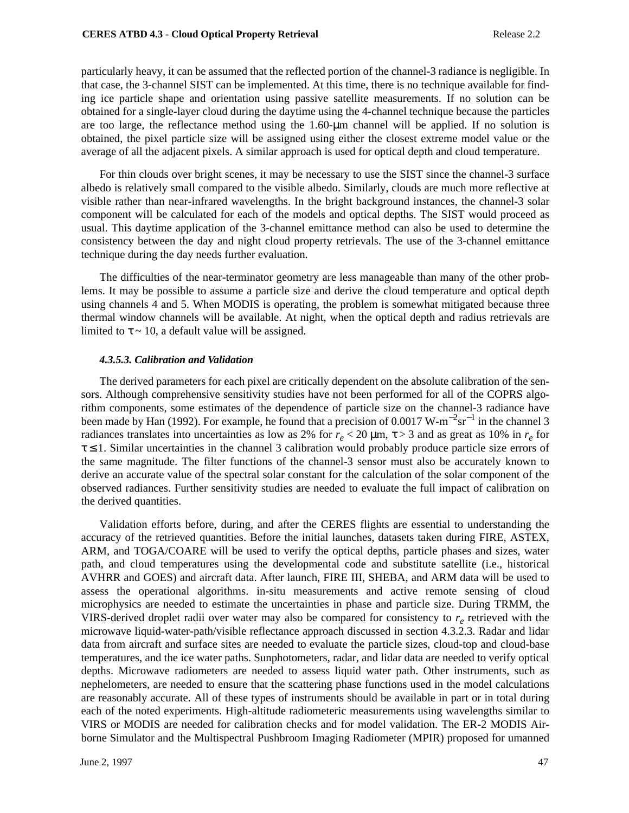particularly heavy, it can be assumed that the reflected portion of the channel-3 radiance is negligible. In that case, the 3-channel SIST can be implemented. At this time, there is no technique available for finding ice particle shape and orientation using passive satellite measurements. If no solution can be obtained for a single-layer cloud during the daytime using the 4-channel technique because the particles are too large, the reflectance method using the 1.60-µm channel will be applied. If no solution is obtained, the pixel particle size will be assigned using either the closest extreme model value or the average of all the adjacent pixels. A similar approach is used for optical depth and cloud temperature.

For thin clouds over bright scenes, it may be necessary to use the SIST since the channel-3 surface albedo is relatively small compared to the visible albedo. Similarly, clouds are much more reflective at visible rather than near-infrared wavelengths. In the bright background instances, the channel-3 solar component will be calculated for each of the models and optical depths. The SIST would proceed as usual. This daytime application of the 3-channel emittance method can also be used to determine the consistency between the day and night cloud property retrievals. The use of the 3-channel emittance technique during the day needs further evaluation.

The difficulties of the near-terminator geometry are less manageable than many of the other problems. It may be possible to assume a particle size and derive the cloud temperature and optical depth using channels 4 and 5. When MODIS is operating, the problem is somewhat mitigated because three thermal window channels will be available. At night, when the optical depth and radius retrievals are limited to  $\tau \sim 10$ , a default value will be assigned.

#### *4.3.5.3. Calibration and Validation*

The derived parameters for each pixel are critically dependent on the absolute calibration of the sensors. Although comprehensive sensitivity studies have not been performed for all of the COPRS algorithm components, some estimates of the dependence of particle size on the channel-3 radiance have been made by Han (1992). For example, he found that a precision of 0.0017 W-m<sup>-2</sup>sr<sup>-1</sup> in the channel 3 radiances translates into uncertainties as low as 2% for  $r_e < 20 \mu m$ ,  $\tau > 3$  and as great as 10% in  $r_e$  for  $\tau \leq 1$ . Similar uncertainties in the channel 3 calibration would probably produce particle size errors of the same magnitude. The filter functions of the channel-3 sensor must also be accurately known to derive an accurate value of the spectral solar constant for the calculation of the solar component of the observed radiances. Further sensitivity studies are needed to evaluate the full impact of calibration on the derived quantities.

Validation efforts before, during, and after the CERES flights are essential to understanding the accuracy of the retrieved quantities. Before the initial launches, datasets taken during FIRE, ASTEX, ARM, and TOGA/COARE will be used to verify the optical depths, particle phases and sizes, water path, and cloud temperatures using the developmental code and substitute satellite (i.e., historical AVHRR and GOES) and aircraft data. After launch, FIRE III, SHEBA, and ARM data will be used to assess the operational algorithms. in-situ measurements and active remote sensing of cloud microphysics are needed to estimate the uncertainties in phase and particle size. During TRMM, the VIRS-derived droplet radii over water may also be compared for consistency to  $r_e$  retrieved with the microwave liquid-water-path/visible reflectance approach discussed in section 4.3.2.3. Radar and lidar data from aircraft and surface sites are needed to evaluate the particle sizes, cloud-top and cloud-base temperatures, and the ice water paths. Sunphotometers, radar, and lidar data are needed to verify optical depths. Microwave radiometers are needed to assess liquid water path. Other instruments, such as nephelometers, are needed to ensure that the scattering phase functions used in the model calculations are reasonably accurate. All of these types of instruments should be available in part or in total during each of the noted experiments. High-altitude radiometeric measurements using wavelengths similar to VIRS or MODIS are needed for calibration checks and for model validation. The ER-2 MODIS Airborne Simulator and the Multispectral Pushbroom Imaging Radiometer (MPIR) proposed for umanned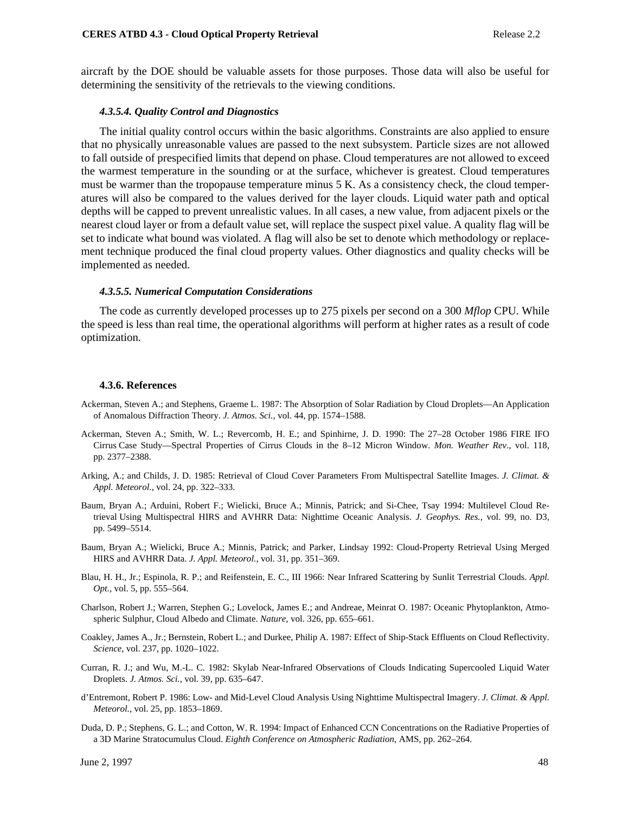aircraft by the DOE should be valuable assets for those purposes. Those data will also be useful for determining the sensitivity of the retrievals to the viewing conditions.

#### *4.3.5.4. Quality Control and Diagnostics*

The initial quality control occurs within the basic algorithms. Constraints are also applied to ensure that no physically unreasonable values are passed to the next subsystem. Particle sizes are not allowed to fall outside of prespecified limits that depend on phase. Cloud temperatures are not allowed to exceed the warmest temperature in the sounding or at the surface, whichever is greatest. Cloud temperatures must be warmer than the tropopause temperature minus 5 K. As a consistency check, the cloud temperatures will also be compared to the values derived for the layer clouds. Liquid water path and optical depths will be capped to prevent unrealistic values. In all cases, a new value, from adjacent pixels or the nearest cloud layer or from a default value set, will replace the suspect pixel value. A quality flag will be set to indicate what bound was violated. A flag will also be set to denote which methodology or replacement technique produced the final cloud property values. Other diagnostics and quality checks will be implemented as needed.

#### *4.3.5.5. Numerical Computation Considerations*

The code as currently developed processes up to 275 pixels per second on a 300 *Mflop* CPU. While the speed is less than real time, the operational algorithms will perform at higher rates as a result of code optimization.

#### **4.3.6. References**

- Ackerman, Steven A.; and Stephens, Graeme L. 1987: The Absorption of Solar Radiation by Cloud Droplets—An Application of Anomalous Diffraction Theory. *J. Atmos. Sci.*, vol. 44, pp. 1574–1588.
- Ackerman, Steven A.; Smith, W. L.; Revercomb, H. E.; and Spinhirne, J. D. 1990: The 27–28 October 1986 FIRE IFO Cirrus Case Study—Spectral Properties of Cirrus Clouds in the 8–12 Micron Window. *Mon. Weather Rev*., vol. 118, pp. 2377–2388.
- Arking, A.; and Childs, J. D. 1985: Retrieval of Cloud Cover Parameters From Multispectral Satellite Images. *J. Climat. & Appl. Meteorol.*, vol. 24, pp. 322–333.
- Baum, Bryan A.; Arduini, Robert F.; Wielicki, Bruce A.; Minnis, Patrick; and Si-Chee, Tsay 1994: Multilevel Cloud Retrieval Using Multispectral HIRS and AVHRR Data: Nighttime Oceanic Analysis. *J. Geophys. Res.*, vol. 99, no. D3, pp. 5499–5514.
- Baum, Bryan A.; Wielicki, Bruce A.; Minnis, Patrick; and Parker, Lindsay 1992: Cloud-Property Retrieval Using Merged HIRS and AVHRR Data. *J. Appl. Meteorol.*, vol. 31, pp. 351–369.
- Blau, H. H., Jr.; Espinola, R. P.; and Reifenstein, E. C., III 1966: Near Infrared Scattering by Sunlit Terrestrial Clouds. *Appl. Opt.*, vol. 5, pp. 555–564.
- Charlson, Robert J.; Warren, Stephen G.; Lovelock, James E.; and Andreae, Meinrat O. 1987: Oceanic Phytoplankton, Atmospheric Sulphur, Cloud Albedo and Climate. *Nature*, vol. 326, pp. 655–661.
- Coakley, James A., Jr.; Bernstein, Robert L.; and Durkee, Philip A. 1987: Effect of Ship-Stack Effluents on Cloud Reflectivity. *Science,* vol. 237, pp. 1020–1022.
- Curran, R. J.; and Wu, M.-L. C. 1982: Skylab Near-Infrared Observations of Clouds Indicating Supercooled Liquid Water Droplets. *J. Atmos. Sci.*, vol. 39, pp. 635–647.
- d'Entremont, Robert P. 1986: Low- and Mid-Level Cloud Analysis Using Nighttime Multispectral Imagery. *J. Climat. & Appl. Meteorol.*, vol. 25, pp. 1853–1869.
- Duda, D. P.; Stephens, G. L.; and Cotton, W. R. 1994: Impact of Enhanced CCN Concentrations on the Radiative Properties of a 3D Marine Stratocumulus Cloud. *Eighth Conference on Atmospheric Radiation,* AMS, pp. 262–264.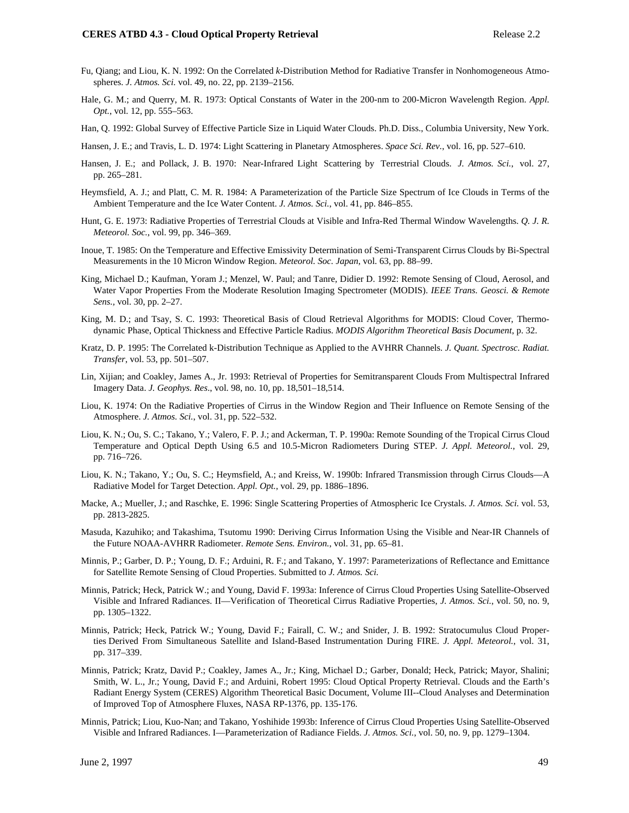- Fu, Qiang; and Liou, K. N. 1992: On the Correlated *k*-Distribution Method for Radiative Transfer in Nonhomogeneous Atmospheres. *J. Atmos. Sci.* vol. 49, no. 22, pp. 2139–2156.
- Hale, G. M.; and Querry, M. R. 1973: Optical Constants of Water in the 200-nm to 200-Micron Wavelength Region. *Appl. Opt.*, vol. 12, pp. 555–563.
- Han, Q. 1992: Global Survey of Effective Particle Size in Liquid Water Clouds. Ph.D. Diss., Columbia University, New York.
- Hansen, J. E.; and Travis, L. D. 1974: Light Scattering in Planetary Atmospheres. *Space Sci. Rev.*, vol. 16, pp. 527–610.
- Hansen, J. E.; and Pollack, J. B. 1970: Near-Infrared Light Scattering by Terrestrial Clouds. *J. Atmos. Sci.*, vol. 27, pp. 265–281.
- Heymsfield, A. J.; and Platt, C. M. R. 1984: A Parameterization of the Particle Size Spectrum of Ice Clouds in Terms of the Ambient Temperature and the Ice Water Content. *J. Atmos. Sci.*, vol. 41, pp. 846–855.
- Hunt, G. E. 1973: Radiative Properties of Terrestrial Clouds at Visible and Infra-Red Thermal Window Wavelengths. *Q. J. R. Meteorol. Soc.*, vol. 99, pp. 346–369.
- Inoue, T. 1985: On the Temperature and Effective Emissivity Determination of Semi-Transparent Cirrus Clouds by Bi-Spectral Measurements in the 10 Micron Window Region. *Meteorol. Soc. Japan*, vol. 63, pp. 88–99.
- King, Michael D.; Kaufman, Yoram J.; Menzel, W. Paul; and Tanre, Didier D. 1992: Remote Sensing of Cloud, Aerosol, and Water Vapor Properties From the Moderate Resolution Imaging Spectrometer (MODIS). *IEEE Trans. Geosci. & Remote Sens.,* vol. 30, pp. 2–27.
- King, M. D.; and Tsay, S. C. 1993: Theoretical Basis of Cloud Retrieval Algorithms for MODIS: Cloud Cover, Thermodynamic Phase, Optical Thickness and Effective Particle Radius. *MODIS Algorithm Theoretical Basis Document*, p. 32.
- Kratz, D. P. 1995: The Correlated k-Distribution Technique as Applied to the AVHRR Channels. *J. Quant. Spectrosc. Radiat. Transfer*, vol. 53, pp. 501–507.
- Lin, Xijian; and Coakley, James A., Jr. 1993: Retrieval of Properties for Semitransparent Clouds From Multispectral Infrared Imagery Data. *J. Geophys. Res*., vol. 98, no. 10, pp. 18,501–18,514.
- Liou, K. 1974: On the Radiative Properties of Cirrus in the Window Region and Their Influence on Remote Sensing of the Atmosphere. *J. Atmos. Sci.*, vol. 31, pp. 522–532.
- Liou, K. N.; Ou, S. C.; Takano, Y.; Valero, F. P. J.; and Ackerman, T. P. 1990a: Remote Sounding of the Tropical Cirrus Cloud Temperature and Optical Depth Using 6.5 and 10.5-Micron Radiometers During STEP. *J. Appl. Meteorol.*, vol. 29, pp. 716–726.
- Liou, K. N.; Takano, Y.; Ou, S. C.; Heymsfield, A.; and Kreiss, W. 1990b: Infrared Transmission through Cirrus Clouds—A Radiative Model for Target Detection. *Appl. Opt.*, vol. 29, pp. 1886–1896.
- Macke, A.; Mueller, J.; and Raschke, E. 1996: Single Scattering Properties of Atmospheric Ice Crystals. *J. Atmos. Sci.* vol. 53, pp. 2813-2825.
- Masuda, Kazuhiko; and Takashima, Tsutomu 1990: Deriving Cirrus Information Using the Visible and Near-IR Channels of the Future NOAA-AVHRR Radiometer. *Remote Sens. Environ.*, vol. 31, pp. 65–81.
- Minnis, P.; Garber, D. P.; Young, D. F.; Arduini, R. F.; and Takano, Y. 1997: Parameterizations of Reflectance and Emittance for Satellite Remote Sensing of Cloud Properties. Submitted to *J. Atmos. Sci.*
- Minnis, Patrick; Heck, Patrick W.; and Young, David F. 1993a: Inference of Cirrus Cloud Properties Using Satellite-Observed Visible and Infrared Radiances. II—Verification of Theoretical Cirrus Radiative Properties, *J. Atmos. Sci.*, vol. 50, no. 9, pp. 1305–1322.
- Minnis, Patrick; Heck, Patrick W.; Young, David F.; Fairall, C. W.; and Snider, J. B. 1992: Stratocumulus Cloud Properties Derived From Simultaneous Satellite and Island-Based Instrumentation During FIRE. *J. Appl. Meteorol.*, vol. 31, pp. 317–339.
- Minnis, Patrick; Kratz, David P.; Coakley, James A., Jr.; King, Michael D.; Garber, Donald; Heck, Patrick; Mayor, Shalini; Smith, W. L., Jr.; Young, David F.; and Arduini, Robert 1995: Cloud Optical Property Retrieval. Clouds and the Earth's Radiant Energy System (CERES) Algorithm Theoretical Basic Document, Volume III--Cloud Analyses and Determination of Improved Top of Atmosphere Fluxes, NASA RP-1376, pp. 135-176.
- Minnis, Patrick; Liou, Kuo-Nan; and Takano, Yoshihide 1993b: Inference of Cirrus Cloud Properties Using Satellite-Observed Visible and Infrared Radiances. I—Parameterization of Radiance Fields. *J. Atmos. Sci.*, vol. 50, no. 9, pp. 1279–1304.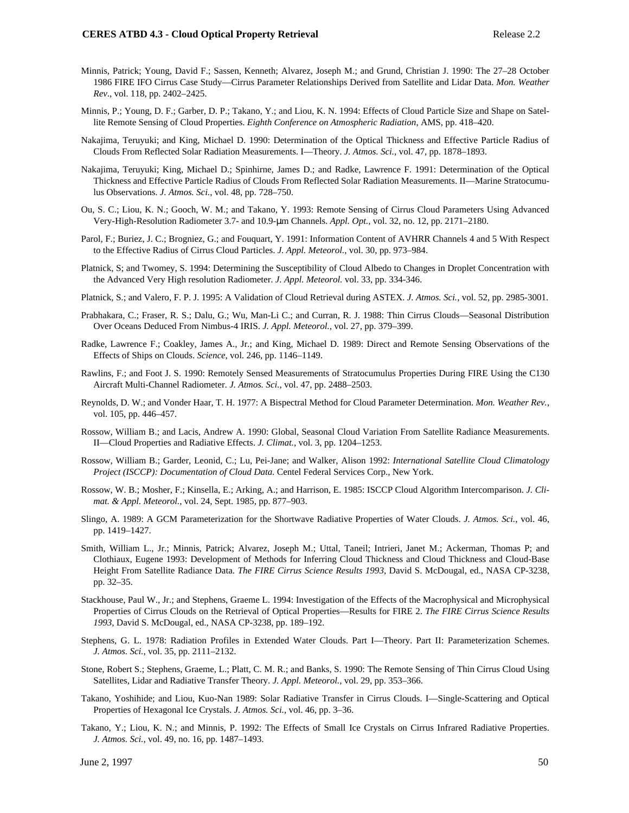- Minnis, Patrick; Young, David F.; Sassen, Kenneth; Alvarez, Joseph M.; and Grund, Christian J. 1990: The 27–28 October 1986 FIRE IFO Cirrus Case Study—Cirrus Parameter Relationships Derived from Satellite and Lidar Data. *Mon. Weather Rev*., vol. 118, pp. 2402–2425.
- Minnis, P.; Young, D. F.; Garber, D. P.; Takano, Y.; and Liou, K. N. 1994: Effects of Cloud Particle Size and Shape on Satellite Remote Sensing of Cloud Properties. *Eighth Conference on Atmospheric Radiation*, AMS, pp. 418–420.
- Nakajima, Teruyuki; and King, Michael D. 1990: Determination of the Optical Thickness and Effective Particle Radius of Clouds From Reflected Solar Radiation Measurements. I—Theory. *J. Atmos. Sci.*, vol. 47, pp. 1878–1893.
- Nakajima, Teruyuki; King, Michael D.; Spinhirne, James D.; and Radke, Lawrence F. 1991: Determination of the Optical Thickness and Effective Particle Radius of Clouds From Reflected Solar Radiation Measurements. II—Marine Stratocumulus Observations. *J. Atmos. Sci.*, vol. 48, pp. 728–750.
- Ou, S. C.; Liou, K. N.; Gooch, W. M.; and Takano, Y. 1993: Remote Sensing of Cirrus Cloud Parameters Using Advanced Very-High-Resolution Radiometer 3.7- and 10.9-µm Channels. *Appl. Opt.,* vol. 32, no. 12, pp. 2171–2180.
- Parol, F.; Buriez, J. C.; Brogniez, G.; and Fouquart, Y. 1991: Information Content of AVHRR Channels 4 and 5 With Respect to the Effective Radius of Cirrus Cloud Particles. *J. Appl. Meteorol.*, vol. 30, pp. 973–984.
- Platnick, S; and Twomey, S. 1994: Determining the Susceptibility of Cloud Albedo to Changes in Droplet Concentration with the Advanced Very High resolution Radiometer. *J. Appl. Meteorol.* vol. 33, pp. 334-346.
- Platnick, S.; and Valero, F. P. J. 1995: A Validation of Cloud Retrieval during ASTEX. *J. Atmos. Sci.*, vol. 52, pp. 2985-3001.
- Prabhakara, C.; Fraser, R. S.; Dalu, G.; Wu, Man-Li C.; and Curran, R. J. 1988: Thin Cirrus Clouds—Seasonal Distribution Over Oceans Deduced From Nimbus-4 IRIS. *J. Appl. Meteorol.*, vol. 27, pp. 379–399.
- Radke, Lawrence F.; Coakley, James A., Jr.; and King, Michael D. 1989: Direct and Remote Sensing Observations of the Effects of Ships on Clouds. *Science*, vol. 246, pp. 1146–1149.
- Rawlins, F.; and Foot J. S. 1990: Remotely Sensed Measurements of Stratocumulus Properties During FIRE Using the C130 Aircraft Multi-Channel Radiometer. *J. Atmos. Sci.*, vol. 47, pp. 2488–2503.
- Reynolds, D. W.; and Vonder Haar, T. H. 1977: A Bispectral Method for Cloud Parameter Determination. *Mon. Weather Rev.*, vol. 105, pp. 446–457.
- Rossow, William B.; and Lacis, Andrew A. 1990: Global, Seasonal Cloud Variation From Satellite Radiance Measurements. II—Cloud Properties and Radiative Effects. *J. Climat.*, vol. 3, pp. 1204–1253.
- Rossow, William B.; Garder, Leonid, C.; Lu, Pei-Jane; and Walker, Alison 1992: *International Satellite Cloud Climatology Project (ISCCP): Documentation of Cloud Data.* Centel Federal Services Corp., New York.
- Rossow, W. B.; Mosher, F.; Kinsella, E.; Arking, A.; and Harrison, E. 1985: ISCCP Cloud Algorithm Intercomparison. *J. Climat. & Appl. Meteorol.*, vol. 24, Sept. 1985, pp. 877–903.
- Slingo, A. 1989: A GCM Parameterization for the Shortwave Radiative Properties of Water Clouds. *J. Atmos. Sci.*, vol. 46, pp. 1419–1427.
- Smith, William L., Jr.; Minnis, Patrick; Alvarez, Joseph M.; Uttal, Taneil; Intrieri, Janet M.; Ackerman, Thomas P; and Clothiaux, Eugene 1993: Development of Methods for Inferring Cloud Thickness and Cloud Thickness and Cloud-Base Height From Satellite Radiance Data. *The FIRE Cirrus Science Results 1993*, David S. McDougal, ed., NASA CP-3238, pp. 32–35.
- Stackhouse, Paul W., Jr.; and Stephens, Graeme L. 1994: Investigation of the Effects of the Macrophysical and Microphysical Properties of Cirrus Clouds on the Retrieval of Optical Properties—Results for FIRE 2. *The FIRE Cirrus Science Results 1993,* David S. McDougal, ed., NASA CP-3238, pp. 189–192.
- Stephens, G. L. 1978: Radiation Profiles in Extended Water Clouds. Part I—Theory. Part II: Parameterization Schemes. *J. Atmos. Sci.*, vol. 35, pp. 2111–2132.
- Stone, Robert S.; Stephens, Graeme, L.; Platt, C. M. R.; and Banks, S. 1990: The Remote Sensing of Thin Cirrus Cloud Using Satellites, Lidar and Radiative Transfer Theory. *J. Appl. Meteorol.*, vol. 29, pp. 353–366.
- Takano, Yoshihide; and Liou, Kuo-Nan 1989: Solar Radiative Transfer in Cirrus Clouds. I—Single-Scattering and Optical Properties of Hexagonal Ice Crystals. *J. Atmos. Sci.,* vol. 46, pp. 3–36.
- Takano, Y.; Liou, K. N.; and Minnis, P. 1992: The Effects of Small Ice Crystals on Cirrus Infrared Radiative Properties. *J. Atmos. Sci.*, vol. 49, no. 16, pp. 1487–1493.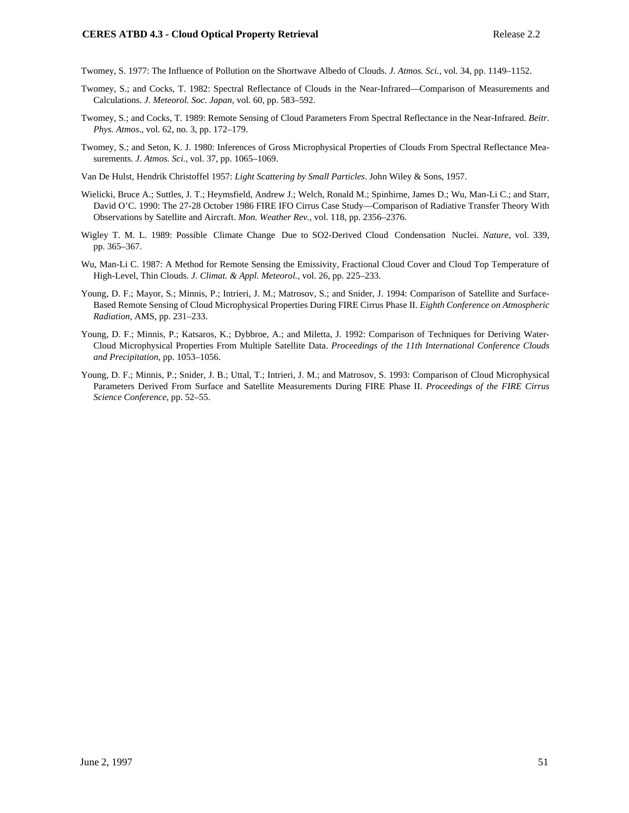Twomey, S. 1977: The Influence of Pollution on the Shortwave Albedo of Clouds. *J. Atmos. Sci.*, vol. 34, pp. 1149–1152.

- Twomey, S.; and Cocks, T. 1982: Spectral Reflectance of Clouds in the Near-Infrared—Comparison of Measurements and Calculations. *J. Meteorol. Soc. Japan*, vol. 60, pp. 583–592.
- Twomey, S.; and Cocks, T. 1989: Remote Sensing of Cloud Parameters From Spectral Reflectance in the Near-Infrared. *Beitr. Phys. Atmos*., vol. 62, no. 3, pp. 172–179.
- Twomey, S.; and Seton, K. J. 1980: Inferences of Gross Microphysical Properties of Clouds From Spectral Reflectance Measurements. *J. Atmos. Sci.*, vol. 37, pp. 1065–1069.
- Van De Hulst, Hendrik Christoffel 1957: *Light Scattering by Small Particles*. John Wiley & Sons, 1957.
- Wielicki, Bruce A.; Suttles, J. T.; Heymsfield, Andrew J.; Welch, Ronald M.; Spinhirne, James D.; Wu, Man-Li C.; and Starr, David O'C. 1990: The 27-28 October 1986 FIRE IFO Cirrus Case Study—Comparison of Radiative Transfer Theory With Observations by Satellite and Aircraft. *Mon. Weather Rev.*, vol. 118, pp. 2356–2376.
- Wigley T. M. L. 1989: Possible Climate Change Due to SO2-Derived Cloud Condensation Nuclei. *Nature*, vol. 339, pp. 365–367.
- Wu, Man-Li C. 1987: A Method for Remote Sensing the Emissivity, Fractional Cloud Cover and Cloud Top Temperature of High-Level, Thin Clouds. *J. Climat. & Appl. Meteorol.*, vol. 26, pp. 225–233.
- Young, D. F.; Mayor, S.; Minnis, P.; Intrieri, J. M.; Matrosov, S.; and Snider, J. 1994: Comparison of Satellite and Surface-Based Remote Sensing of Cloud Microphysical Properties During FIRE Cirrus Phase II. *Eighth Conference on Atmospheric Radiation,* AMS, pp. 231–233.
- Young, D. F.; Minnis, P.; Katsaros, K.; Dybbroe, A.; and Miletta, J. 1992: Comparison of Techniques for Deriving Water-Cloud Microphysical Properties From Multiple Satellite Data. *Proceedings of the 11th International Conference Clouds and Precipitation*, pp. 1053–1056.
- Young, D. F.; Minnis, P.; Snider, J. B.; Uttal, T.; Intrieri, J. M.; and Matrosov, S. 1993: Comparison of Cloud Microphysical Parameters Derived From Surface and Satellite Measurements During FIRE Phase II. *Proceedings of the FIRE Cirrus Science Conference*, pp. 52–55.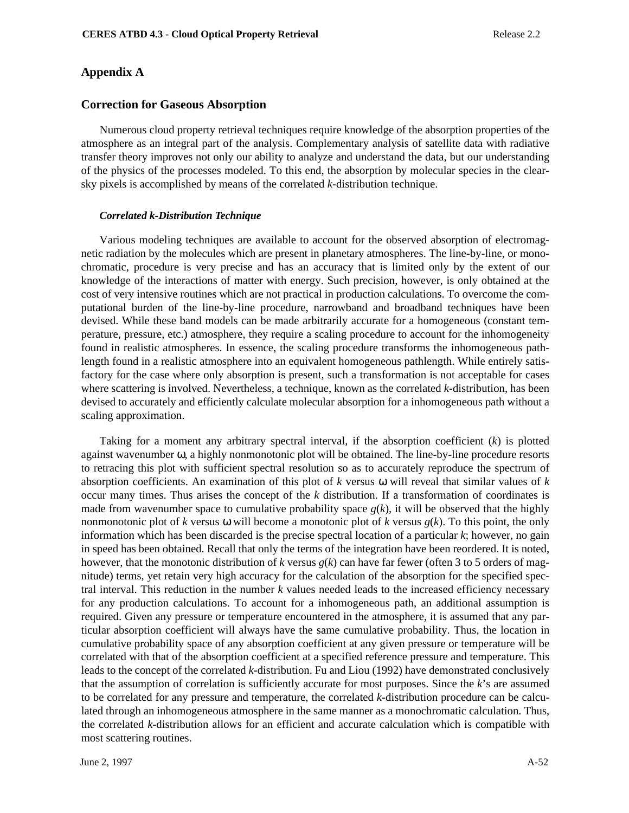## **Appendix A**

### **Correction for Gaseous Absorption**

Numerous cloud property retrieval techniques require knowledge of the absorption properties of the atmosphere as an integral part of the analysis. Complementary analysis of satellite data with radiative transfer theory improves not only our ability to analyze and understand the data, but our understanding of the physics of the processes modeled. To this end, the absorption by molecular species in the clearsky pixels is accomplished by means of the correlated *k*-distribution technique.

#### *Correlated k-Distribution Technique*

Various modeling techniques are available to account for the observed absorption of electromagnetic radiation by the molecules which are present in planetary atmospheres. The line-by-line, or monochromatic, procedure is very precise and has an accuracy that is limited only by the extent of our knowledge of the interactions of matter with energy. Such precision, however, is only obtained at the cost of very intensive routines which are not practical in production calculations. To overcome the computational burden of the line-by-line procedure, narrowband and broadband techniques have been devised. While these band models can be made arbitrarily accurate for a homogeneous (constant temperature, pressure, etc.) atmosphere, they require a scaling procedure to account for the inhomogeneity found in realistic atmospheres. In essence, the scaling procedure transforms the inhomogeneous pathlength found in a realistic atmosphere into an equivalent homogeneous pathlength. While entirely satisfactory for the case where only absorption is present, such a transformation is not acceptable for cases where scattering is involved. Nevertheless, a technique, known as the correlated *k*-distribution, has been devised to accurately and efficiently calculate molecular absorption for a inhomogeneous path without a scaling approximation.

Taking for a moment any arbitrary spectral interval, if the absorption coefficient (*k*) is plotted against wavenumber ω, a highly nonmonotonic plot will be obtained. The line-by-line procedure resorts to retracing this plot with sufficient spectral resolution so as to accurately reproduce the spectrum of absorption coefficients. An examination of this plot of *k* versus ω will reveal that similar values of *k* occur many times. Thus arises the concept of the *k* distribution. If a transformation of coordinates is made from wavenumber space to cumulative probability space  $g(k)$ , it will be observed that the highly nonmonotonic plot of *k* versus ω will become a monotonic plot of *k* versus *g*(*k*). To this point, the only information which has been discarded is the precise spectral location of a particular *k*; however, no gain in speed has been obtained. Recall that only the terms of the integration have been reordered. It is noted, however, that the monotonic distribution of *k* versus *g*(*k*) can have far fewer (often 3 to 5 orders of magnitude) terms, yet retain very high accuracy for the calculation of the absorption for the specified spectral interval. This reduction in the number *k* values needed leads to the increased efficiency necessary for any production calculations. To account for a inhomogeneous path, an additional assumption is required. Given any pressure or temperature encountered in the atmosphere, it is assumed that any particular absorption coefficient will always have the same cumulative probability. Thus, the location in cumulative probability space of any absorption coefficient at any given pressure or temperature will be correlated with that of the absorption coefficient at a specified reference pressure and temperature. This leads to the concept of the correlated *k*-distribution. Fu and Liou (1992) have demonstrated conclusively that the assumption of correlation is sufficiently accurate for most purposes. Since the *k*'s are assumed to be correlated for any pressure and temperature, the correlated *k*-distribution procedure can be calculated through an inhomogeneous atmosphere in the same manner as a monochromatic calculation. Thus, the correlated *k*-distribution allows for an efficient and accurate calculation which is compatible with most scattering routines.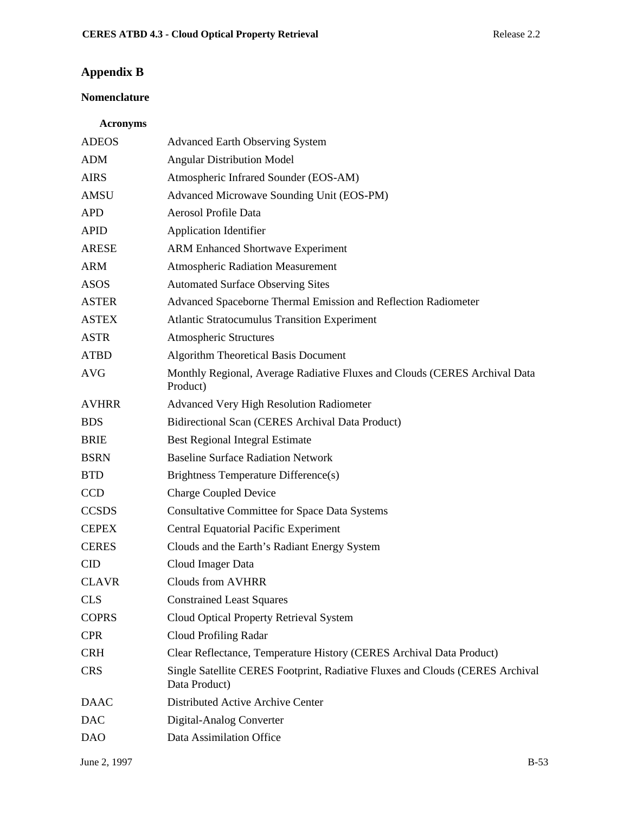# **Appendix B**

# **Nomenclature**

# **Acronyms**

| <b>ADEOS</b> | <b>Advanced Earth Observing System</b>                                                         |
|--------------|------------------------------------------------------------------------------------------------|
| <b>ADM</b>   | <b>Angular Distribution Model</b>                                                              |
| <b>AIRS</b>  | Atmospheric Infrared Sounder (EOS-AM)                                                          |
| <b>AMSU</b>  | Advanced Microwave Sounding Unit (EOS-PM)                                                      |
| <b>APD</b>   | Aerosol Profile Data                                                                           |
| <b>APID</b>  | <b>Application Identifier</b>                                                                  |
| <b>ARESE</b> | <b>ARM Enhanced Shortwave Experiment</b>                                                       |
| <b>ARM</b>   | <b>Atmospheric Radiation Measurement</b>                                                       |
| <b>ASOS</b>  | <b>Automated Surface Observing Sites</b>                                                       |
| <b>ASTER</b> | Advanced Spaceborne Thermal Emission and Reflection Radiometer                                 |
| <b>ASTEX</b> | <b>Atlantic Stratocumulus Transition Experiment</b>                                            |
| <b>ASTR</b>  | <b>Atmospheric Structures</b>                                                                  |
| <b>ATBD</b>  | <b>Algorithm Theoretical Basis Document</b>                                                    |
| <b>AVG</b>   | Monthly Regional, Average Radiative Fluxes and Clouds (CERES Archival Data<br>Product)         |
| <b>AVHRR</b> | Advanced Very High Resolution Radiometer                                                       |
| <b>BDS</b>   | Bidirectional Scan (CERES Archival Data Product)                                               |
| <b>BRIE</b>  | <b>Best Regional Integral Estimate</b>                                                         |
| <b>BSRN</b>  | <b>Baseline Surface Radiation Network</b>                                                      |
| <b>BTD</b>   | Brightness Temperature Difference(s)                                                           |
| <b>CCD</b>   | <b>Charge Coupled Device</b>                                                                   |
| <b>CCSDS</b> | <b>Consultative Committee for Space Data Systems</b>                                           |
| <b>CEPEX</b> | <b>Central Equatorial Pacific Experiment</b>                                                   |
| <b>CERES</b> | Clouds and the Earth's Radiant Energy System                                                   |
| <b>CID</b>   | Cloud Imager Data                                                                              |
| <b>CLAVR</b> | <b>Clouds from AVHRR</b>                                                                       |
| <b>CLS</b>   | <b>Constrained Least Squares</b>                                                               |
| <b>COPRS</b> | Cloud Optical Property Retrieval System                                                        |
| <b>CPR</b>   | Cloud Profiling Radar                                                                          |
| <b>CRH</b>   | Clear Reflectance, Temperature History (CERES Archival Data Product)                           |
| <b>CRS</b>   | Single Satellite CERES Footprint, Radiative Fluxes and Clouds (CERES Archival<br>Data Product) |
| <b>DAAC</b>  | Distributed Active Archive Center                                                              |
| <b>DAC</b>   | Digital-Analog Converter                                                                       |
| <b>DAO</b>   | Data Assimilation Office                                                                       |
|              |                                                                                                |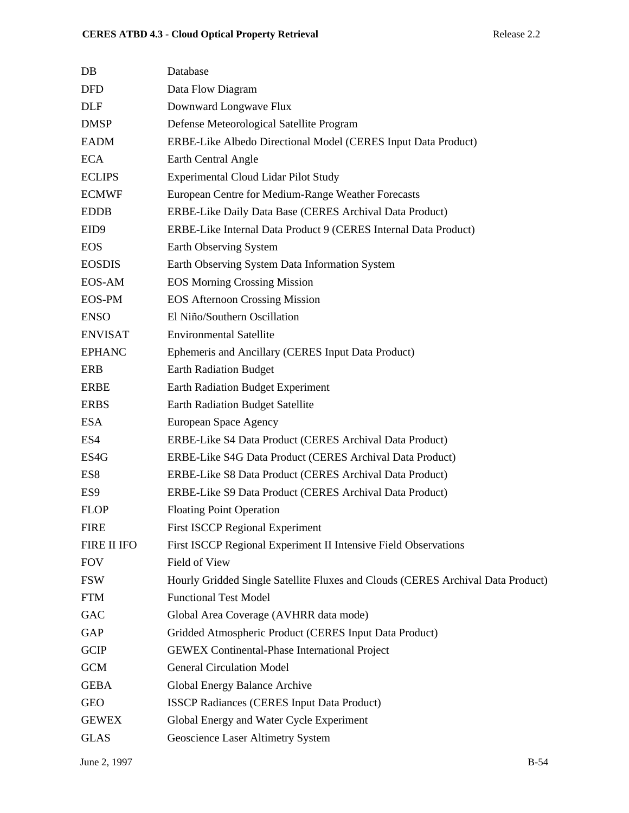| $DB$               | Database                                                                        |
|--------------------|---------------------------------------------------------------------------------|
| <b>DFD</b>         | Data Flow Diagram                                                               |
| <b>DLF</b>         | Downward Longwave Flux                                                          |
| <b>DMSP</b>        | Defense Meteorological Satellite Program                                        |
| <b>EADM</b>        | ERBE-Like Albedo Directional Model (CERES Input Data Product)                   |
| <b>ECA</b>         | Earth Central Angle                                                             |
| <b>ECLIPS</b>      | <b>Experimental Cloud Lidar Pilot Study</b>                                     |
| <b>ECMWF</b>       | European Centre for Medium-Range Weather Forecasts                              |
| <b>EDDB</b>        | ERBE-Like Daily Data Base (CERES Archival Data Product)                         |
| EID <sub>9</sub>   | ERBE-Like Internal Data Product 9 (CERES Internal Data Product)                 |
| <b>EOS</b>         | Earth Observing System                                                          |
| <b>EOSDIS</b>      | Earth Observing System Data Information System                                  |
| EOS-AM             | <b>EOS Morning Crossing Mission</b>                                             |
| EOS-PM             | <b>EOS Afternoon Crossing Mission</b>                                           |
| <b>ENSO</b>        | El Niño/Southern Oscillation                                                    |
| <b>ENVISAT</b>     | <b>Environmental Satellite</b>                                                  |
| <b>EPHANC</b>      | Ephemeris and Ancillary (CERES Input Data Product)                              |
| <b>ERB</b>         | <b>Earth Radiation Budget</b>                                                   |
| <b>ERBE</b>        | Earth Radiation Budget Experiment                                               |
| <b>ERBS</b>        | <b>Earth Radiation Budget Satellite</b>                                         |
| <b>ESA</b>         | European Space Agency                                                           |
| ES4                | ERBE-Like S4 Data Product (CERES Archival Data Product)                         |
| ES4G               | ERBE-Like S4G Data Product (CERES Archival Data Product)                        |
| ES8                | ERBE-Like S8 Data Product (CERES Archival Data Product)                         |
| ES <sub>9</sub>    | ERBE-Like S9 Data Product (CERES Archival Data Product)                         |
| <b>FLOP</b>        | <b>Floating Point Operation</b>                                                 |
| <b>FIRE</b>        | <b>First ISCCP Regional Experiment</b>                                          |
| <b>FIRE II IFO</b> | First ISCCP Regional Experiment II Intensive Field Observations                 |
| <b>FOV</b>         | Field of View                                                                   |
| <b>FSW</b>         | Hourly Gridded Single Satellite Fluxes and Clouds (CERES Archival Data Product) |
| <b>FTM</b>         | <b>Functional Test Model</b>                                                    |
| GAC                | Global Area Coverage (AVHRR data mode)                                          |
| GAP                | Gridded Atmospheric Product (CERES Input Data Product)                          |
| <b>GCIP</b>        | <b>GEWEX Continental-Phase International Project</b>                            |
| <b>GCM</b>         | <b>General Circulation Model</b>                                                |
| <b>GEBA</b>        | Global Energy Balance Archive                                                   |
| <b>GEO</b>         | <b>ISSCP Radiances (CERES Input Data Product)</b>                               |
| <b>GEWEX</b>       | Global Energy and Water Cycle Experiment                                        |
| <b>GLAS</b>        | Geoscience Laser Altimetry System                                               |
|                    |                                                                                 |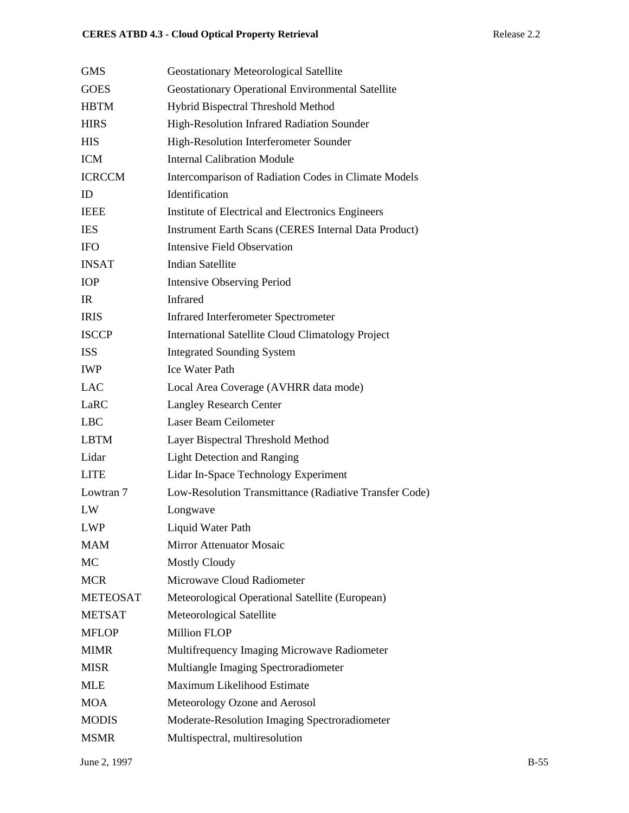| <b>GMS</b>      | <b>Geostationary Meteorological Satellite</b>               |
|-----------------|-------------------------------------------------------------|
| <b>GOES</b>     | <b>Geostationary Operational Environmental Satellite</b>    |
| <b>HBTM</b>     | Hybrid Bispectral Threshold Method                          |
| <b>HIRS</b>     | High-Resolution Infrared Radiation Sounder                  |
| <b>HIS</b>      | High-Resolution Interferometer Sounder                      |
| <b>ICM</b>      | <b>Internal Calibration Module</b>                          |
| <b>ICRCCM</b>   | Intercomparison of Radiation Codes in Climate Models        |
| ID              | Identification                                              |
| <b>IEEE</b>     | Institute of Electrical and Electronics Engineers           |
| <b>IES</b>      | <b>Instrument Earth Scans (CERES Internal Data Product)</b> |
| <b>IFO</b>      | <b>Intensive Field Observation</b>                          |
| <b>INSAT</b>    | <b>Indian Satellite</b>                                     |
| <b>IOP</b>      | <b>Intensive Observing Period</b>                           |
| <b>IR</b>       | <b>Infrared</b>                                             |
| <b>IRIS</b>     | <b>Infrared Interferometer Spectrometer</b>                 |
| <b>ISCCP</b>    | International Satellite Cloud Climatology Project           |
| <b>ISS</b>      | <b>Integrated Sounding System</b>                           |
| <b>IWP</b>      | <b>Ice Water Path</b>                                       |
| <b>LAC</b>      | Local Area Coverage (AVHRR data mode)                       |
| LaRC            | <b>Langley Research Center</b>                              |
| <b>LBC</b>      | Laser Beam Ceilometer                                       |
| LBTM            | Layer Bispectral Threshold Method                           |
| Lidar           | <b>Light Detection and Ranging</b>                          |
| <b>LITE</b>     | Lidar In-Space Technology Experiment                        |
| Lowtran 7       | Low-Resolution Transmittance (Radiative Transfer Code)      |
| LW              | Longwave                                                    |
| <b>LWP</b>      | Liquid Water Path                                           |
| <b>MAM</b>      | <b>Mirror Attenuator Mosaic</b>                             |
| <b>MC</b>       | <b>Mostly Cloudy</b>                                        |
| <b>MCR</b>      | Microwave Cloud Radiometer                                  |
| <b>METEOSAT</b> | Meteorological Operational Satellite (European)             |
| <b>METSAT</b>   | Meteorological Satellite                                    |
| <b>MFLOP</b>    | <b>Million FLOP</b>                                         |
| <b>MIMR</b>     | Multifrequency Imaging Microwave Radiometer                 |
| <b>MISR</b>     | Multiangle Imaging Spectroradiometer                        |
| <b>MLE</b>      | Maximum Likelihood Estimate                                 |
| <b>MOA</b>      | Meteorology Ozone and Aerosol                               |
| <b>MODIS</b>    | Moderate-Resolution Imaging Spectroradiometer               |
| <b>MSMR</b>     | Multispectral, multiresolution                              |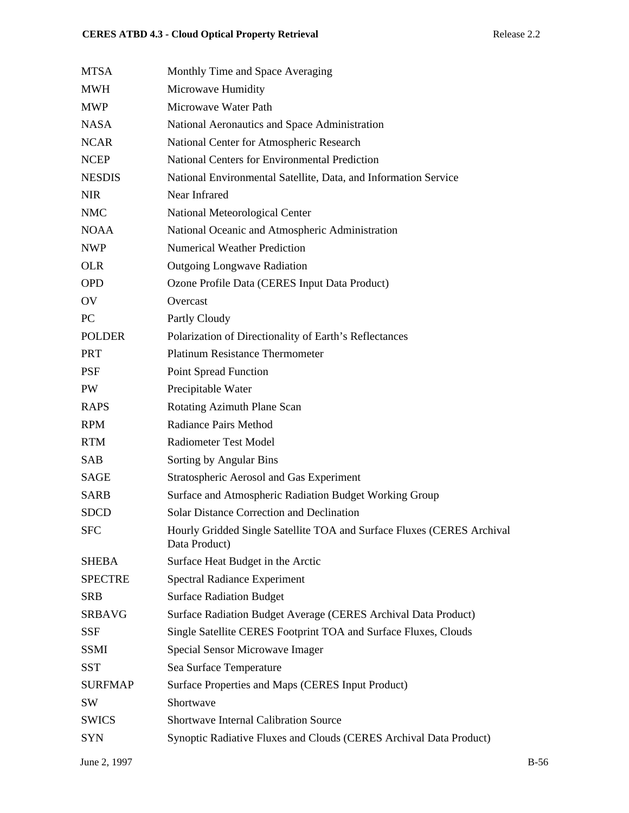| Release 2.2 |  |
|-------------|--|
|-------------|--|

| MTSA                   | Monthly Time and Space Averaging                                                        |
|------------------------|-----------------------------------------------------------------------------------------|
| MWH                    | Microwave Humidity                                                                      |
| MWP                    | Microwave Water Path                                                                    |
| <b>NASA</b>            | National Aeronautics and Space Administration                                           |
| <b>NCAR</b>            | National Center for Atmospheric Research                                                |
| <b>NCEP</b>            | National Centers for Environmental Prediction                                           |
| <b>NESDIS</b>          | National Environmental Satellite, Data, and Information Service                         |
| NIR                    | Near Infrared                                                                           |
| NMC                    | National Meteorological Center                                                          |
| NOAA                   | National Oceanic and Atmospheric Administration                                         |
| NWP                    | <b>Numerical Weather Prediction</b>                                                     |
| OLR                    | <b>Outgoing Longwave Radiation</b>                                                      |
| <b>OPD</b>             | Ozone Profile Data (CERES Input Data Product)                                           |
| $\overline{\text{OV}}$ | Overcast                                                                                |
| PС                     | Partly Cloudy                                                                           |
| POLDER                 | Polarization of Directionality of Earth's Reflectances                                  |
| PRT                    | <b>Platinum Resistance Thermometer</b>                                                  |
| PSF                    | Point Spread Function                                                                   |
| PW                     | Precipitable Water                                                                      |
| RAPS                   | Rotating Azimuth Plane Scan                                                             |
| RPM                    | <b>Radiance Pairs Method</b>                                                            |
| RTM                    | <b>Radiometer Test Model</b>                                                            |
| SAB                    | Sorting by Angular Bins                                                                 |
| SAGE                   | Stratospheric Aerosol and Gas Experiment                                                |
| SARB                   | Surface and Atmospheric Radiation Budget Working Group                                  |
| SDCD                   | Solar Distance Correction and Declination                                               |
| <b>SFC</b>             | Hourly Gridded Single Satellite TOA and Surface Fluxes (CERES Archival<br>Data Product) |
| SHEBA                  | Surface Heat Budget in the Arctic                                                       |
| <b>SPECTRE</b>         | <b>Spectral Radiance Experiment</b>                                                     |
| SRB                    | <b>Surface Radiation Budget</b>                                                         |
| <b>SRBAVG</b>          | Surface Radiation Budget Average (CERES Archival Data Product)                          |
| SSF                    | Single Satellite CERES Footprint TOA and Surface Fluxes, Clouds                         |
| SSMI                   | Special Sensor Microwave Imager                                                         |
| SST                    | Sea Surface Temperature                                                                 |
| <b>SURFMAP</b>         | Surface Properties and Maps (CERES Input Product)                                       |
| SW                     | Shortwave                                                                               |
| SWICS                  | <b>Shortwave Internal Calibration Source</b>                                            |
| SYN                    | Synoptic Radiative Fluxes and Clouds (CERES Archival Data Product)                      |
|                        |                                                                                         |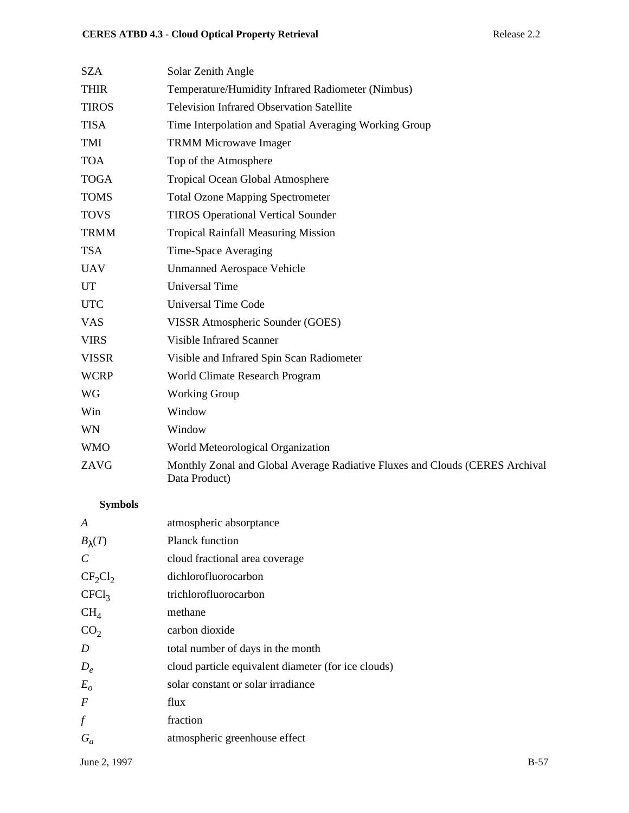| <b>SZA</b>   | Solar Zenith Angle                                                                            |
|--------------|-----------------------------------------------------------------------------------------------|
| <b>THIR</b>  | Temperature/Humidity Infrared Radiometer (Nimbus)                                             |
| <b>TIROS</b> | <b>Television Infrared Observation Satellite</b>                                              |
| <b>TISA</b>  | Time Interpolation and Spatial Averaging Working Group                                        |
| TMI          | <b>TRMM Microwave Imager</b>                                                                  |
| <b>TOA</b>   | Top of the Atmosphere                                                                         |
| <b>TOGA</b>  | <b>Tropical Ocean Global Atmosphere</b>                                                       |
| <b>TOMS</b>  | <b>Total Ozone Mapping Spectrometer</b>                                                       |
| <b>TOVS</b>  | <b>TIROS Operational Vertical Sounder</b>                                                     |
| <b>TRMM</b>  | <b>Tropical Rainfall Measuring Mission</b>                                                    |
| <b>TSA</b>   | Time-Space Averaging                                                                          |
| <b>UAV</b>   | <b>Unmanned Aerospace Vehicle</b>                                                             |
| <b>UT</b>    | <b>Universal Time</b>                                                                         |
| <b>UTC</b>   | <b>Universal Time Code</b>                                                                    |
| <b>VAS</b>   | VISSR Atmospheric Sounder (GOES)                                                              |
| <b>VIRS</b>  | <b>Visible Infrared Scanner</b>                                                               |
| <b>VISSR</b> | Visible and Infrared Spin Scan Radiometer                                                     |
| <b>WCRP</b>  | World Climate Research Program                                                                |
| <b>WG</b>    | <b>Working Group</b>                                                                          |
| Win          | Window                                                                                        |
| WN           | Window                                                                                        |
| <b>WMO</b>   | World Meteorological Organization                                                             |
| ZAVG         | Monthly Zonal and Global Average Radiative Fluxes and Clouds (CERES Archival<br>Data Product) |

# **Symbols**

| A                 | atmospheric absorptance                             |
|-------------------|-----------------------------------------------------|
| $B_{\lambda}(T)$  | <b>Planck function</b>                              |
| C                 | cloud fractional area coverage                      |
| $CF_2Cl_2$        | dichlorofluorocarbon                                |
| CFCl <sub>3</sub> | trichlorofluorocarbon                               |
| CH <sub>4</sub>   | methane                                             |
| CO <sub>2</sub>   | carbon dioxide                                      |
| D                 | total number of days in the month                   |
| $D_e$             | cloud particle equivalent diameter (for ice clouds) |
| $E_{o}$           | solar constant or solar irradiance                  |
| $\boldsymbol{F}$  | flux                                                |
| $\int$            | fraction                                            |
| $G_a$             | atmospheric greenhouse effect                       |
|                   |                                                     |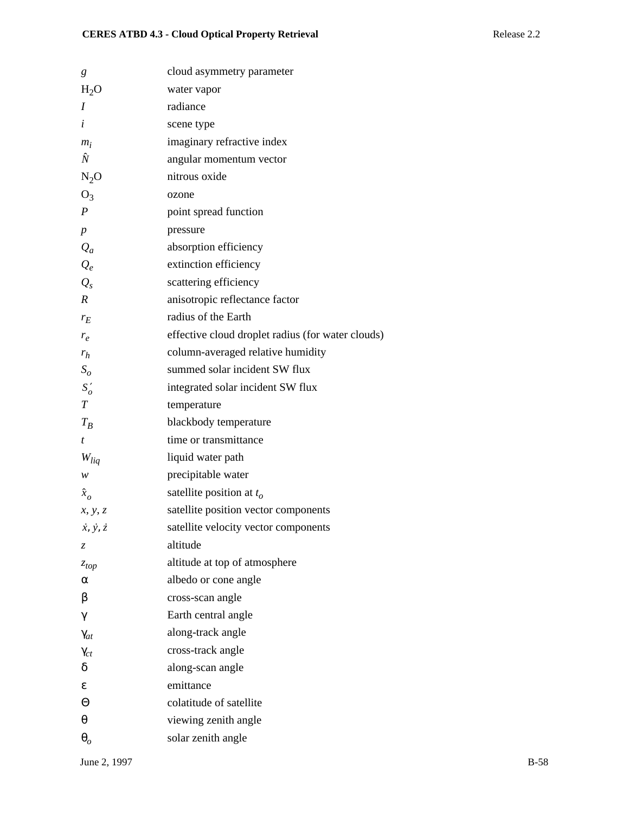| g                           | cloud asymmetry parameter                         |
|-----------------------------|---------------------------------------------------|
| $H_2O$                      | water vapor                                       |
| Ι                           | radiance                                          |
| i                           | scene type                                        |
| $m_i$                       | imaginary refractive index                        |
| Ñ                           | angular momentum vector                           |
| $N_2O$                      | nitrous oxide                                     |
| O <sub>3</sub>              | ozone                                             |
| $\boldsymbol{P}$            | point spread function                             |
| $\boldsymbol{p}$            | pressure                                          |
| $Q_a$                       | absorption efficiency                             |
| $Q_e$                       | extinction efficiency                             |
| $Q_{s}$                     | scattering efficiency                             |
| $\boldsymbol{R}$            | anisotropic reflectance factor                    |
| $r_E$                       | radius of the Earth                               |
| $r_e$                       | effective cloud droplet radius (for water clouds) |
| $r_h$                       | column-averaged relative humidity                 |
| $S_{\rm o}$                 | summed solar incident SW flux                     |
| $S'_{o}$                    | integrated solar incident SW flux                 |
| $\boldsymbol{T}$            | temperature                                       |
| $T_B$                       | blackbody temperature                             |
| t                           | time or transmittance                             |
| $W_{liq}$                   | liquid water path                                 |
| w                           | precipitable water                                |
| $\hat{x}_o$                 | satellite position at $t_o$                       |
| x, y, z                     | satellite position vector components              |
| $\dot{x}, \dot{y}, \dot{z}$ | satellite velocity vector components              |
| Z.                          | altitude                                          |
| $z_{top}$                   | altitude at top of atmosphere                     |
| $\alpha$                    | albedo or cone angle                              |
| β                           | cross-scan angle                                  |
| γ                           | Earth central angle                               |
| $\gamma_{at}$               | along-track angle                                 |
| $\gamma_{ct}$               | cross-track angle                                 |
| δ                           | along-scan angle                                  |
| ε                           | emittance                                         |
| Θ                           | colatitude of satellite                           |
| $\theta$                    | viewing zenith angle                              |
| $\boldsymbol{\theta}_{o}$   | solar zenith angle                                |
|                             |                                                   |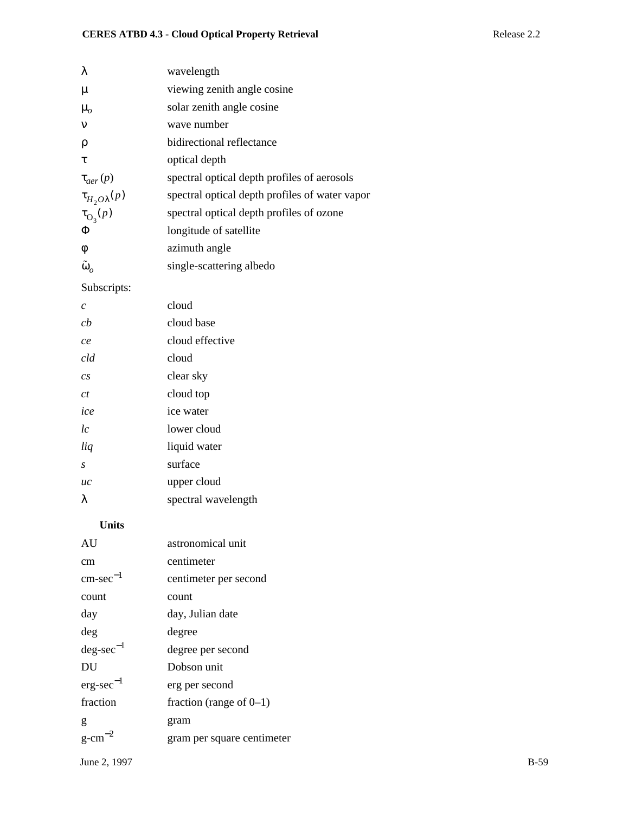| λ                        | wavelength                                     |
|--------------------------|------------------------------------------------|
| $\mu$                    | viewing zenith angle cosine                    |
| $\mu_{o}$                | solar zenith angle cosine                      |
| $\mathbf v$              | wave number                                    |
| ρ                        | bidirectional reflectance                      |
| τ                        | optical depth                                  |
| $\tau_{aer}(p)$          | spectral optical depth profiles of aerosols    |
| $\tau_{H_2O\lambda}(p)$  | spectral optical depth profiles of water vapor |
| $\tau_{\mathrm{O}_3}(p)$ | spectral optical depth profiles of ozone       |
| Φ                        | longitude of satellite                         |
| φ                        | azimuth angle                                  |
| $\tilde{\omega}_o$       | single-scattering albedo                       |
|                          |                                                |

# Subscripts:

| C                | cloud               |
|------------------|---------------------|
| ch               | cloud base          |
| ce               | cloud effective     |
| cld              | cloud               |
| $\overline{c}$ s | clear sky           |
| Сt               | cloud top           |
| ice              | ice water           |
| lc               | lower cloud         |
| liq              | liquid water        |
| S                | surface             |
| uc               | upper cloud         |
| λ                | spectral wavelength |
|                  |                     |

# **Units**

| AU                    | astronomical unit          |        |
|-----------------------|----------------------------|--------|
| cm                    | centimeter                 |        |
| $cm\text{-}sec^{-1}$  | centimeter per second      |        |
| count                 | count                      |        |
| day                   | day, Julian date           |        |
| deg                   | degree                     |        |
| $deg\text{-}sec^{-1}$ | degree per second          |        |
| DU                    | Dobson unit                |        |
| $erg\text{-}sec^{-1}$ | erg per second             |        |
| fraction              | fraction (range of $0-1$ ) |        |
| g                     | gram                       |        |
| $g$ -cm <sup>-2</sup> | gram per square centimeter |        |
| June 2, 1997          |                            | $B-59$ |